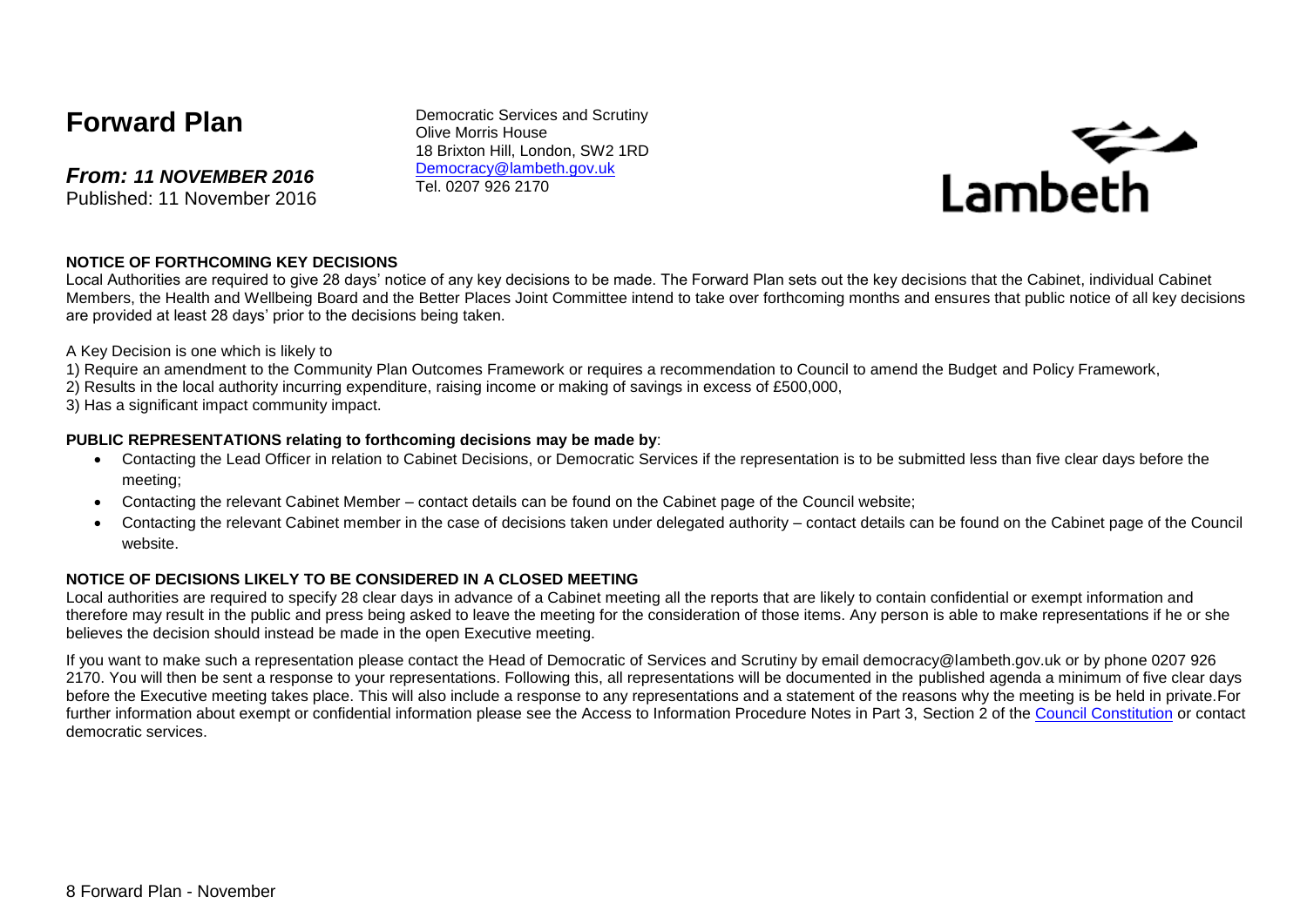# **Forward Plan**

*From: 11 NOVEMBER 2016* Published: 11 November 2016 Democratic Services and Scrutiny Olive Morris House 18 Brixton Hill, London, SW2 1RD [Democracy@lambeth.gov.uk](mailto:Democracy@lambeth.gov.uk) Tel. 0207 926 2170



#### **NOTICE OF FORTHCOMING KEY DECISIONS**

Local Authorities are required to give 28 days' notice of any key decisions to be made. The Forward Plan sets out the key decisions that the Cabinet, individual Cabinet Members, the Health and Wellbeing Board and the Better Places Joint Committee intend to take over forthcoming months and ensures that public notice of all key decisions are provided at least 28 days' prior to the decisions being taken.

A Key Decision is one which is likely to

- 1) Require an amendment to the Community Plan Outcomes Framework or requires a recommendation to Council to amend the Budget and Policy Framework,
- 2) Results in the local authority incurring expenditure, raising income or making of savings in excess of £500,000,
- 3) Has a significant impact community impact.

#### **PUBLIC REPRESENTATIONS relating to forthcoming decisions may be made by**:

- Contacting the Lead Officer in relation to Cabinet Decisions, or Democratic Services if the representation is to be submitted less than five clear days before the meeting;
- Contacting the relevant Cabinet Member contact details can be found on the Cabinet page of the Council website;
- Contacting the relevant Cabinet member in the case of decisions taken under delegated authority contact details can be found on the Cabinet page of the Council website.

#### **NOTICE OF DECISIONS LIKELY TO BE CONSIDERED IN A CLOSED MEETING**

Local authorities are required to specify 28 clear days in advance of a Cabinet meeting all the reports that are likely to contain confidential or exempt information and therefore may result in the public and press being asked to leave the meeting for the consideration of those items. Any person is able to make representations if he or she believes the decision should instead be made in the open Executive meeting.

If you want to make such a representation please contact the Head of Democratic of Services and Scrutiny by email democracy@lambeth.gov.uk or by phone 0207 926 2170. You will then be sent a response to your representations. Following this, all representations will be documented in the published agenda a minimum of five clear days before the Executive meeting takes place. This will also include a response to any representations and a statement of the reasons why the meeting is be held in private.For further information about exempt or confidential information please see the Access to Information Procedure Notes in Part 3. Section 2 of the [Council Constitution](http://www.lambeth.gov.uk/sites/default/files/ec-Council-Constitution-2014-15-approved-with-changes-November-2014.pdf) or contact democratic services.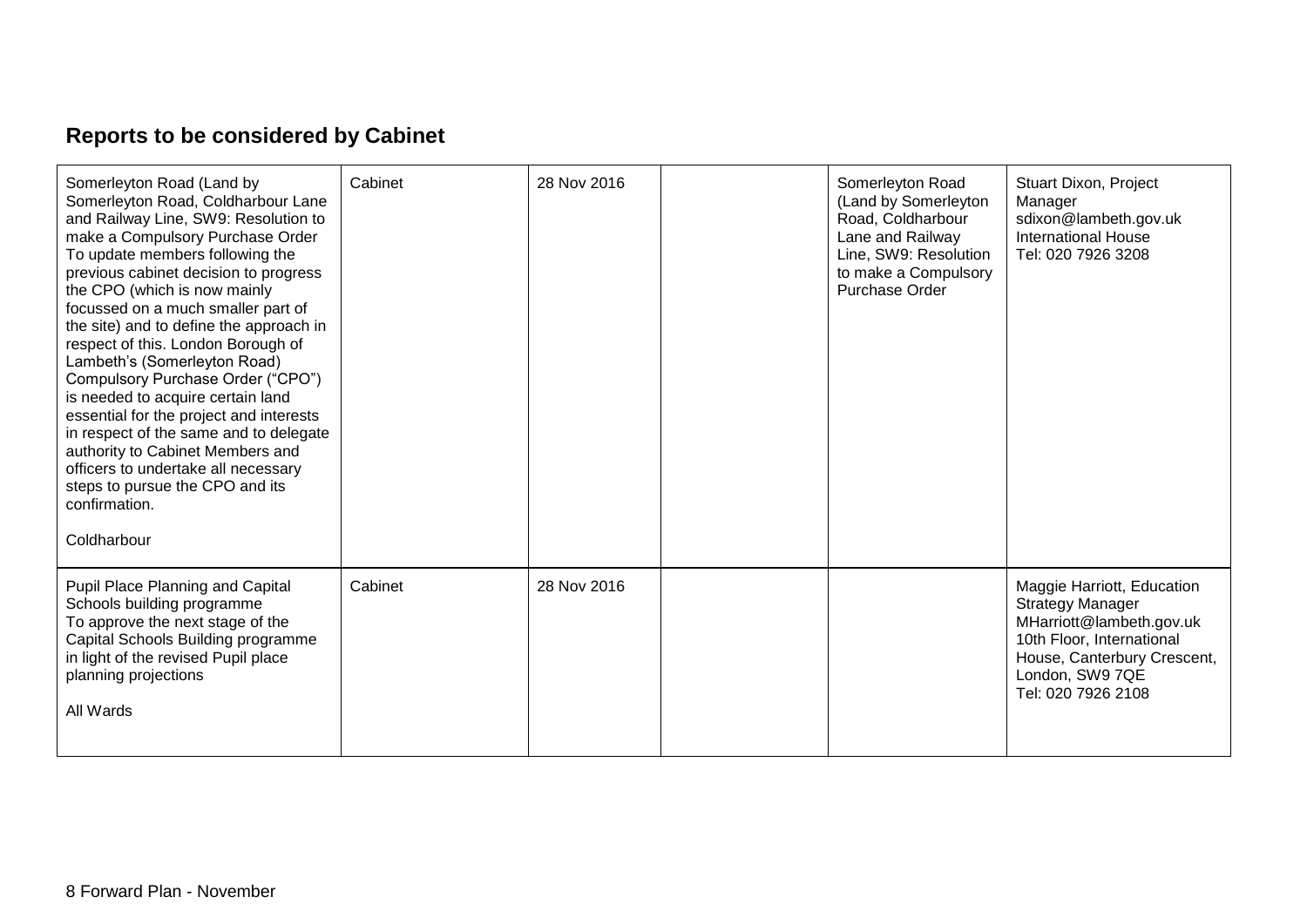# **Reports to be considered by Cabinet**

| Somerleyton Road (Land by<br>Somerleyton Road, Coldharbour Lane<br>and Railway Line, SW9: Resolution to<br>make a Compulsory Purchase Order<br>To update members following the<br>previous cabinet decision to progress<br>the CPO (which is now mainly<br>focussed on a much smaller part of<br>the site) and to define the approach in<br>respect of this. London Borough of<br>Lambeth's (Somerleyton Road)<br>Compulsory Purchase Order ("CPO")<br>is needed to acquire certain land<br>essential for the project and interests<br>in respect of the same and to delegate<br>authority to Cabinet Members and<br>officers to undertake all necessary<br>steps to pursue the CPO and its<br>confirmation.<br>Coldharbour | Cabinet | 28 Nov 2016 | Somerleyton Road<br>(Land by Somerleyton<br>Road, Coldharbour<br>Lane and Railway<br>Line, SW9: Resolution<br>to make a Compulsory<br>Purchase Order | Stuart Dixon, Project<br>Manager<br>sdixon@lambeth.gov.uk<br><b>International House</b><br>Tel: 020 7926 3208                                                                          |
|-----------------------------------------------------------------------------------------------------------------------------------------------------------------------------------------------------------------------------------------------------------------------------------------------------------------------------------------------------------------------------------------------------------------------------------------------------------------------------------------------------------------------------------------------------------------------------------------------------------------------------------------------------------------------------------------------------------------------------|---------|-------------|------------------------------------------------------------------------------------------------------------------------------------------------------|----------------------------------------------------------------------------------------------------------------------------------------------------------------------------------------|
| Pupil Place Planning and Capital<br>Schools building programme<br>To approve the next stage of the<br>Capital Schools Building programme<br>in light of the revised Pupil place<br>planning projections<br>All Wards                                                                                                                                                                                                                                                                                                                                                                                                                                                                                                        | Cabinet | 28 Nov 2016 |                                                                                                                                                      | Maggie Harriott, Education<br><b>Strategy Manager</b><br>MHarriott@lambeth.gov.uk<br>10th Floor, International<br>House, Canterbury Crescent,<br>London, SW9 7QE<br>Tel: 020 7926 2108 |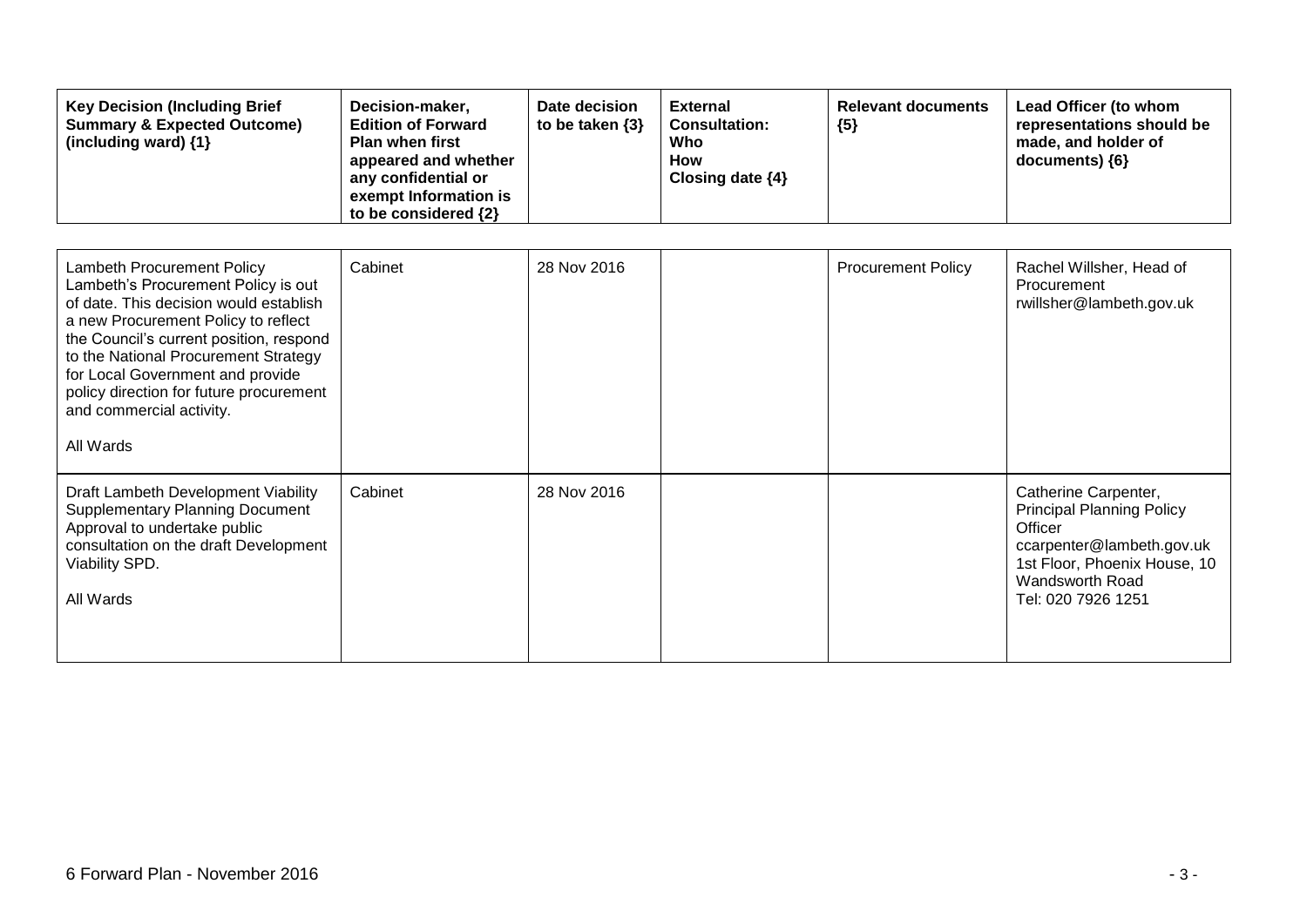| <b>Key Decision (Including Brief</b><br><b>Summary &amp; Expected Outcome)</b><br>(including ward) {1}                                                                                                                                                                                                                                                               | Decision-maker,<br><b>Edition of Forward</b><br><b>Plan when first</b><br>appeared and whether<br>any confidential or<br>exempt Information is<br>to be considered {2} | Date decision<br>to be taken $\{3\}$ | <b>External</b><br><b>Consultation:</b><br>Who<br><b>How</b><br>Closing date {4} | <b>Relevant documents</b><br>${5}$ | Lead Officer (to whom<br>representations should be<br>made, and holder of<br>documents) {6}                                                                                      |
|----------------------------------------------------------------------------------------------------------------------------------------------------------------------------------------------------------------------------------------------------------------------------------------------------------------------------------------------------------------------|------------------------------------------------------------------------------------------------------------------------------------------------------------------------|--------------------------------------|----------------------------------------------------------------------------------|------------------------------------|----------------------------------------------------------------------------------------------------------------------------------------------------------------------------------|
| <b>Lambeth Procurement Policy</b><br>Lambeth's Procurement Policy is out<br>of date. This decision would establish<br>a new Procurement Policy to reflect<br>the Council's current position, respond<br>to the National Procurement Strategy<br>for Local Government and provide<br>policy direction for future procurement<br>and commercial activity.<br>All Wards | Cabinet                                                                                                                                                                | 28 Nov 2016                          |                                                                                  | <b>Procurement Policy</b>          | Rachel Willsher, Head of<br>Procurement<br>rwillsher@lambeth.gov.uk                                                                                                              |
| Draft Lambeth Development Viability<br><b>Supplementary Planning Document</b><br>Approval to undertake public<br>consultation on the draft Development<br>Viability SPD.<br>All Wards                                                                                                                                                                                | Cabinet                                                                                                                                                                | 28 Nov 2016                          |                                                                                  |                                    | Catherine Carpenter,<br><b>Principal Planning Policy</b><br>Officer<br>ccarpenter@lambeth.gov.uk<br>1st Floor, Phoenix House, 10<br><b>Wandsworth Road</b><br>Tel: 020 7926 1251 |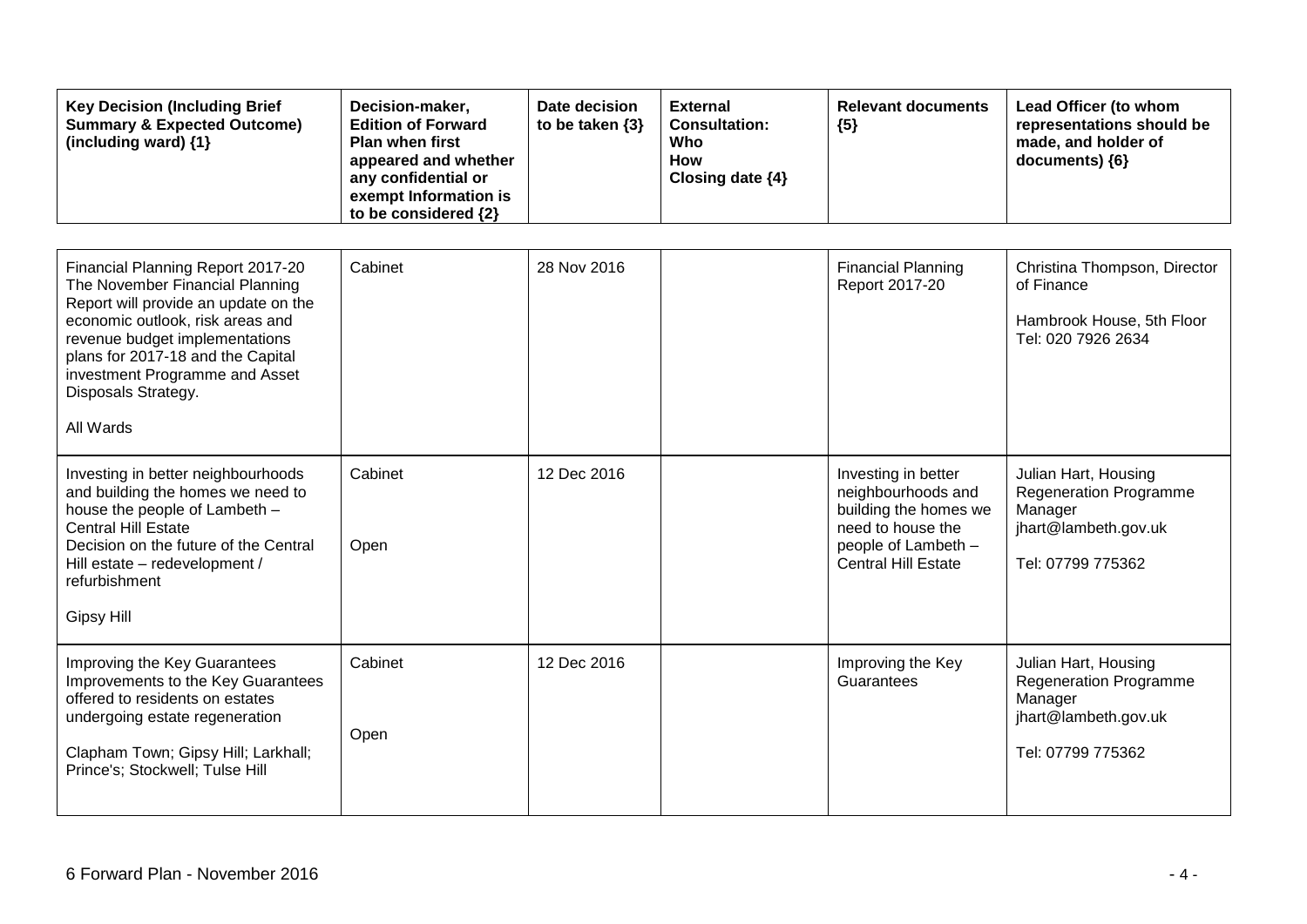| <b>Key Decision (Including Brief</b><br><b>Summary &amp; Expected Outcome)</b><br>(including ward) {1}                                                                                                                                                                                        | Decision-maker,<br><b>Edition of Forward</b><br><b>Plan when first</b><br>appeared and whether<br>any confidential or<br>exempt Information is<br>to be considered {2} | Date decision<br>to be taken $\{3\}$ | <b>External</b><br><b>Consultation:</b><br><b>Who</b><br><b>How</b><br>Closing date {4} | <b>Relevant documents</b><br>${5}$                                                                                                           | Lead Officer (to whom<br>representations should be<br>made, and holder of<br>documents) {6}                   |
|-----------------------------------------------------------------------------------------------------------------------------------------------------------------------------------------------------------------------------------------------------------------------------------------------|------------------------------------------------------------------------------------------------------------------------------------------------------------------------|--------------------------------------|-----------------------------------------------------------------------------------------|----------------------------------------------------------------------------------------------------------------------------------------------|---------------------------------------------------------------------------------------------------------------|
| Financial Planning Report 2017-20<br>The November Financial Planning<br>Report will provide an update on the<br>economic outlook, risk areas and<br>revenue budget implementations<br>plans for 2017-18 and the Capital<br>investment Programme and Asset<br>Disposals Strategy.<br>All Wards | Cabinet                                                                                                                                                                | 28 Nov 2016                          |                                                                                         | <b>Financial Planning</b><br>Report 2017-20                                                                                                  | Christina Thompson, Director<br>of Finance<br>Hambrook House, 5th Floor<br>Tel: 020 7926 2634                 |
| Investing in better neighbourhoods<br>and building the homes we need to<br>house the people of Lambeth -<br><b>Central Hill Estate</b><br>Decision on the future of the Central<br>Hill estate - redevelopment /<br>refurbishment<br><b>Gipsy Hill</b>                                        | Cabinet<br>Open                                                                                                                                                        | 12 Dec 2016                          |                                                                                         | Investing in better<br>neighbourhoods and<br>building the homes we<br>need to house the<br>people of Lambeth -<br><b>Central Hill Estate</b> | Julian Hart, Housing<br><b>Regeneration Programme</b><br>Manager<br>jhart@lambeth.gov.uk<br>Tel: 07799 775362 |
| Improving the Key Guarantees<br>Improvements to the Key Guarantees<br>offered to residents on estates<br>undergoing estate regeneration<br>Clapham Town; Gipsy Hill; Larkhall;<br>Prince's; Stockwell; Tulse Hill                                                                             | Cabinet<br>Open                                                                                                                                                        | 12 Dec 2016                          |                                                                                         | Improving the Key<br>Guarantees                                                                                                              | Julian Hart, Housing<br><b>Regeneration Programme</b><br>Manager<br>jhart@lambeth.gov.uk<br>Tel: 07799 775362 |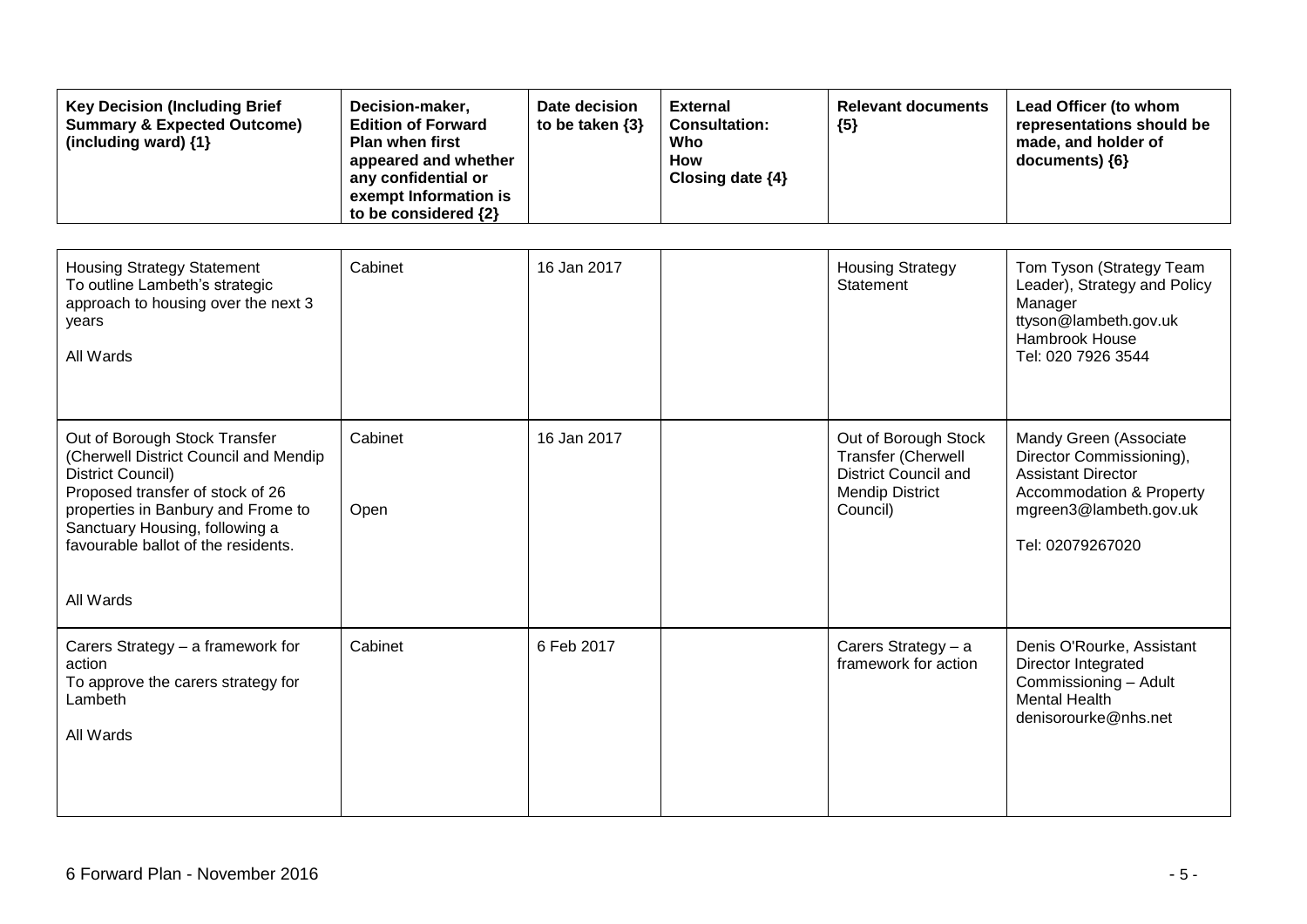| <b>Key Decision (Including Brief</b><br><b>Summary &amp; Expected Outcome)</b><br>(including ward) {1}                                                                                                                                                      | Decision-maker,<br><b>Edition of Forward</b><br><b>Plan when first</b><br>appeared and whether<br>any confidential or<br>exempt Information is<br>to be considered {2} | Date decision<br>to be taken {3} | <b>External</b><br><b>Consultation:</b><br>Who<br><b>How</b><br>Closing date {4} | <b>Relevant documents</b><br>${5}$                                                                              | Lead Officer (to whom<br>representations should be<br>made, and holder of<br>documents) {6}                                                                          |
|-------------------------------------------------------------------------------------------------------------------------------------------------------------------------------------------------------------------------------------------------------------|------------------------------------------------------------------------------------------------------------------------------------------------------------------------|----------------------------------|----------------------------------------------------------------------------------|-----------------------------------------------------------------------------------------------------------------|----------------------------------------------------------------------------------------------------------------------------------------------------------------------|
| <b>Housing Strategy Statement</b><br>To outline Lambeth's strategic<br>approach to housing over the next 3<br>years<br>All Wards                                                                                                                            | Cabinet                                                                                                                                                                | 16 Jan 2017                      |                                                                                  | <b>Housing Strategy</b><br>Statement                                                                            | Tom Tyson (Strategy Team<br>Leader), Strategy and Policy<br>Manager<br>ttyson@lambeth.gov.uk<br>Hambrook House<br>Tel: 020 7926 3544                                 |
| Out of Borough Stock Transfer<br>(Cherwell District Council and Mendip<br>District Council)<br>Proposed transfer of stock of 26<br>properties in Banbury and Frome to<br>Sanctuary Housing, following a<br>favourable ballot of the residents.<br>All Wards | Cabinet<br>Open                                                                                                                                                        | 16 Jan 2017                      |                                                                                  | Out of Borough Stock<br>Transfer (Cherwell<br><b>District Council and</b><br><b>Mendip District</b><br>Council) | Mandy Green (Associate<br>Director Commissioning),<br><b>Assistant Director</b><br><b>Accommodation &amp; Property</b><br>mgreen3@lambeth.gov.uk<br>Tel: 02079267020 |
| Carers Strategy - a framework for<br>action<br>To approve the carers strategy for<br>Lambeth<br>All Wards                                                                                                                                                   | Cabinet                                                                                                                                                                | 6 Feb 2017                       |                                                                                  | Carers Strategy - a<br>framework for action                                                                     | Denis O'Rourke, Assistant<br>Director Integrated<br>Commissioning - Adult<br><b>Mental Health</b><br>denisorourke@nhs.net                                            |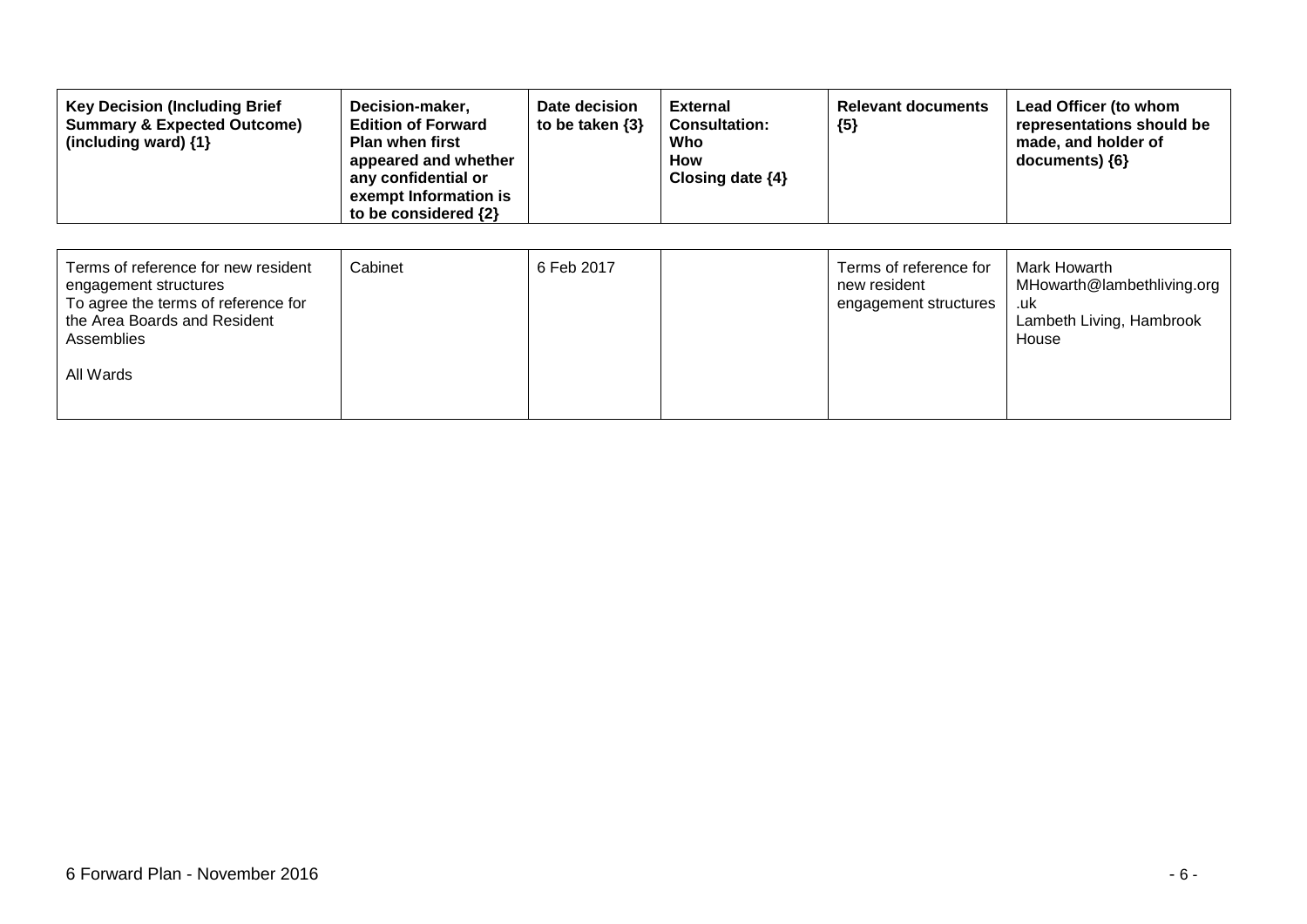| <b>Key Decision (Including Brief</b><br>Decision-maker,<br><b>Summary &amp; Expected Outcome)</b><br><b>Edition of Forward</b><br>Plan when first<br>(including ward) $\{1\}$<br>appeared and whether<br>any confidential or<br>exempt Information is<br>to be considered $\{2\}$ | Date decision<br>to be taken $\{3\}$ | <b>External</b><br><b>Consultation:</b><br>Who<br><b>How</b><br>Closing date $\{4\}$ | <b>Relevant documents</b><br>${5}$ | Lead Officer (to whom<br>representations should be<br>made, and holder of<br>$documents)$ {6} |
|-----------------------------------------------------------------------------------------------------------------------------------------------------------------------------------------------------------------------------------------------------------------------------------|--------------------------------------|--------------------------------------------------------------------------------------|------------------------------------|-----------------------------------------------------------------------------------------------|
|-----------------------------------------------------------------------------------------------------------------------------------------------------------------------------------------------------------------------------------------------------------------------------------|--------------------------------------|--------------------------------------------------------------------------------------|------------------------------------|-----------------------------------------------------------------------------------------------|

| Terms of reference for new resident<br>engagement structures<br>To agree the terms of reference for<br>the Area Boards and Resident<br>Assemblies | Cabinet | 6 Feb 2017 | Terms of reference for<br>new resident<br>engagement structures | Mark Howarth<br>MHowarth@lambethliving.org<br>.uk<br>Lambeth Living, Hambrook<br>House |
|---------------------------------------------------------------------------------------------------------------------------------------------------|---------|------------|-----------------------------------------------------------------|----------------------------------------------------------------------------------------|
| All Wards                                                                                                                                         |         |            |                                                                 |                                                                                        |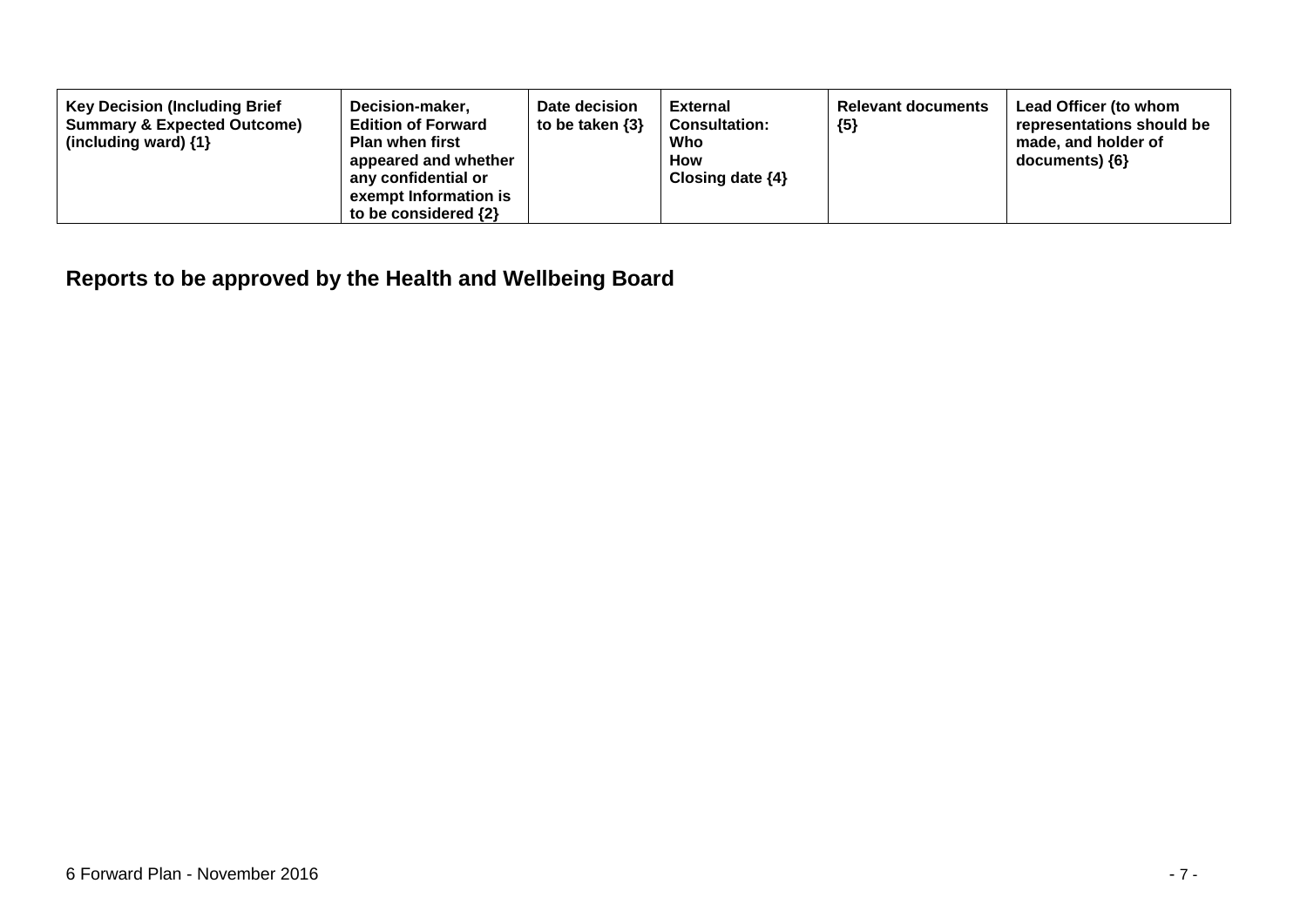| <b>Key Decision (Including Brief</b><br><b>Summary &amp; Expected Outcome)</b><br>(including ward) $\{1\}$ | Decision-maker,<br><b>Edition of Forward</b><br><b>Plan when first</b><br>appeared and whether<br>any confidential or<br>exempt Information is<br>to be considered $\{2\}$ | Date decision<br>to be taken $\{3\}$ | <b>External</b><br><b>Consultation:</b><br>Who<br><b>How</b><br>Closing date $\{4\}$ | <b>Relevant documents</b><br>${5}$ | Lead Officer (to whom<br>representations should be<br>made, and holder of<br>documents) ${6}$ |
|------------------------------------------------------------------------------------------------------------|----------------------------------------------------------------------------------------------------------------------------------------------------------------------------|--------------------------------------|--------------------------------------------------------------------------------------|------------------------------------|-----------------------------------------------------------------------------------------------|
|------------------------------------------------------------------------------------------------------------|----------------------------------------------------------------------------------------------------------------------------------------------------------------------------|--------------------------------------|--------------------------------------------------------------------------------------|------------------------------------|-----------------------------------------------------------------------------------------------|

## **Reports to be approved by the Health and Wellbeing Board**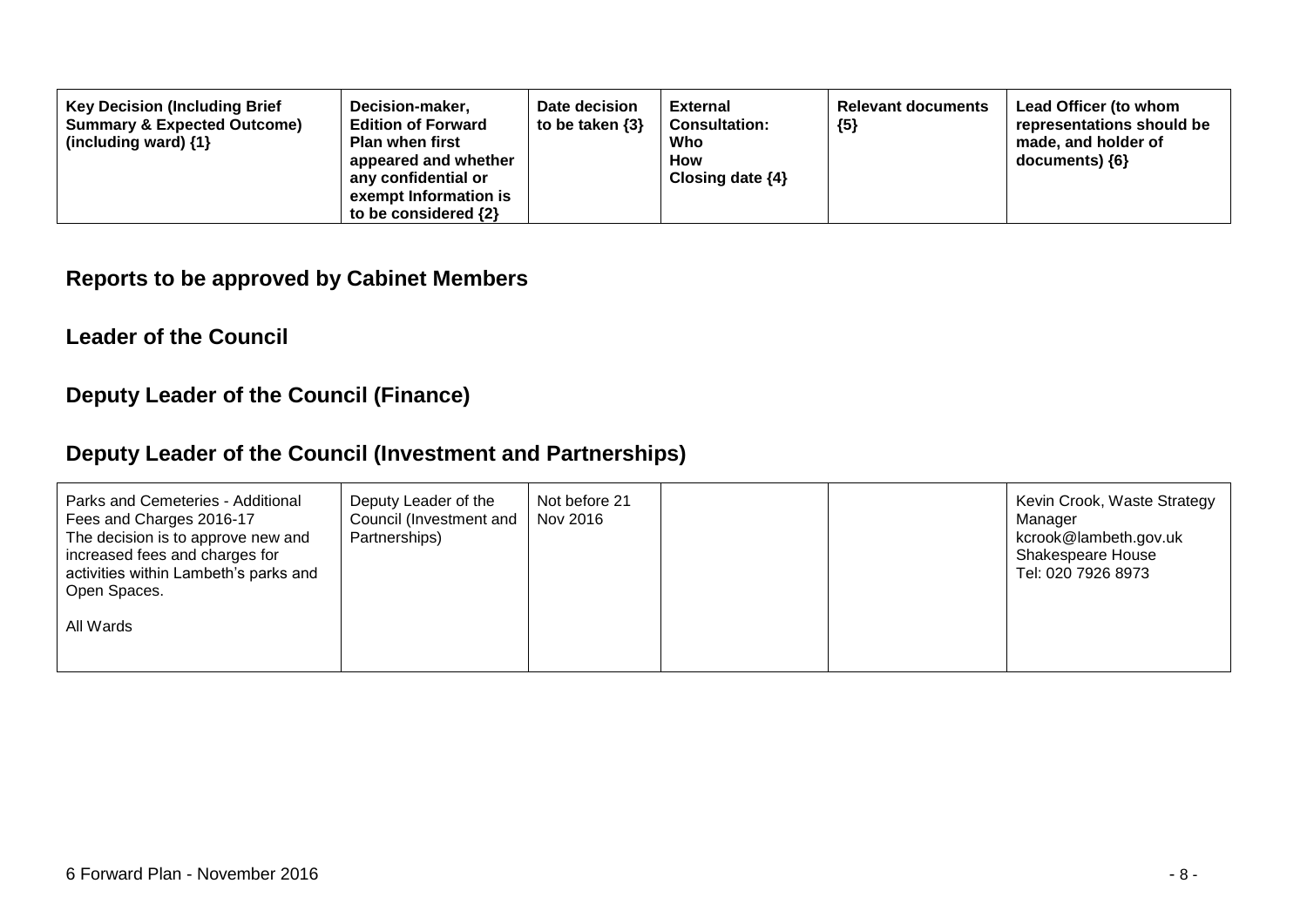| <b>Key Decision (Including Brief</b><br>Decision-maker,<br><b>Edition of Forward</b><br><b>Summary &amp; Expected Outcome)</b><br><b>Plan when first</b><br>(including ward) $\{1\}$<br>appeared and whether<br>any confidential or<br>exempt Information is<br>to be considered $\{2\}$ | Date decision<br>to be taken $\{3\}$ | <b>External</b><br><b>Consultation:</b><br>Who<br><b>How</b><br>Closing date $\{4\}$ | <b>Relevant documents</b><br>${5}$ | Lead Officer (to whom<br>representations should be<br>made, and holder of<br>$documents)$ {6} |
|------------------------------------------------------------------------------------------------------------------------------------------------------------------------------------------------------------------------------------------------------------------------------------------|--------------------------------------|--------------------------------------------------------------------------------------|------------------------------------|-----------------------------------------------------------------------------------------------|
|------------------------------------------------------------------------------------------------------------------------------------------------------------------------------------------------------------------------------------------------------------------------------------------|--------------------------------------|--------------------------------------------------------------------------------------|------------------------------------|-----------------------------------------------------------------------------------------------|

#### **Reports to be approved by Cabinet Members**

#### **Leader of the Council**

### **Deputy Leader of the Council (Finance)**

### **Deputy Leader of the Council (Investment and Partnerships)**

| Parks and Cemeteries - Additional<br>Deputy Leader of the<br>Council (Investment and  <br>Fees and Charges 2016-17<br>The decision is to approve new and<br>Partnerships)<br>increased fees and charges for<br>activities within Lambeth's parks and<br>Open Spaces.<br>All Wards | Not before 21<br>Nov 2016 | Kevin Crook, Waste Strategy<br>Manager<br>kcrook@lambeth.gov.uk<br>Shakespeare House<br>Tel: 020 7926 8973 |
|-----------------------------------------------------------------------------------------------------------------------------------------------------------------------------------------------------------------------------------------------------------------------------------|---------------------------|------------------------------------------------------------------------------------------------------------|
|-----------------------------------------------------------------------------------------------------------------------------------------------------------------------------------------------------------------------------------------------------------------------------------|---------------------------|------------------------------------------------------------------------------------------------------------|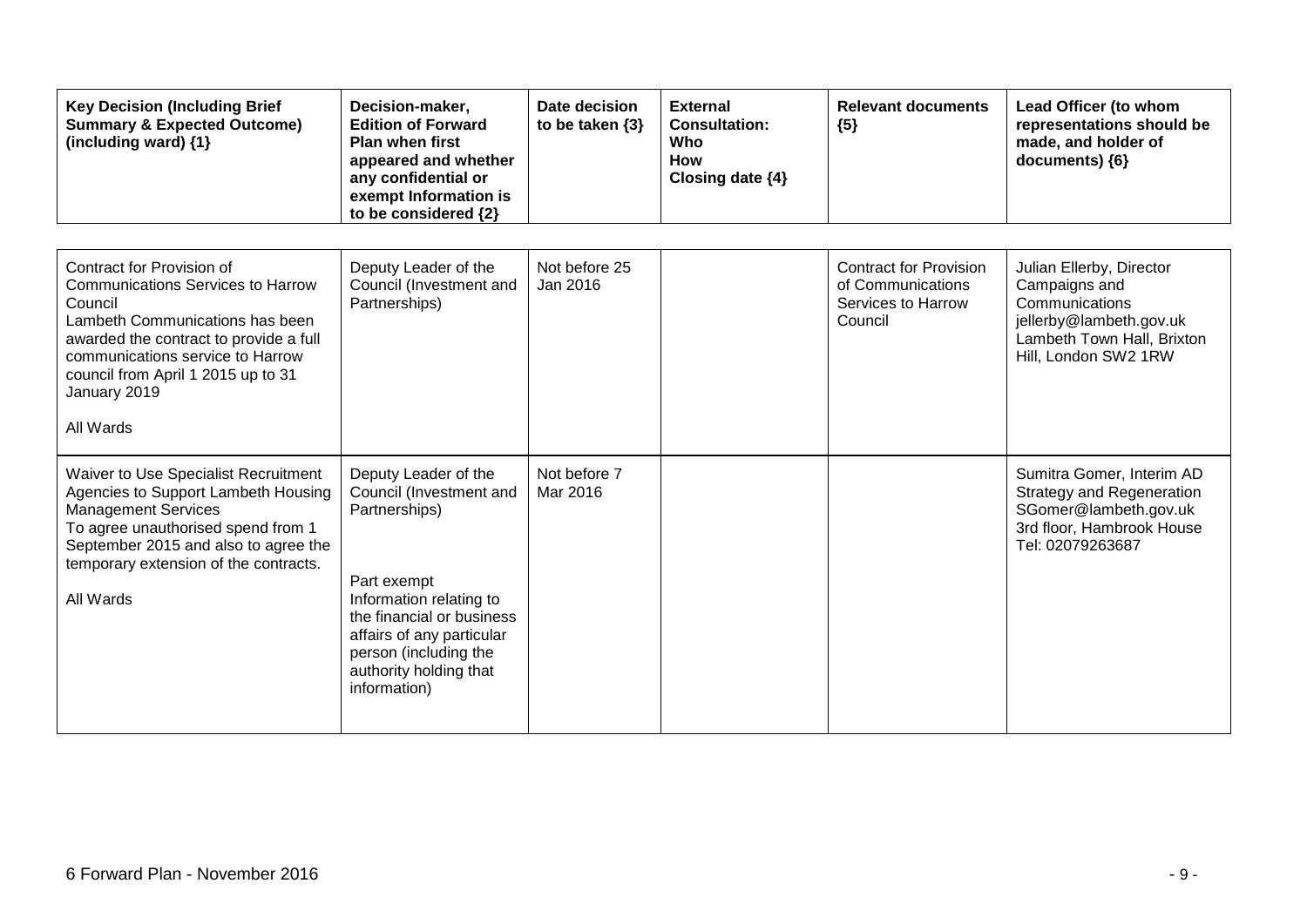| <b>Key Decision (Including Brief</b><br><b>Summary &amp; Expected Outcome)</b><br>(including ward) {1}                                                                                                                                  | Decision-maker,<br><b>Edition of Forward</b><br><b>Plan when first</b><br>appeared and whether<br>any confidential or<br>exempt Information is<br>to be considered {2} | Date decision<br>to be taken $\{3\}$ | <b>External</b><br><b>Consultation:</b><br>Who<br><b>How</b><br>Closing date {4} | <b>Relevant documents</b><br>${5}$                 | Lead Officer (to whom<br>representations should be<br>made, and holder of<br>documents) {6}                                      |
|-----------------------------------------------------------------------------------------------------------------------------------------------------------------------------------------------------------------------------------------|------------------------------------------------------------------------------------------------------------------------------------------------------------------------|--------------------------------------|----------------------------------------------------------------------------------|----------------------------------------------------|----------------------------------------------------------------------------------------------------------------------------------|
| Contract for Provision of                                                                                                                                                                                                               | Deputy Leader of the                                                                                                                                                   | Not before 25                        |                                                                                  | <b>Contract for Provision</b>                      | Julian Ellerby, Director                                                                                                         |
| <b>Communications Services to Harrow</b><br>Council<br>Lambeth Communications has been<br>awarded the contract to provide a full<br>communications service to Harrow<br>council from April 1 2015 up to 31<br>January 2019<br>All Wards | Council (Investment and<br>Partnerships)                                                                                                                               | Jan 2016                             |                                                                                  | of Communications<br>Services to Harrow<br>Council | Campaigns and<br>Communications<br>jellerby@lambeth.gov.uk<br>Lambeth Town Hall, Brixton<br>Hill, London SW2 1RW                 |
|                                                                                                                                                                                                                                         |                                                                                                                                                                        |                                      |                                                                                  |                                                    |                                                                                                                                  |
| Waiver to Use Specialist Recruitment<br>Agencies to Support Lambeth Housing<br><b>Management Services</b><br>To agree unauthorised spend from 1<br>September 2015 and also to agree the<br>temporary extension of the contracts.        | Deputy Leader of the<br>Council (Investment and<br>Partnerships)                                                                                                       | Not before 7<br>Mar 2016             |                                                                                  |                                                    | Sumitra Gomer, Interim AD<br>Strategy and Regeneration<br>SGomer@lambeth.gov.uk<br>3rd floor, Hambrook House<br>Tel: 02079263687 |
| All Wards                                                                                                                                                                                                                               | Part exempt<br>Information relating to<br>the financial or business<br>affairs of any particular<br>person (including the<br>authority holding that<br>information)    |                                      |                                                                                  |                                                    |                                                                                                                                  |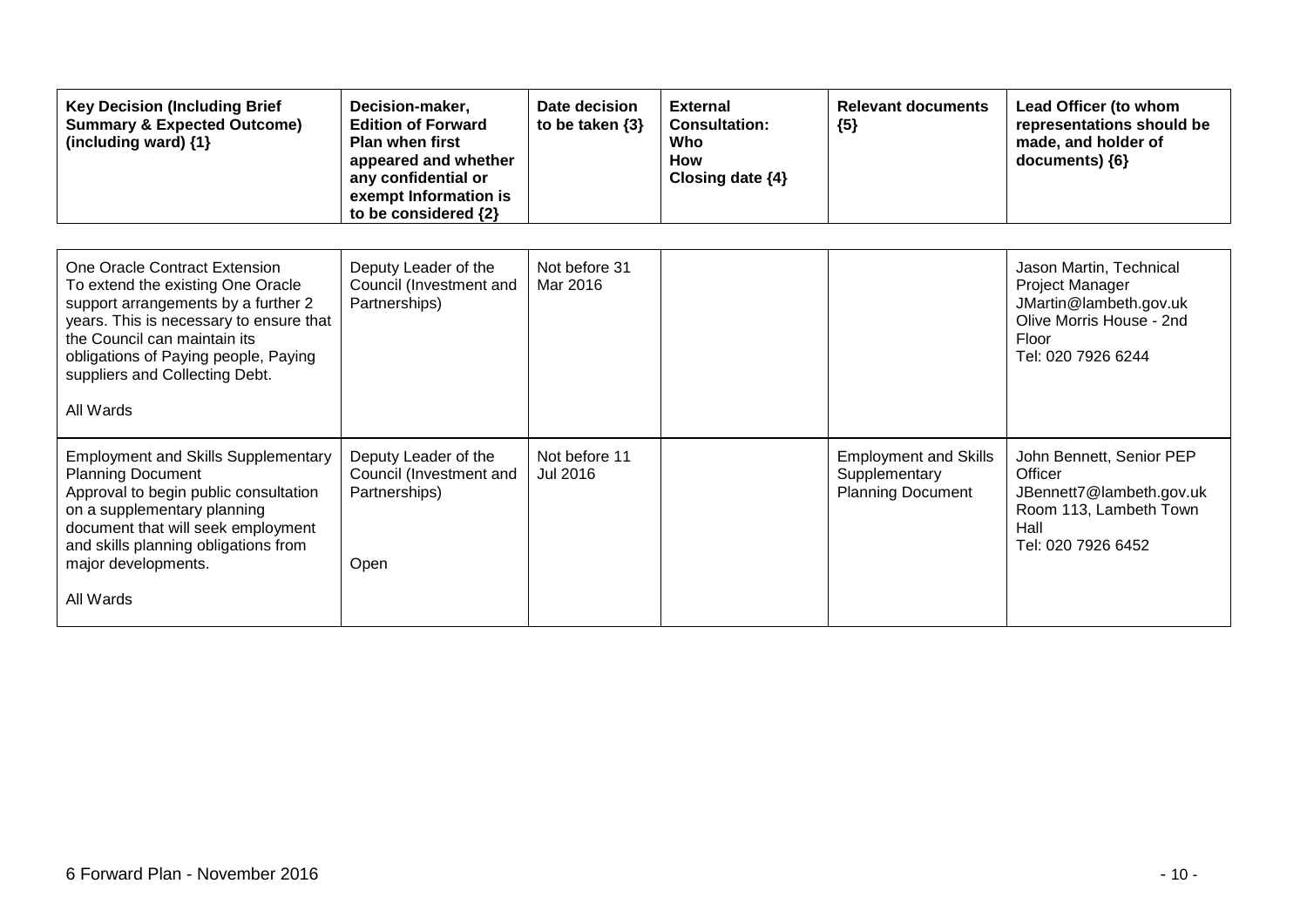| <b>Key Decision (Including Brief</b><br><b>Summary &amp; Expected Outcome)</b><br>(including ward) {1}                                                                                                                                                                      | Decision-maker,<br><b>Edition of Forward</b><br><b>Plan when first</b><br>appeared and whether<br>any confidential or<br>exempt Information is<br>to be considered {2} | Date decision<br>to be taken $\{3\}$ | <b>External</b><br><b>Consultation:</b><br>Who<br>How<br>Closing date {4} | <b>Relevant documents</b><br>${5}$                                        | Lead Officer (to whom<br>representations should be<br>made, and holder of<br>documents) {6}                                            |
|-----------------------------------------------------------------------------------------------------------------------------------------------------------------------------------------------------------------------------------------------------------------------------|------------------------------------------------------------------------------------------------------------------------------------------------------------------------|--------------------------------------|---------------------------------------------------------------------------|---------------------------------------------------------------------------|----------------------------------------------------------------------------------------------------------------------------------------|
| One Oracle Contract Extension<br>To extend the existing One Oracle<br>support arrangements by a further 2<br>years. This is necessary to ensure that<br>the Council can maintain its<br>obligations of Paying people, Paying<br>suppliers and Collecting Debt.<br>All Wards | Deputy Leader of the<br>Council (Investment and<br>Partnerships)                                                                                                       | Not before 31<br>Mar 2016            |                                                                           |                                                                           | Jason Martin, Technical<br><b>Project Manager</b><br>JMartin@lambeth.gov.uk<br>Olive Morris House - 2nd<br>Floor<br>Tel: 020 7926 6244 |
| <b>Employment and Skills Supplementary</b><br><b>Planning Document</b><br>Approval to begin public consultation<br>on a supplementary planning<br>document that will seek employment<br>and skills planning obligations from<br>major developments.<br>All Wards            | Deputy Leader of the<br>Council (Investment and<br>Partnerships)<br>Open                                                                                               | Not before 11<br>Jul 2016            |                                                                           | <b>Employment and Skills</b><br>Supplementary<br><b>Planning Document</b> | John Bennett, Senior PEP<br>Officer<br>JBennett7@lambeth.gov.uk<br>Room 113, Lambeth Town<br>Hall<br>Tel: 020 7926 6452                |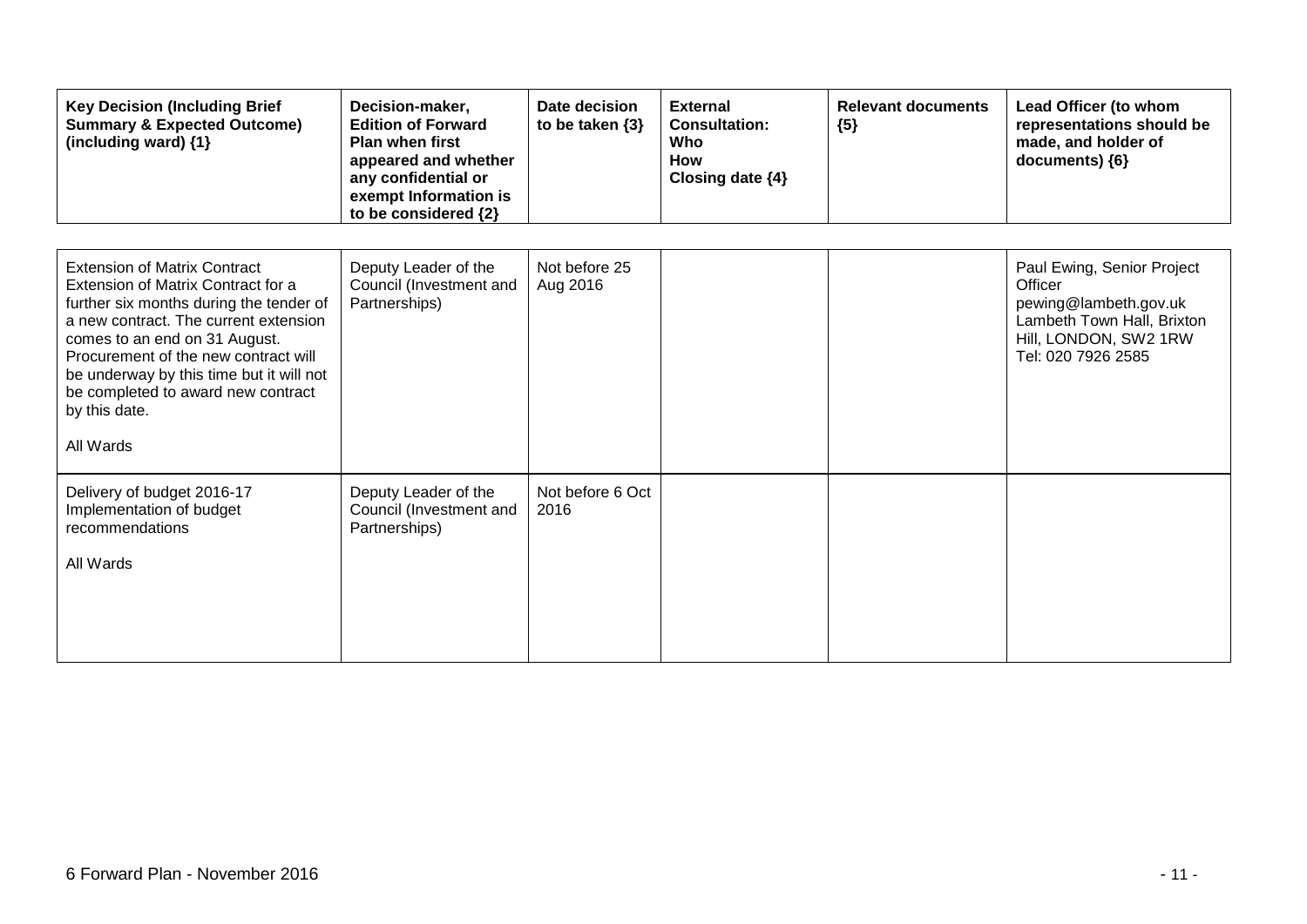| <b>Key Decision (Including Brief</b><br><b>Summary &amp; Expected Outcome)</b><br>(including ward) {1}                                                                                                                                                                                                                                                 | Decision-maker,<br><b>Edition of Forward</b><br><b>Plan when first</b><br>appeared and whether<br>any confidential or<br>exempt Information is<br>to be considered {2} | Date decision<br>to be taken $\{3\}$ | <b>External</b><br><b>Consultation:</b><br>Who<br><b>How</b><br>Closing date {4} | <b>Relevant documents</b><br>${5}$ | Lead Officer (to whom<br>representations should be<br>made, and holder of<br>documents) {6}                                                 |
|--------------------------------------------------------------------------------------------------------------------------------------------------------------------------------------------------------------------------------------------------------------------------------------------------------------------------------------------------------|------------------------------------------------------------------------------------------------------------------------------------------------------------------------|--------------------------------------|----------------------------------------------------------------------------------|------------------------------------|---------------------------------------------------------------------------------------------------------------------------------------------|
| <b>Extension of Matrix Contract</b><br>Extension of Matrix Contract for a<br>further six months during the tender of<br>a new contract. The current extension<br>comes to an end on 31 August.<br>Procurement of the new contract will<br>be underway by this time but it will not<br>be completed to award new contract<br>by this date.<br>All Wards | Deputy Leader of the<br>Council (Investment and<br>Partnerships)                                                                                                       | Not before 25<br>Aug 2016            |                                                                                  |                                    | Paul Ewing, Senior Project<br>Officer<br>pewing@lambeth.gov.uk<br>Lambeth Town Hall, Brixton<br>Hill, LONDON, SW2 1RW<br>Tel: 020 7926 2585 |
| Delivery of budget 2016-17<br>Implementation of budget<br>recommendations<br>All Wards                                                                                                                                                                                                                                                                 | Deputy Leader of the<br>Council (Investment and<br>Partnerships)                                                                                                       | Not before 6 Oct<br>2016             |                                                                                  |                                    |                                                                                                                                             |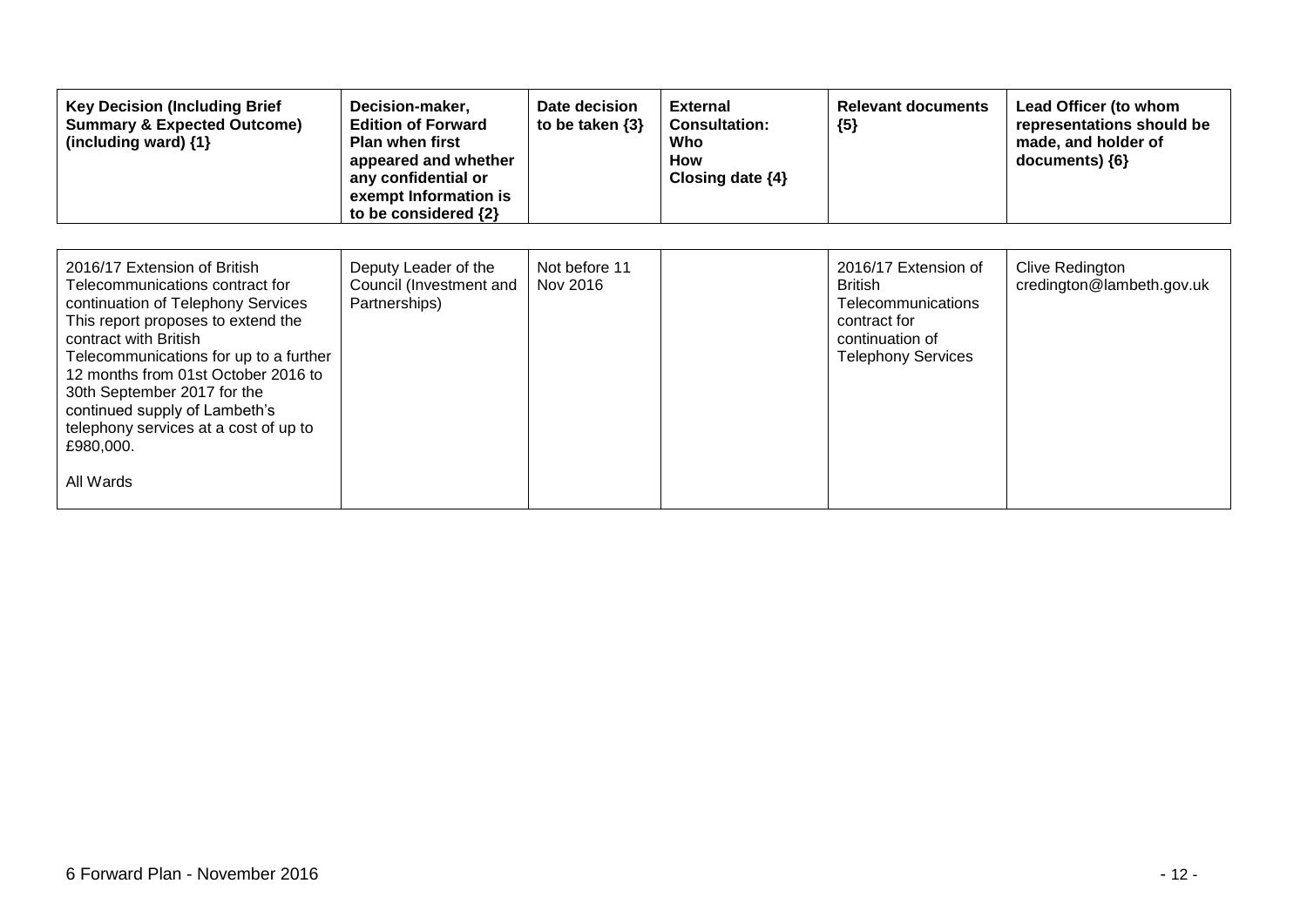| <b>Key Decision (Including Brief</b><br><b>Summary &amp; Expected Outcome)</b><br>(including ward) $\{1\}$                                                                                                                                                                                                                                                                               | Decision-maker,<br><b>Edition of Forward</b><br><b>Plan when first</b><br>appeared and whether<br>any confidential or<br>exempt Information is<br>to be considered {2} | Date decision<br>to be taken $\{3\}$ | <b>External</b><br><b>Consultation:</b><br>Who<br><b>How</b><br>Closing date $\{4\}$ | <b>Relevant documents</b><br>${5}$                                                                                                  | Lead Officer (to whom<br>representations should be<br>made, and holder of<br>documents) {6} |
|------------------------------------------------------------------------------------------------------------------------------------------------------------------------------------------------------------------------------------------------------------------------------------------------------------------------------------------------------------------------------------------|------------------------------------------------------------------------------------------------------------------------------------------------------------------------|--------------------------------------|--------------------------------------------------------------------------------------|-------------------------------------------------------------------------------------------------------------------------------------|---------------------------------------------------------------------------------------------|
| 2016/17 Extension of British<br>Telecommunications contract for<br>continuation of Telephony Services<br>This report proposes to extend the<br>contract with British<br>Telecommunications for up to a further<br>12 months from 01st October 2016 to<br>30th September 2017 for the<br>continued supply of Lambeth's<br>telephony services at a cost of up to<br>£980,000.<br>All Wards | Deputy Leader of the<br>Council (Investment and<br>Partnerships)                                                                                                       | Not before 11<br>Nov 2016            |                                                                                      | 2016/17 Extension of<br><b>British</b><br><b>Telecommunications</b><br>contract for<br>continuation of<br><b>Telephony Services</b> | <b>Clive Redington</b><br>credington@lambeth.gov.uk                                         |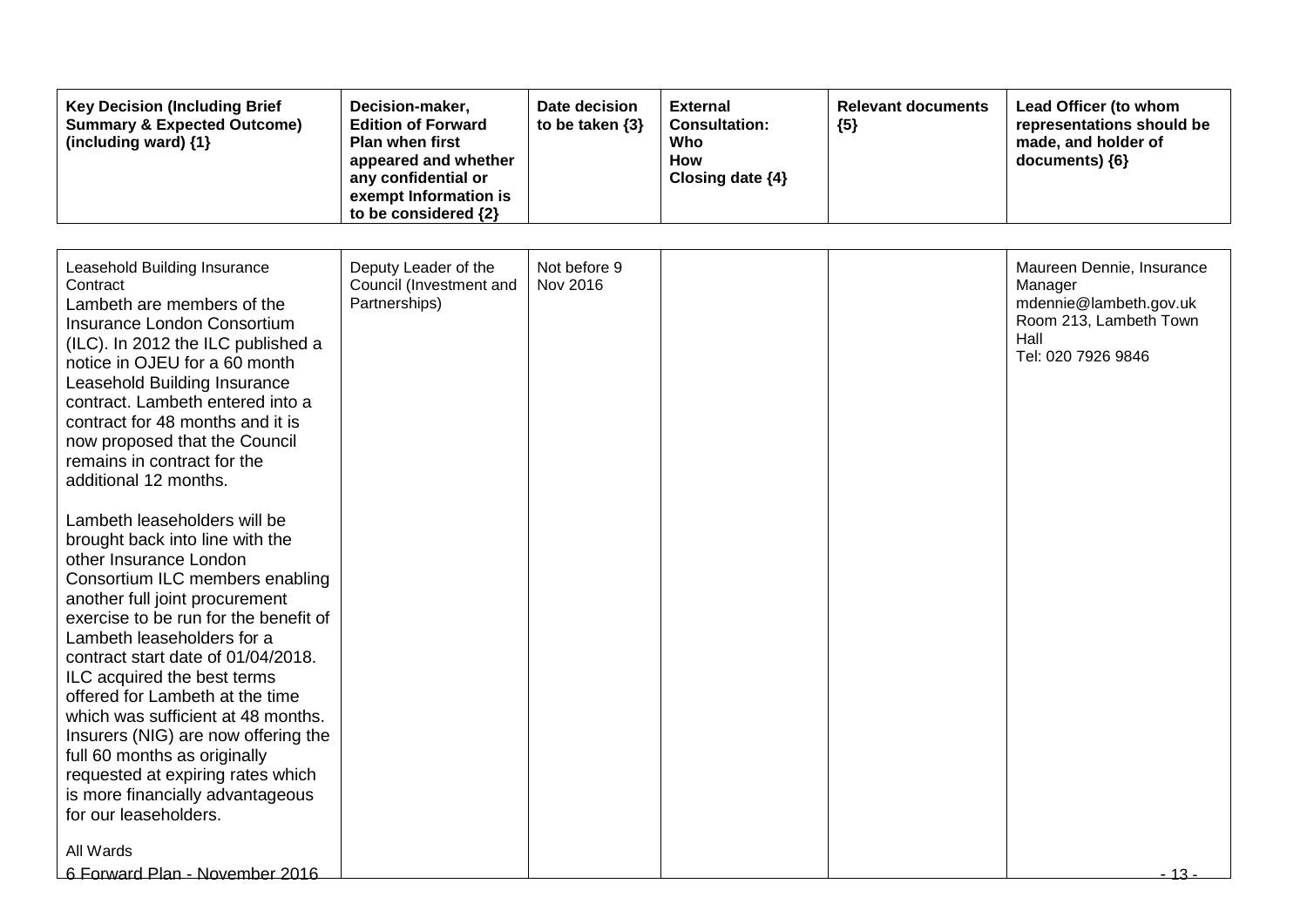| <b>Key Decision (Including Brief</b><br><b>Summary &amp; Expected Outcome)</b><br>(including ward) {1}                                                                                                                                                                                                                                                                                                                                                                                                                                                                                                                                                                                                                                                                                                                                                                                                                                                                                       | Decision-maker,<br><b>Edition of Forward</b><br><b>Plan when first</b><br>appeared and whether<br>any confidential or<br>exempt Information is<br>to be considered {2} | Date decision<br>to be taken $\{3\}$ | <b>External</b><br><b>Consultation:</b><br>Who<br><b>How</b><br>Closing date {4} | <b>Relevant documents</b><br>${5}$ | Lead Officer (to whom<br>representations should be<br>made, and holder of<br>documents) {6}                                    |
|----------------------------------------------------------------------------------------------------------------------------------------------------------------------------------------------------------------------------------------------------------------------------------------------------------------------------------------------------------------------------------------------------------------------------------------------------------------------------------------------------------------------------------------------------------------------------------------------------------------------------------------------------------------------------------------------------------------------------------------------------------------------------------------------------------------------------------------------------------------------------------------------------------------------------------------------------------------------------------------------|------------------------------------------------------------------------------------------------------------------------------------------------------------------------|--------------------------------------|----------------------------------------------------------------------------------|------------------------------------|--------------------------------------------------------------------------------------------------------------------------------|
| Leasehold Building Insurance<br>Contract<br>Lambeth are members of the<br>Insurance London Consortium<br>(ILC). In 2012 the ILC published a<br>notice in OJEU for a 60 month<br>Leasehold Building Insurance<br>contract. Lambeth entered into a<br>contract for 48 months and it is<br>now proposed that the Council<br>remains in contract for the<br>additional 12 months.<br>Lambeth leaseholders will be<br>brought back into line with the<br>other Insurance London<br>Consortium ILC members enabling<br>another full joint procurement<br>exercise to be run for the benefit of<br>Lambeth leaseholders for a<br>contract start date of 01/04/2018.<br>ILC acquired the best terms<br>offered for Lambeth at the time<br>which was sufficient at 48 months.<br>Insurers (NIG) are now offering the<br>full 60 months as originally<br>requested at expiring rates which<br>is more financially advantageous<br>for our leaseholders.<br>All Wards<br>6 Forward Plan - November 2016 | Deputy Leader of the<br>Council (Investment and<br>Partnerships)                                                                                                       | Not before 9<br>Nov 2016             |                                                                                  |                                    | Maureen Dennie, Insurance<br>Manager<br>mdennie@lambeth.gov.uk<br>Room 213, Lambeth Town<br>Hall<br>Tel: 020 7926 9846<br>- 13 |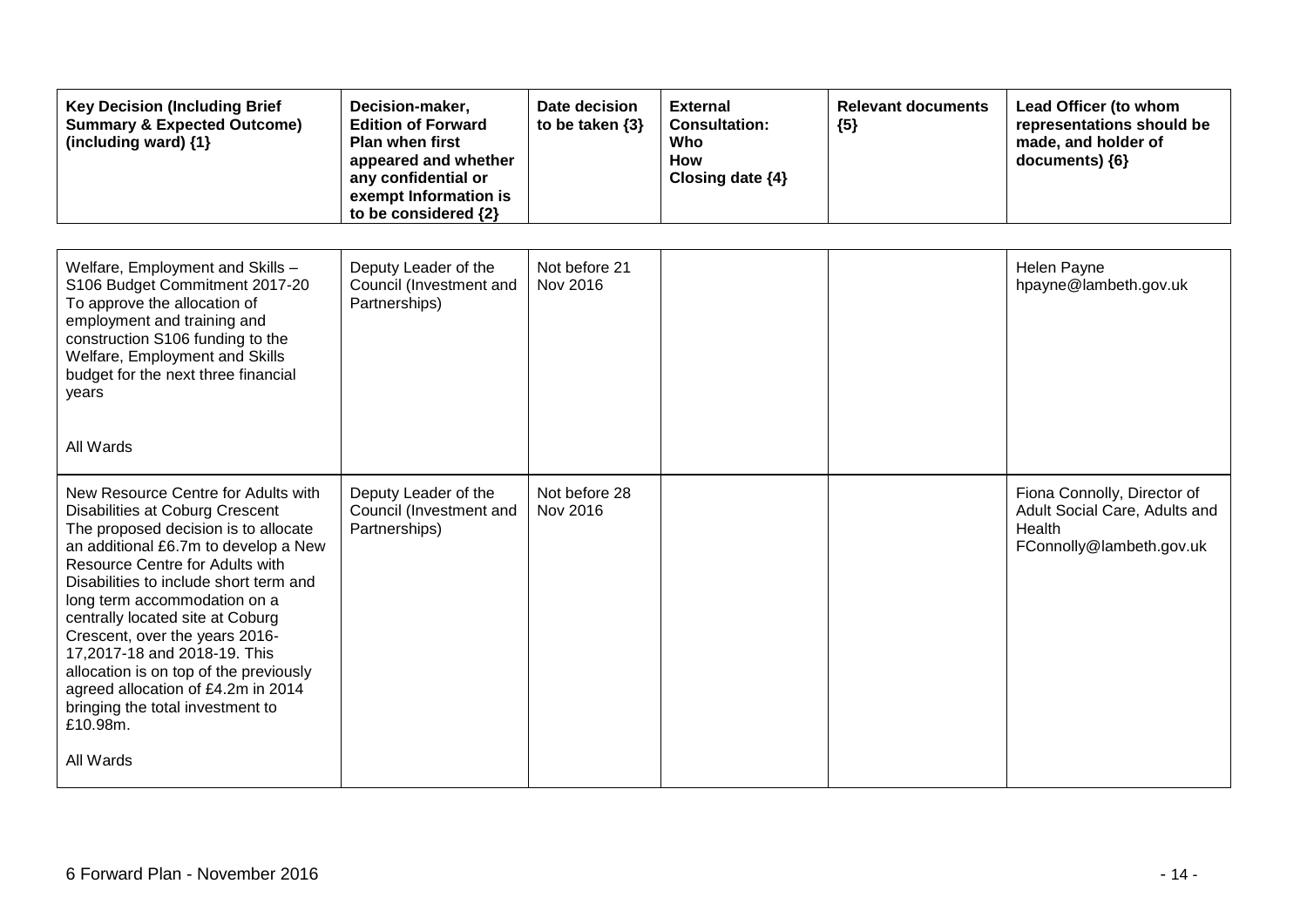| <b>Key Decision (Including Brief</b><br><b>Summary &amp; Expected Outcome)</b><br>(including ward) $\{1\}$                                                                                                                                                                                                                                                                                                                                                                                                       | Decision-maker,<br><b>Edition of Forward</b><br><b>Plan when first</b><br>appeared and whether<br>any confidential or<br>exempt Information is<br>to be considered {2} | Date decision<br>to be taken $\{3\}$ | <b>External</b><br><b>Consultation:</b><br>Who<br>How<br>Closing date {4} | <b>Relevant documents</b><br>${5}$ | Lead Officer (to whom<br>representations should be<br>made, and holder of<br>documents) {6}        |
|------------------------------------------------------------------------------------------------------------------------------------------------------------------------------------------------------------------------------------------------------------------------------------------------------------------------------------------------------------------------------------------------------------------------------------------------------------------------------------------------------------------|------------------------------------------------------------------------------------------------------------------------------------------------------------------------|--------------------------------------|---------------------------------------------------------------------------|------------------------------------|----------------------------------------------------------------------------------------------------|
|                                                                                                                                                                                                                                                                                                                                                                                                                                                                                                                  |                                                                                                                                                                        |                                      |                                                                           |                                    |                                                                                                    |
| Welfare, Employment and Skills -<br>S106 Budget Commitment 2017-20<br>To approve the allocation of<br>employment and training and<br>construction S106 funding to the<br>Welfare, Employment and Skills<br>budget for the next three financial<br>years                                                                                                                                                                                                                                                          | Deputy Leader of the<br>Council (Investment and<br>Partnerships)                                                                                                       | Not before 21<br>Nov 2016            |                                                                           |                                    | <b>Helen Payne</b><br>hpayne@lambeth.gov.uk                                                        |
| All Wards                                                                                                                                                                                                                                                                                                                                                                                                                                                                                                        |                                                                                                                                                                        |                                      |                                                                           |                                    |                                                                                                    |
| New Resource Centre for Adults with<br>Disabilities at Coburg Crescent<br>The proposed decision is to allocate<br>an additional £6.7m to develop a New<br><b>Resource Centre for Adults with</b><br>Disabilities to include short term and<br>long term accommodation on a<br>centrally located site at Coburg<br>Crescent, over the years 2016-<br>17,2017-18 and 2018-19. This<br>allocation is on top of the previously<br>agreed allocation of £4.2m in 2014<br>bringing the total investment to<br>£10.98m. | Deputy Leader of the<br>Council (Investment and<br>Partnerships)                                                                                                       | Not before 28<br>Nov 2016            |                                                                           |                                    | Fiona Connolly, Director of<br>Adult Social Care, Adults and<br>Health<br>FConnolly@lambeth.gov.uk |
| All Wards                                                                                                                                                                                                                                                                                                                                                                                                                                                                                                        |                                                                                                                                                                        |                                      |                                                                           |                                    |                                                                                                    |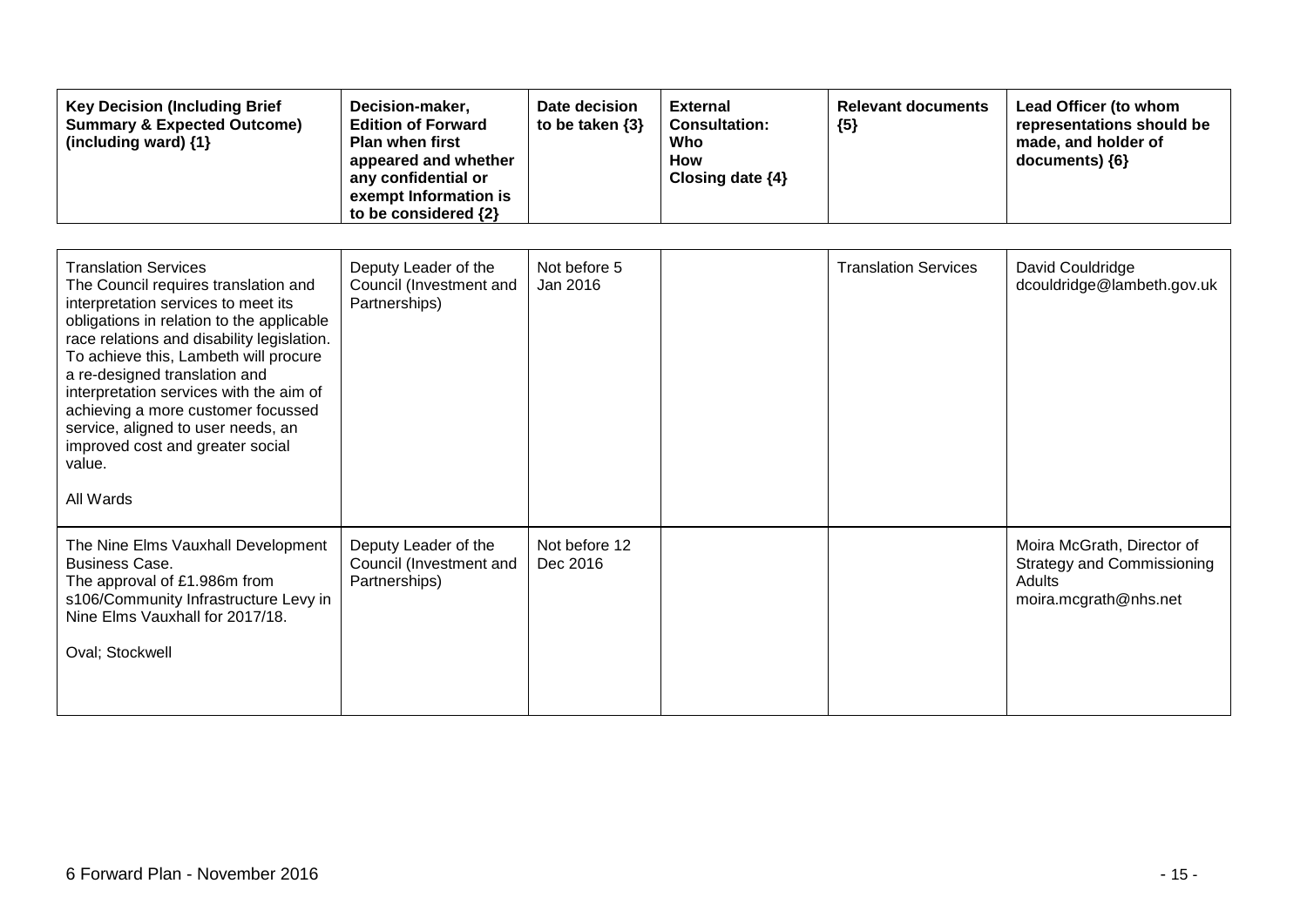| <b>Key Decision (Including Brief</b><br><b>Summary &amp; Expected Outcome)</b><br>(including ward) {1}                                                                                                                                                                                                                                                                                                                                                            | Decision-maker,<br><b>Edition of Forward</b><br><b>Plan when first</b><br>appeared and whether<br>any confidential or<br>exempt Information is<br>to be considered {2} | Date decision<br>to be taken $\{3\}$ | <b>External</b><br><b>Consultation:</b><br>Who<br>How<br>Closing date {4} | <b>Relevant documents</b><br>${5}$ | Lead Officer (to whom<br>representations should be<br>made, and holder of<br>documents) {6}               |
|-------------------------------------------------------------------------------------------------------------------------------------------------------------------------------------------------------------------------------------------------------------------------------------------------------------------------------------------------------------------------------------------------------------------------------------------------------------------|------------------------------------------------------------------------------------------------------------------------------------------------------------------------|--------------------------------------|---------------------------------------------------------------------------|------------------------------------|-----------------------------------------------------------------------------------------------------------|
| <b>Translation Services</b><br>The Council requires translation and<br>interpretation services to meet its<br>obligations in relation to the applicable<br>race relations and disability legislation.<br>To achieve this, Lambeth will procure<br>a re-designed translation and<br>interpretation services with the aim of<br>achieving a more customer focussed<br>service, aligned to user needs, an<br>improved cost and greater social<br>value.<br>All Wards | Deputy Leader of the<br>Council (Investment and<br>Partnerships)                                                                                                       | Not before 5<br>Jan 2016             |                                                                           | <b>Translation Services</b>        | David Couldridge<br>dcouldridge@lambeth.gov.uk                                                            |
| The Nine Elms Vauxhall Development<br><b>Business Case.</b><br>The approval of £1.986m from<br>s106/Community Infrastructure Levy in<br>Nine Elms Vauxhall for 2017/18.<br>Oval; Stockwell                                                                                                                                                                                                                                                                        | Deputy Leader of the<br>Council (Investment and<br>Partnerships)                                                                                                       | Not before 12<br>Dec 2016            |                                                                           |                                    | Moira McGrath, Director of<br><b>Strategy and Commissioning</b><br><b>Adults</b><br>moira.mcgrath@nhs.net |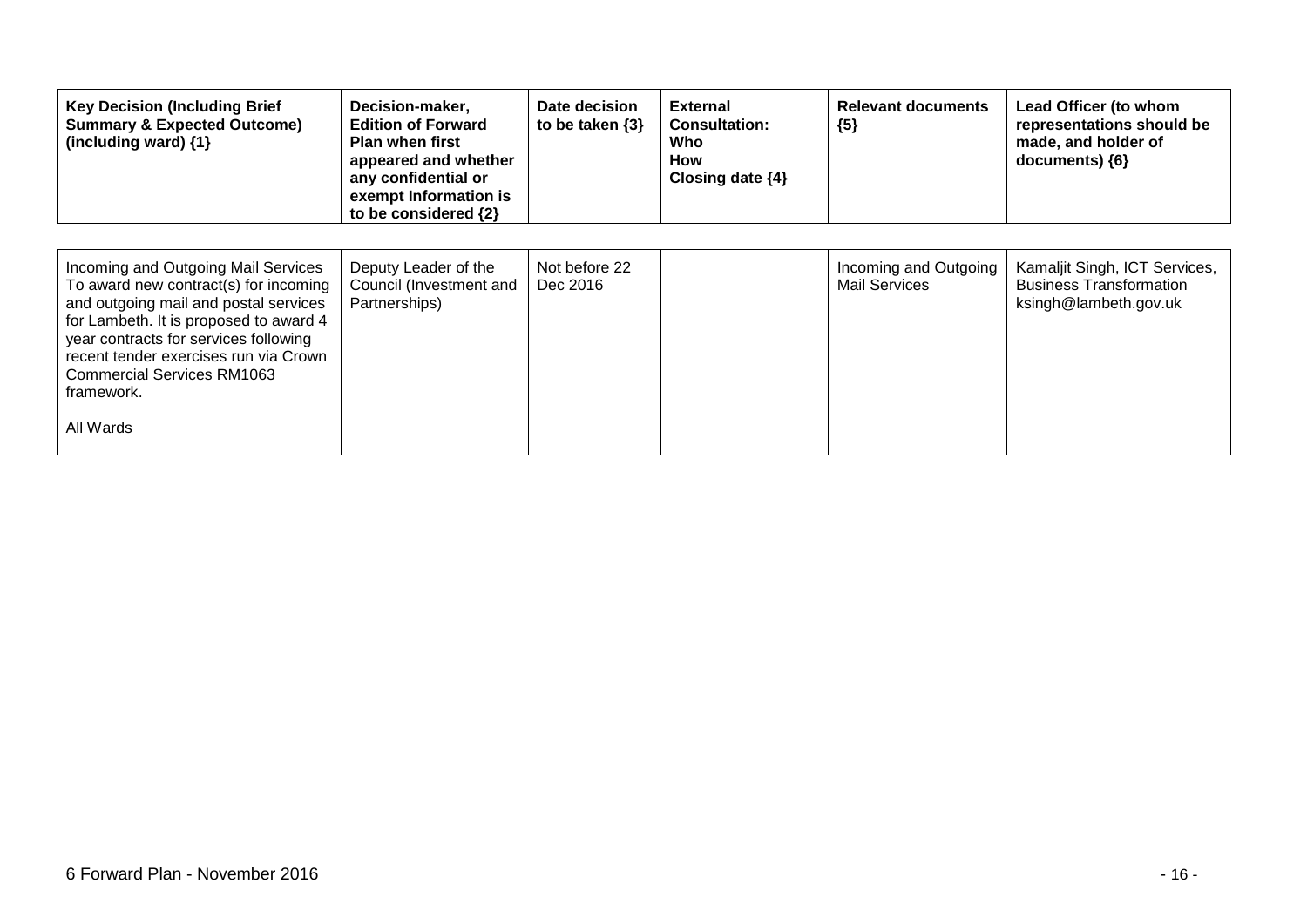| <b>Key Decision (Including Brief</b><br><b>Summary &amp; Expected Outcome)</b><br>(including ward) {1}                                                                                                                                                                                                     | Decision-maker,<br><b>Edition of Forward</b><br><b>Plan when first</b><br>appeared and whether<br>any confidential or<br>exempt Information is<br>to be considered {2} | Date decision<br>to be taken $\{3\}$ | <b>External</b><br><b>Consultation:</b><br>Who<br>How<br>Closing date {4} | <b>Relevant documents</b><br>${5}$            | Lead Officer (to whom<br>representations should be<br>made, and holder of<br>documents) {6} |
|------------------------------------------------------------------------------------------------------------------------------------------------------------------------------------------------------------------------------------------------------------------------------------------------------------|------------------------------------------------------------------------------------------------------------------------------------------------------------------------|--------------------------------------|---------------------------------------------------------------------------|-----------------------------------------------|---------------------------------------------------------------------------------------------|
| Incoming and Outgoing Mail Services<br>To award new contract(s) for incoming<br>and outgoing mail and postal services<br>for Lambeth. It is proposed to award 4<br>year contracts for services following<br>recent tender exercises run via Crown<br>Commercial Services RM1063<br>framework.<br>All Wards | Deputy Leader of the<br>Council (Investment and<br>Partnerships)                                                                                                       | Not before 22<br>Dec 2016            |                                                                           | Incoming and Outgoing<br><b>Mail Services</b> | Kamaljit Singh, ICT Services,<br><b>Business Transformation</b><br>ksingh@lambeth.gov.uk    |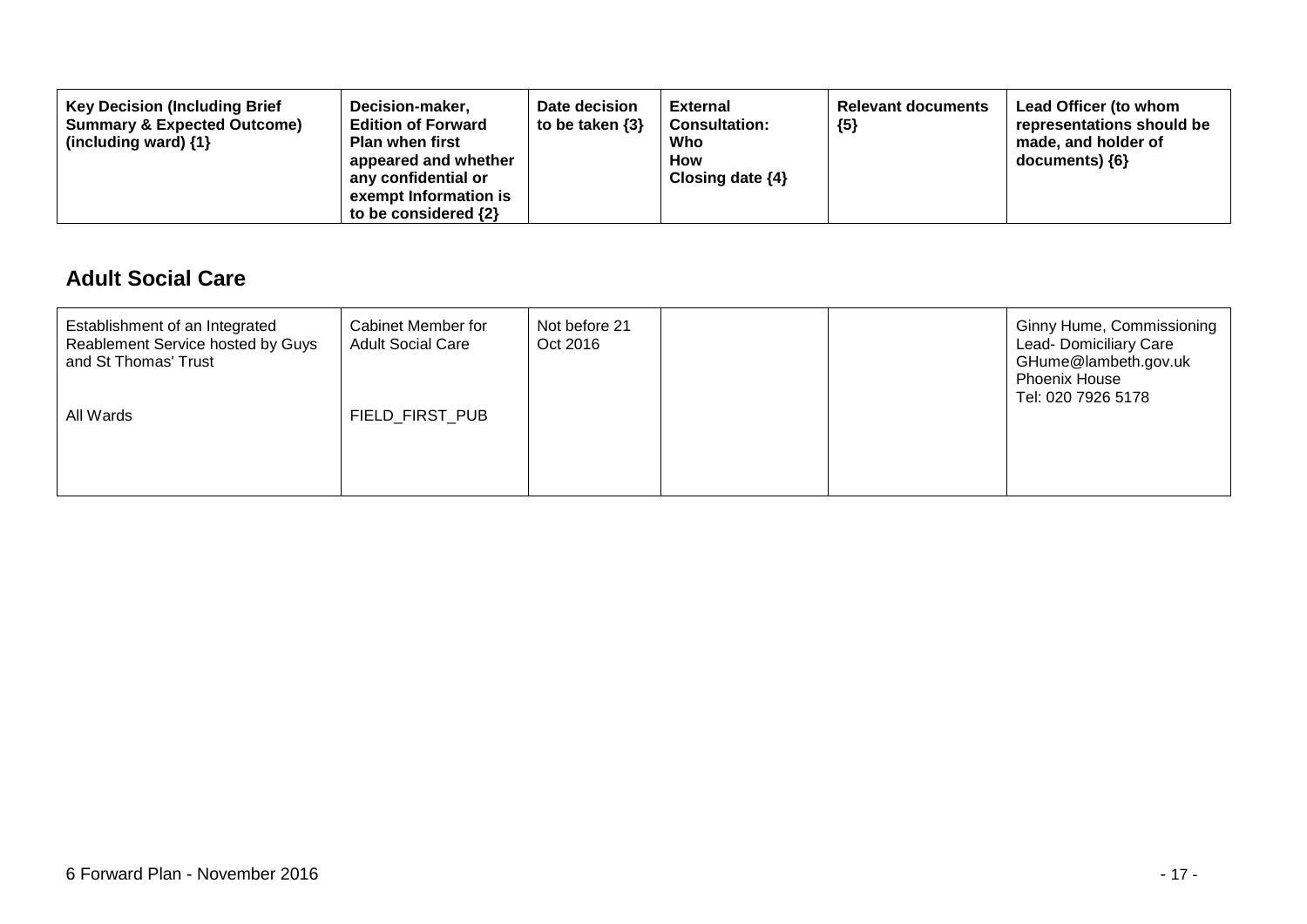| <b>Key Decision (Including Brief</b><br><b>Summary &amp; Expected Outcome)</b><br>(including ward) $\{1\}$ | Decision-maker,<br><b>Edition of Forward</b><br><b>Plan when first</b><br>appeared and whether<br>any confidential or<br>exempt Information is<br>to be considered $\{2\}$ | Date decision<br>to be taken $\{3\}$ | External<br><b>Consultation:</b><br>Who<br>How<br>Closing date $\{4\}$ | <b>Relevant documents</b><br>${5}$ | Lead Officer (to whom<br>representations should be<br>made, and holder of<br>documents) {6} |
|------------------------------------------------------------------------------------------------------------|----------------------------------------------------------------------------------------------------------------------------------------------------------------------------|--------------------------------------|------------------------------------------------------------------------|------------------------------------|---------------------------------------------------------------------------------------------|
|------------------------------------------------------------------------------------------------------------|----------------------------------------------------------------------------------------------------------------------------------------------------------------------------|--------------------------------------|------------------------------------------------------------------------|------------------------------------|---------------------------------------------------------------------------------------------|

#### **Adult Social Care**

| Establishment of an Integrated<br>Reablement Service hosted by Guys<br>and St Thomas' Trust<br>All Wards | Cabinet Member for<br><b>Adult Social Care</b><br>FIELD_FIRST_PUB | Not before 21<br>Oct 2016 |  | <b>Ginny Hume, Commissioning</b><br>Lead- Domiciliary Care<br>GHume@lambeth.gov.uk<br><b>Phoenix House</b><br>Tel: 020 7926 5178 |
|----------------------------------------------------------------------------------------------------------|-------------------------------------------------------------------|---------------------------|--|----------------------------------------------------------------------------------------------------------------------------------|
|                                                                                                          |                                                                   |                           |  |                                                                                                                                  |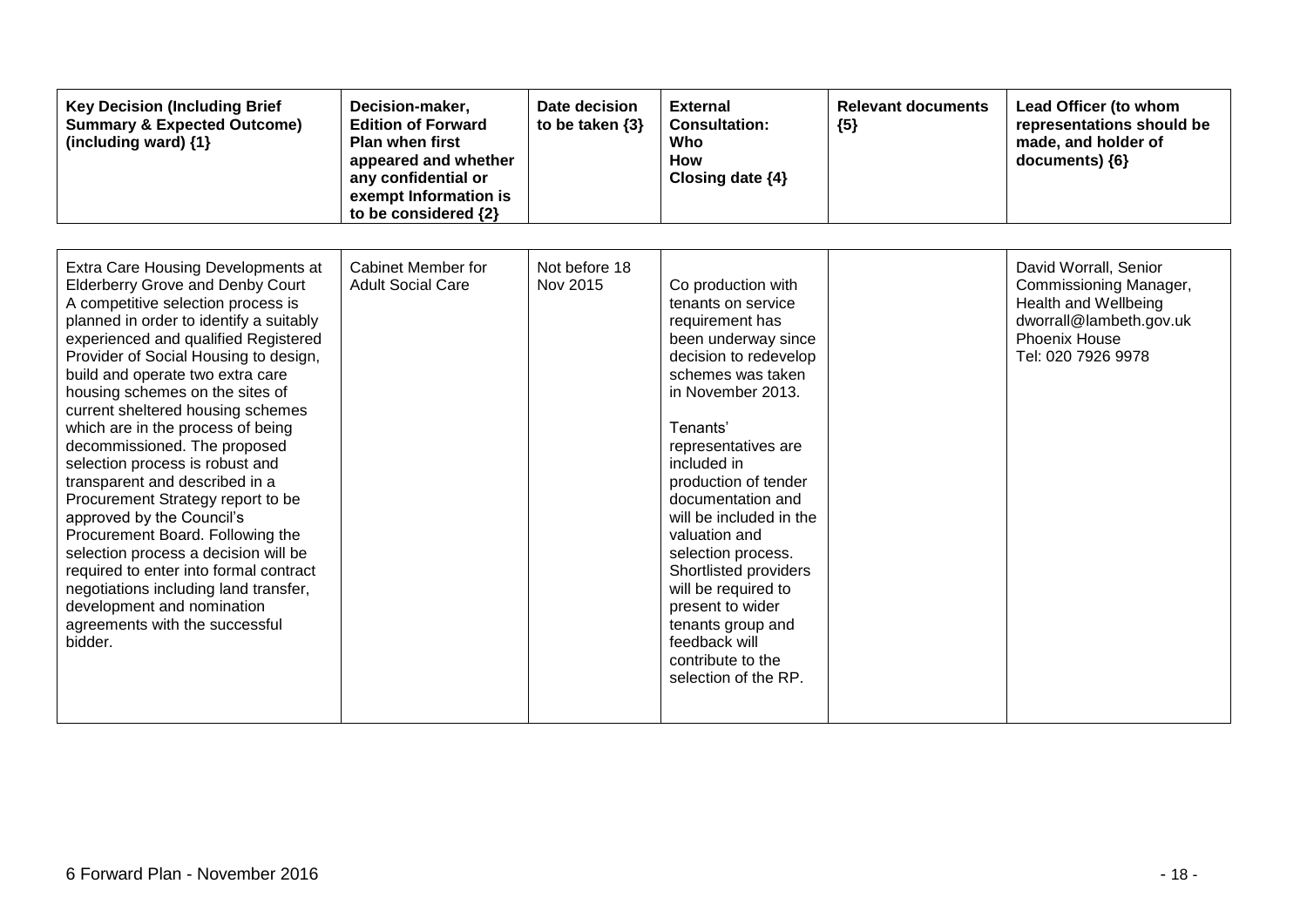| <b>Key Decision (Including Brief</b><br><b>Summary &amp; Expected Outcome)</b><br>(including ward) {1}                                                                                                                                                                                                                                                                                                                                                                                                                                                                                                                                                                                                                                                                                                            | Decision-maker,<br><b>Edition of Forward</b><br><b>Plan when first</b><br>appeared and whether<br>any confidential or<br>exempt Information is<br>to be considered {2} | Date decision<br>to be taken $\{3\}$ | <b>External</b><br><b>Consultation:</b><br>Who<br>How<br>Closing date {4}                                                                                                                                                                                                                                                                                                                                                                                                     | <b>Relevant documents</b><br>${5}$ | Lead Officer (to whom<br>representations should be<br>made, and holder of<br>documents) ${6}$                                             |
|-------------------------------------------------------------------------------------------------------------------------------------------------------------------------------------------------------------------------------------------------------------------------------------------------------------------------------------------------------------------------------------------------------------------------------------------------------------------------------------------------------------------------------------------------------------------------------------------------------------------------------------------------------------------------------------------------------------------------------------------------------------------------------------------------------------------|------------------------------------------------------------------------------------------------------------------------------------------------------------------------|--------------------------------------|-------------------------------------------------------------------------------------------------------------------------------------------------------------------------------------------------------------------------------------------------------------------------------------------------------------------------------------------------------------------------------------------------------------------------------------------------------------------------------|------------------------------------|-------------------------------------------------------------------------------------------------------------------------------------------|
| Extra Care Housing Developments at<br><b>Elderberry Grove and Denby Court</b><br>A competitive selection process is<br>planned in order to identify a suitably<br>experienced and qualified Registered<br>Provider of Social Housing to design,<br>build and operate two extra care<br>housing schemes on the sites of<br>current sheltered housing schemes<br>which are in the process of being<br>decommissioned. The proposed<br>selection process is robust and<br>transparent and described in a<br>Procurement Strategy report to be<br>approved by the Council's<br>Procurement Board. Following the<br>selection process a decision will be<br>required to enter into formal contract<br>negotiations including land transfer,<br>development and nomination<br>agreements with the successful<br>bidder. | Cabinet Member for<br><b>Adult Social Care</b>                                                                                                                         | Not before 18<br>Nov 2015            | Co production with<br>tenants on service<br>requirement has<br>been underway since<br>decision to redevelop<br>schemes was taken<br>in November 2013.<br>Tenants'<br>representatives are<br>included in<br>production of tender<br>documentation and<br>will be included in the<br>valuation and<br>selection process.<br>Shortlisted providers<br>will be required to<br>present to wider<br>tenants group and<br>feedback will<br>contribute to the<br>selection of the RP. |                                    | David Worrall, Senior<br>Commissioning Manager,<br>Health and Wellbeing<br>dworrall@lambeth.gov.uk<br>Phoenix House<br>Tel: 020 7926 9978 |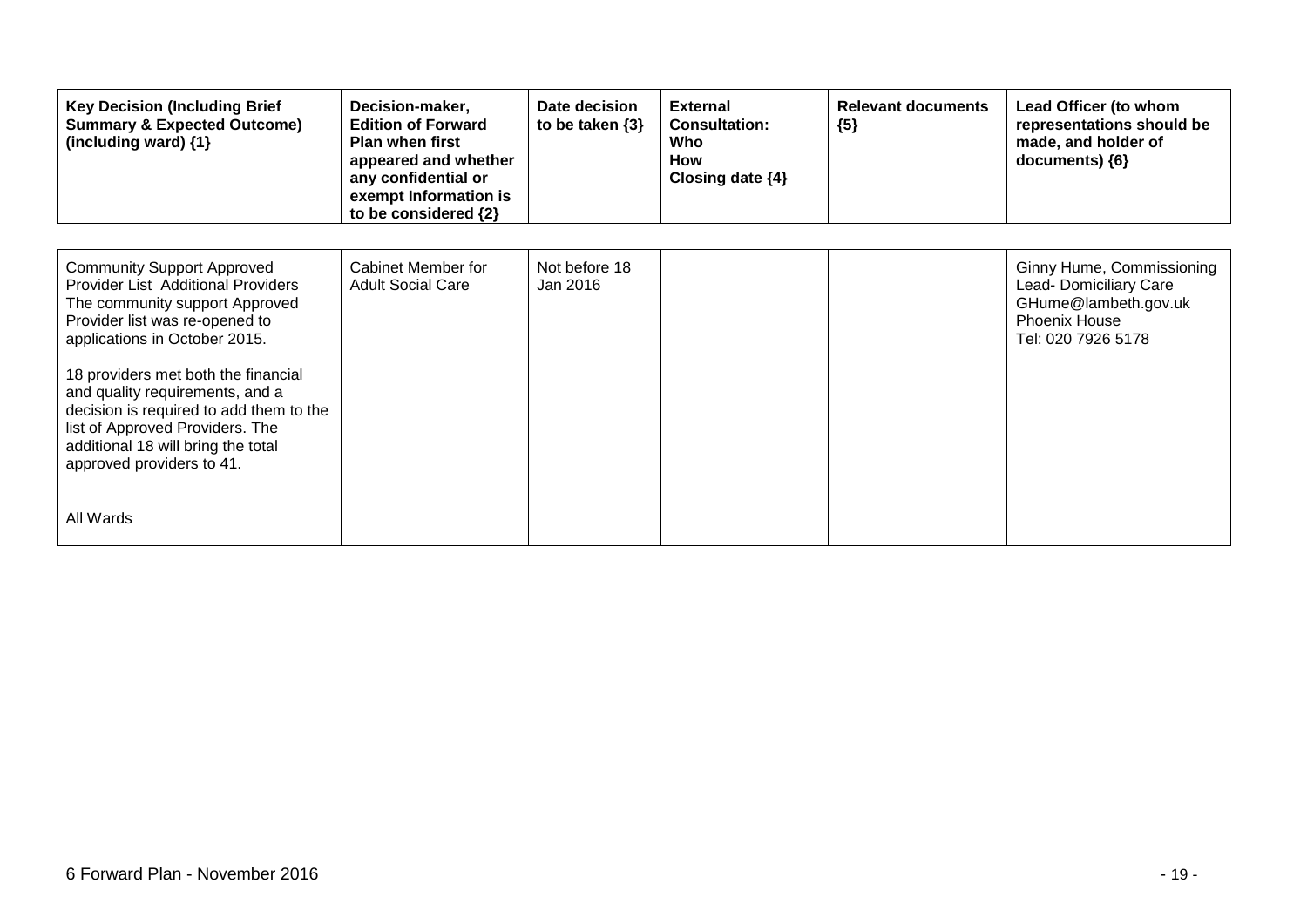| <b>Key Decision (Including Brief</b><br><b>Summary &amp; Expected Outcome)</b><br>(including ward) {1}                                                                                                                                                                                                                                                                                                                      | Decision-maker,<br><b>Edition of Forward</b><br><b>Plan when first</b><br>appeared and whether<br>any confidential or<br>exempt Information is<br>to be considered {2} | Date decision<br>to be taken $\{3\}$ | <b>External</b><br><b>Consultation:</b><br>Who<br><b>How</b><br>Closing date $\{4\}$ | <b>Relevant documents</b><br>${5}$ | Lead Officer (to whom<br>representations should be<br>made, and holder of<br>documents) {6}                               |
|-----------------------------------------------------------------------------------------------------------------------------------------------------------------------------------------------------------------------------------------------------------------------------------------------------------------------------------------------------------------------------------------------------------------------------|------------------------------------------------------------------------------------------------------------------------------------------------------------------------|--------------------------------------|--------------------------------------------------------------------------------------|------------------------------------|---------------------------------------------------------------------------------------------------------------------------|
| <b>Community Support Approved</b><br><b>Provider List Additional Providers</b><br>The community support Approved<br>Provider list was re-opened to<br>applications in October 2015.<br>18 providers met both the financial<br>and quality requirements, and a<br>decision is required to add them to the<br>list of Approved Providers. The<br>additional 18 will bring the total<br>approved providers to 41.<br>All Wards | Cabinet Member for<br><b>Adult Social Care</b>                                                                                                                         | Not before 18<br>Jan 2016            |                                                                                      |                                    | Ginny Hume, Commissioning<br>Lead- Domiciliary Care<br>GHume@lambeth.gov.uk<br><b>Phoenix House</b><br>Tel: 020 7926 5178 |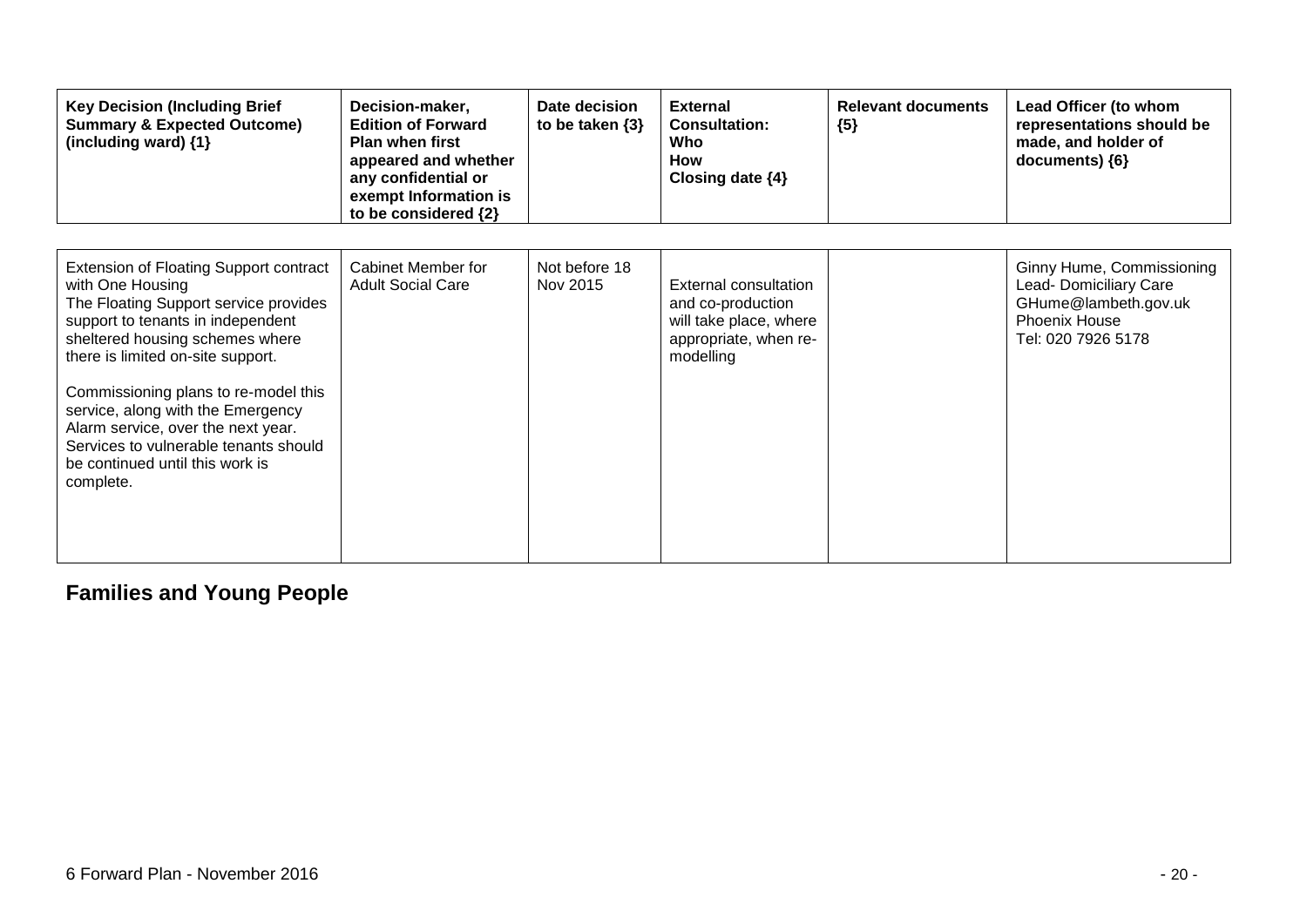| <b>Key Decision (Including Brief</b><br><b>Summary &amp; Expected Outcome)</b><br>(including ward) {1}                                                                                                                                                                                                                                                                                                                       | Decision-maker,<br><b>Edition of Forward</b><br><b>Plan when first</b><br>appeared and whether<br>any confidential or<br>exempt Information is<br>to be considered {2} | Date decision<br>to be taken $\{3\}$ | <b>External</b><br><b>Consultation:</b><br>Who<br><b>How</b><br>Closing date $\{4\}$                       | <b>Relevant documents</b><br>${5}$ | Lead Officer (to whom<br>representations should be<br>made, and holder of<br>documents) ${6}$                             |
|------------------------------------------------------------------------------------------------------------------------------------------------------------------------------------------------------------------------------------------------------------------------------------------------------------------------------------------------------------------------------------------------------------------------------|------------------------------------------------------------------------------------------------------------------------------------------------------------------------|--------------------------------------|------------------------------------------------------------------------------------------------------------|------------------------------------|---------------------------------------------------------------------------------------------------------------------------|
| Extension of Floating Support contract<br>with One Housing<br>The Floating Support service provides<br>support to tenants in independent<br>sheltered housing schemes where<br>there is limited on-site support.<br>Commissioning plans to re-model this<br>service, along with the Emergency<br>Alarm service, over the next year.<br>Services to vulnerable tenants should<br>be continued until this work is<br>complete. | <b>Cabinet Member for</b><br><b>Adult Social Care</b>                                                                                                                  | Not before 18<br>Nov 2015            | External consultation<br>and co-production<br>will take place, where<br>appropriate, when re-<br>modelling |                                    | Ginny Hume, Commissioning<br>Lead- Domiciliary Care<br>GHume@lambeth.gov.uk<br><b>Phoenix House</b><br>Tel: 020 7926 5178 |

# **Families and Young People**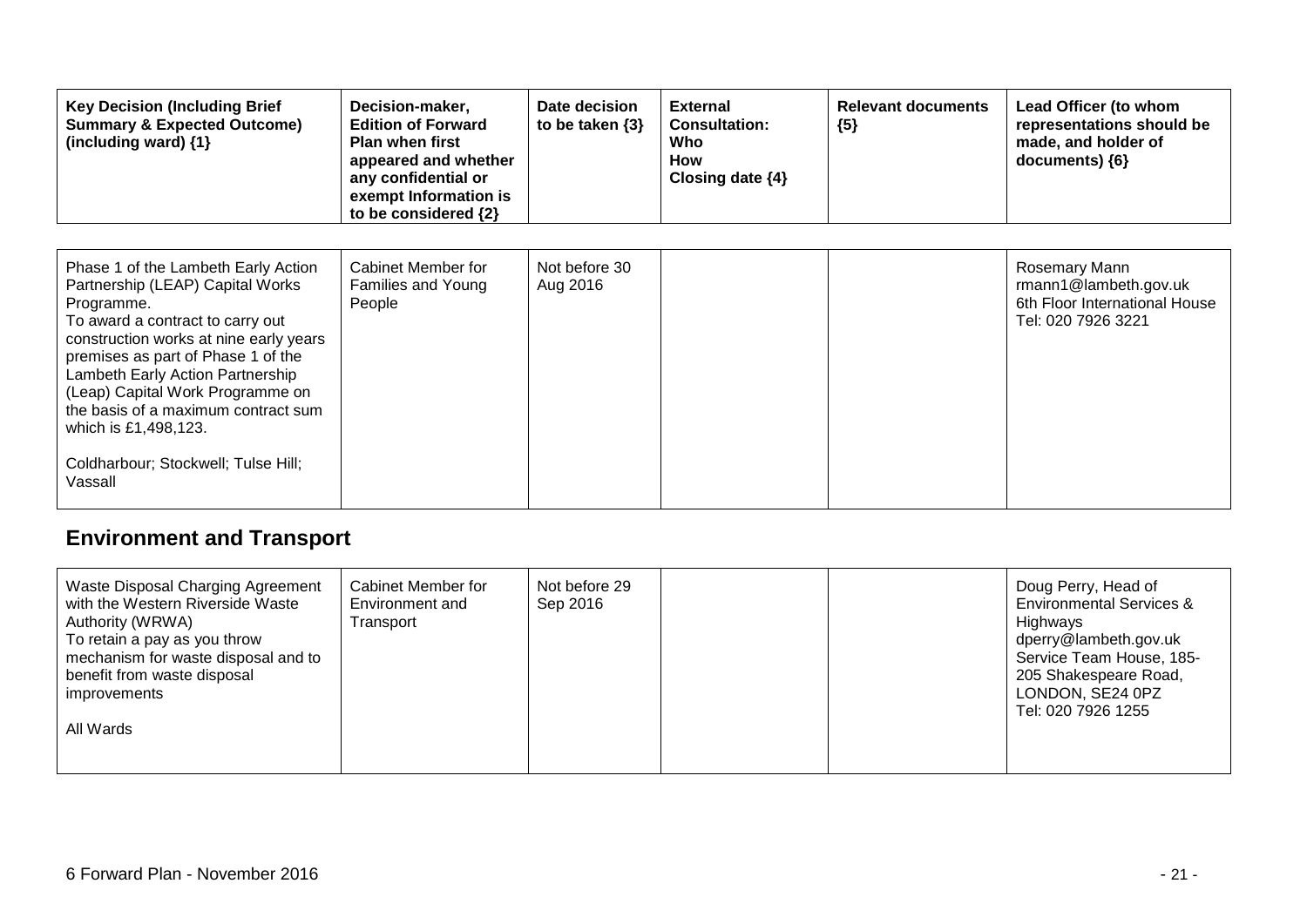| <b>Key Decision (Including Brief</b><br><b>Summary &amp; Expected Outcome)</b><br>(including ward) {1}                                                                                                                                                                                                                                                                                             | Decision-maker,<br><b>Edition of Forward</b><br><b>Plan when first</b><br>appeared and whether<br>any confidential or<br>exempt Information is<br>to be considered {2} | Date decision<br>to be taken $\{3\}$ | <b>External</b><br><b>Consultation:</b><br>Who<br>How<br>Closing date $\{4\}$ | <b>Relevant documents</b><br>${5}$ | Lead Officer (to whom<br>representations should be<br>made, and holder of<br>documents) ${6}$ |
|----------------------------------------------------------------------------------------------------------------------------------------------------------------------------------------------------------------------------------------------------------------------------------------------------------------------------------------------------------------------------------------------------|------------------------------------------------------------------------------------------------------------------------------------------------------------------------|--------------------------------------|-------------------------------------------------------------------------------|------------------------------------|-----------------------------------------------------------------------------------------------|
| Phase 1 of the Lambeth Early Action<br>Partnership (LEAP) Capital Works<br>Programme.<br>To award a contract to carry out<br>construction works at nine early years<br>premises as part of Phase 1 of the<br>Lambeth Early Action Partnership<br>(Leap) Capital Work Programme on<br>the basis of a maximum contract sum<br>which is £1,498,123.<br>Coldharbour; Stockwell; Tulse Hill;<br>Vassall | Cabinet Member for<br>Families and Young<br>People                                                                                                                     | Not before 30<br>Aug 2016            |                                                                               |                                    | Rosemary Mann<br>rmann1@lambeth.gov.uk<br>6th Floor International House<br>Tel: 020 7926 3221 |

# **Environment and Transport**

| Waste Disposal Charging Agreement<br>Cabinet Member for<br>with the Western Riverside Waste<br>Environment and<br>Authority (WRWA)<br>Transport<br>To retain a pay as you throw<br>mechanism for waste disposal and to<br>benefit from waste disposal<br><i>improvements</i><br>All Wards | Not before 29<br>Sep 2016 |  | Doug Perry, Head of<br><b>Environmental Services &amp;</b><br>Highways<br>dperry@lambeth.gov.uk<br>Service Team House, 185-<br>205 Shakespeare Road,<br>LONDON, SE24 0PZ<br>Tel: 020 7926 1255 |
|-------------------------------------------------------------------------------------------------------------------------------------------------------------------------------------------------------------------------------------------------------------------------------------------|---------------------------|--|------------------------------------------------------------------------------------------------------------------------------------------------------------------------------------------------|
|-------------------------------------------------------------------------------------------------------------------------------------------------------------------------------------------------------------------------------------------------------------------------------------------|---------------------------|--|------------------------------------------------------------------------------------------------------------------------------------------------------------------------------------------------|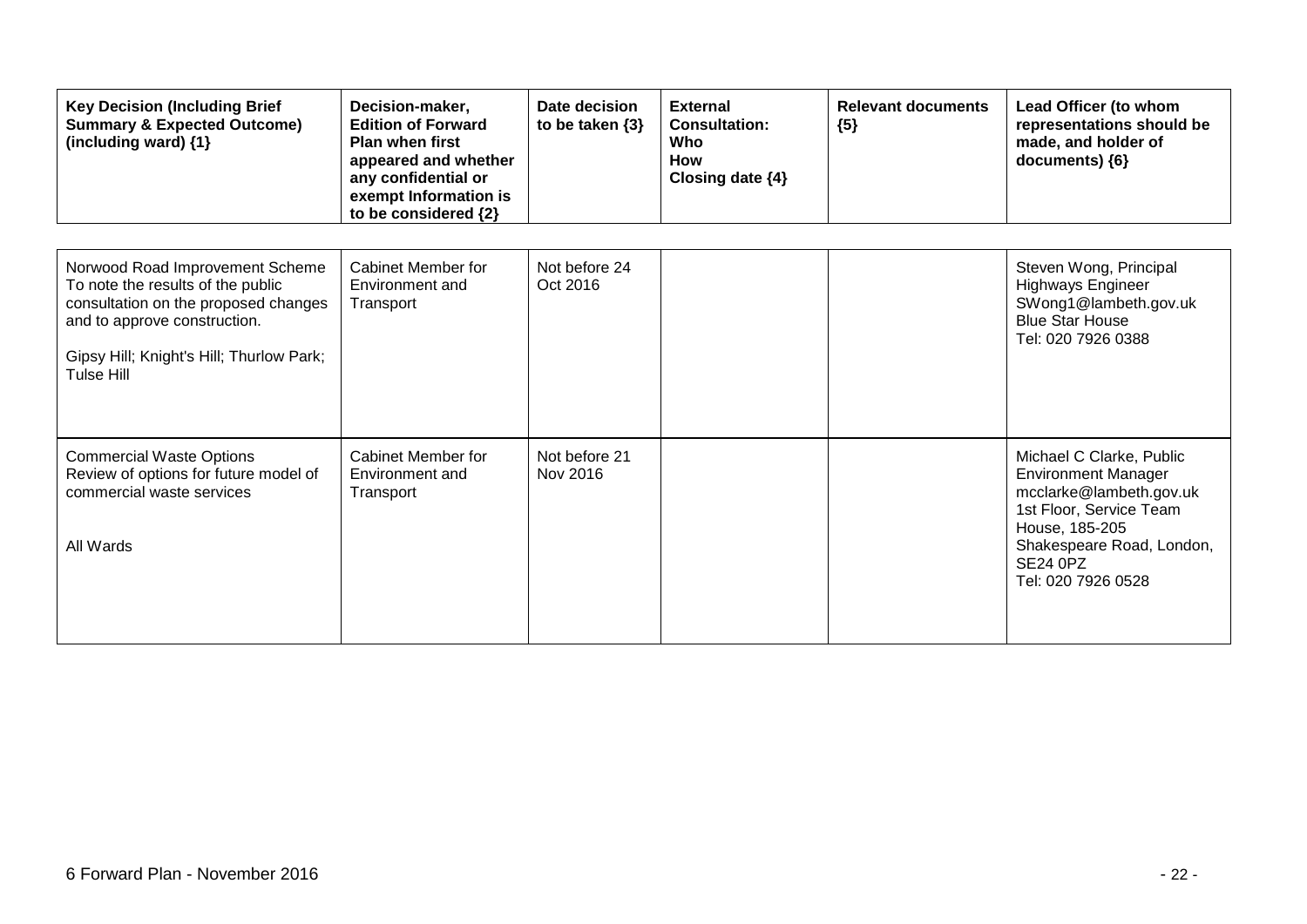| <b>Key Decision (Including Brief</b><br><b>Summary &amp; Expected Outcome)</b><br>(including ward) {1}                                                                                                 | Decision-maker,<br><b>Edition of Forward</b><br><b>Plan when first</b><br>appeared and whether<br>any confidential or<br>exempt Information is<br>to be considered {2} | Date decision<br>to be taken $\{3\}$ | <b>External</b><br><b>Consultation:</b><br>Who<br><b>How</b><br>Closing date {4} | <b>Relevant documents</b><br>${5}$ | Lead Officer (to whom<br>representations should be<br>made, and holder of<br>documents) {6}                                                                                                          |
|--------------------------------------------------------------------------------------------------------------------------------------------------------------------------------------------------------|------------------------------------------------------------------------------------------------------------------------------------------------------------------------|--------------------------------------|----------------------------------------------------------------------------------|------------------------------------|------------------------------------------------------------------------------------------------------------------------------------------------------------------------------------------------------|
| Norwood Road Improvement Scheme<br>To note the results of the public<br>consultation on the proposed changes<br>and to approve construction.<br>Gipsy Hill; Knight's Hill; Thurlow Park;<br>Tulse Hill | Cabinet Member for<br>Environment and<br>Transport                                                                                                                     | Not before 24<br>Oct 2016            |                                                                                  |                                    | Steven Wong, Principal<br>Highways Engineer<br>SWong1@lambeth.gov.uk<br><b>Blue Star House</b><br>Tel: 020 7926 0388                                                                                 |
| <b>Commercial Waste Options</b><br>Review of options for future model of<br>commercial waste services<br>All Wards                                                                                     | Cabinet Member for<br>Environment and<br>Transport                                                                                                                     | Not before 21<br>Nov 2016            |                                                                                  |                                    | Michael C Clarke, Public<br><b>Environment Manager</b><br>mcclarke@lambeth.gov.uk<br>1st Floor, Service Team<br>House, 185-205<br>Shakespeare Road, London,<br><b>SE24 0PZ</b><br>Tel: 020 7926 0528 |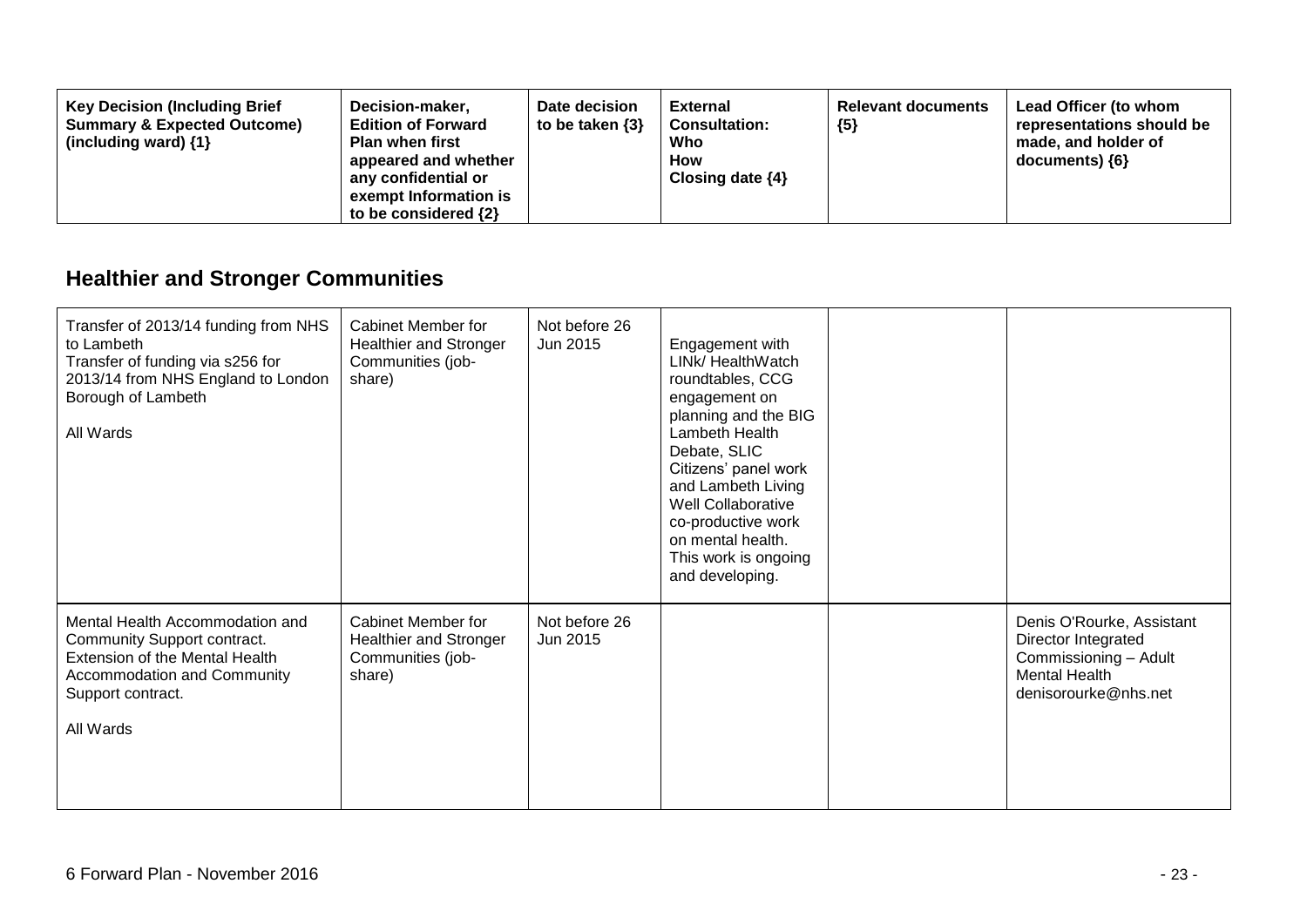| <b>Key Decision (Including Brief</b><br>Decision-maker,<br><b>Summary &amp; Expected Outcome)</b><br><b>Edition of Forward</b><br>(including ward) $\{1\}$<br><b>Plan when first</b><br>appeared and whether<br>any confidential or<br>exempt Information is<br>to be considered $\{2\}$ | Date decision<br>to be taken $\{3\}$ | <b>External</b><br><b>Consultation:</b><br>Who<br><b>How</b><br>Closing date $\{4\}$ | <b>Relevant documents</b><br>${5}$ | Lead Officer (to whom<br>representations should be<br>made, and holder of<br>documents) ${6}$ |
|------------------------------------------------------------------------------------------------------------------------------------------------------------------------------------------------------------------------------------------------------------------------------------------|--------------------------------------|--------------------------------------------------------------------------------------|------------------------------------|-----------------------------------------------------------------------------------------------|
|------------------------------------------------------------------------------------------------------------------------------------------------------------------------------------------------------------------------------------------------------------------------------------------|--------------------------------------|--------------------------------------------------------------------------------------|------------------------------------|-----------------------------------------------------------------------------------------------|

## **Healthier and Stronger Communities**

| Transfer of 2013/14 funding from NHS<br>to Lambeth<br>Transfer of funding via s256 for<br>2013/14 from NHS England to London<br>Borough of Lambeth<br>All Wards   | Cabinet Member for<br>Healthier and Stronger<br>Communities (job-<br>share) | Not before 26<br>Jun 2015 | Engagement with<br>LINk/ HealthWatch<br>roundtables, CCG<br>engagement on<br>planning and the BIG<br>Lambeth Health<br>Debate, SLIC<br>Citizens' panel work<br>and Lambeth Living<br>Well Collaborative<br>co-productive work<br>on mental health.<br>This work is ongoing<br>and developing. |                                                                                                                           |
|-------------------------------------------------------------------------------------------------------------------------------------------------------------------|-----------------------------------------------------------------------------|---------------------------|-----------------------------------------------------------------------------------------------------------------------------------------------------------------------------------------------------------------------------------------------------------------------------------------------|---------------------------------------------------------------------------------------------------------------------------|
| Mental Health Accommodation and<br>Community Support contract.<br>Extension of the Mental Health<br>Accommodation and Community<br>Support contract.<br>All Wards | Cabinet Member for<br>Healthier and Stronger<br>Communities (job-<br>share) | Not before 26<br>Jun 2015 |                                                                                                                                                                                                                                                                                               | Denis O'Rourke, Assistant<br>Director Integrated<br>Commissioning - Adult<br><b>Mental Health</b><br>denisorourke@nhs.net |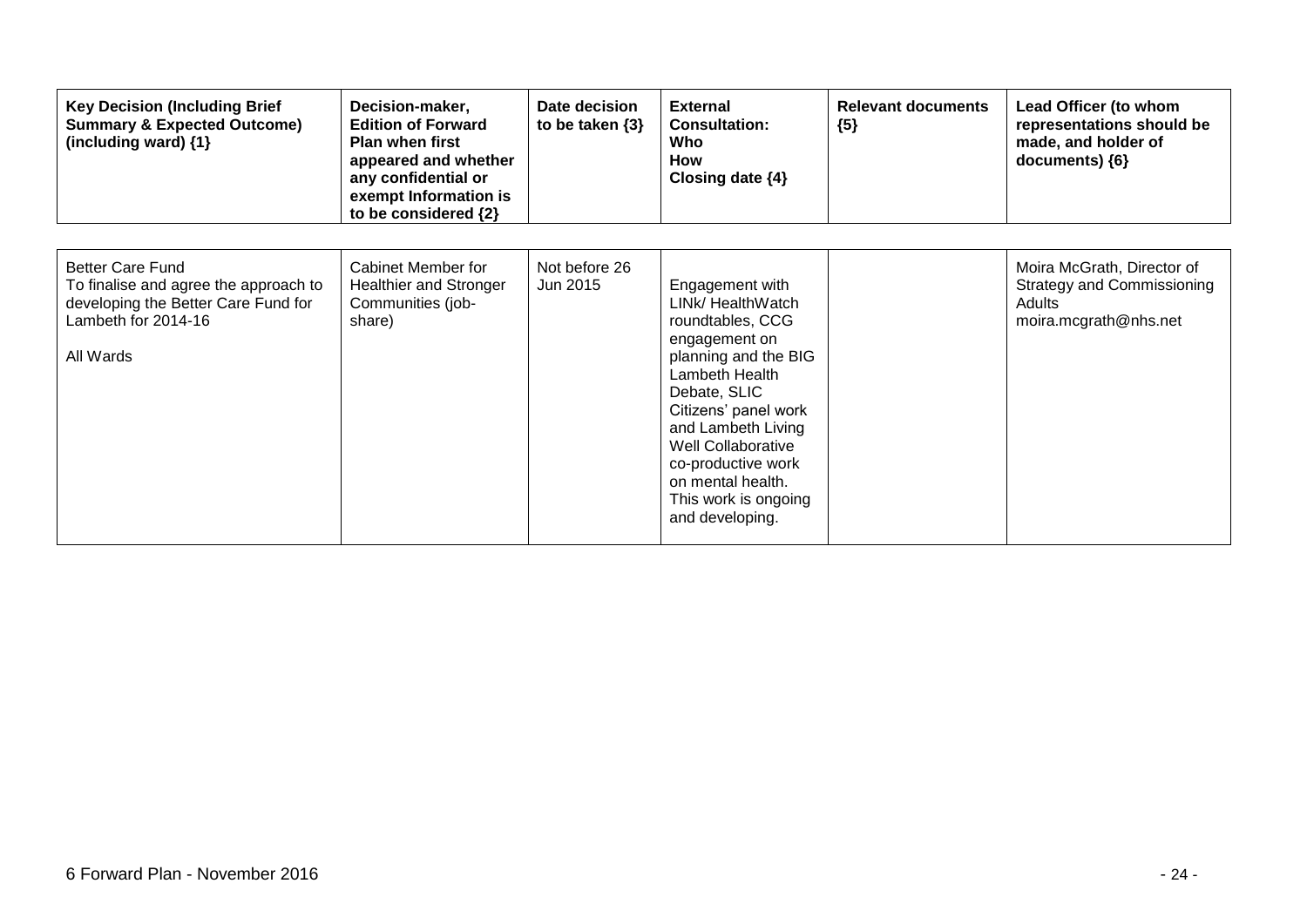| <b>Key Decision (Including Brief</b><br><b>Summary &amp; Expected Outcome)</b><br>(including ward) {1}                                      | Decision-maker,<br><b>Edition of Forward</b><br><b>Plan when first</b><br>appeared and whether<br>any confidential or<br>exempt Information is<br>to be considered {2} | Date decision<br>to be taken $\{3\}$ | <b>External</b><br><b>Consultation:</b><br>Who<br><b>How</b><br>Closing date $\{4\}$                                                                                                                                                                                                                 | <b>Relevant documents</b><br>${5}$ | Lead Officer (to whom<br>representations should be<br>made, and holder of<br>documents) ${6}$ |
|---------------------------------------------------------------------------------------------------------------------------------------------|------------------------------------------------------------------------------------------------------------------------------------------------------------------------|--------------------------------------|------------------------------------------------------------------------------------------------------------------------------------------------------------------------------------------------------------------------------------------------------------------------------------------------------|------------------------------------|-----------------------------------------------------------------------------------------------|
| <b>Better Care Fund</b><br>To finalise and agree the approach to<br>developing the Better Care Fund for<br>Lambeth for 2014-16<br>All Wards | Cabinet Member for<br><b>Healthier and Stronger</b><br>Communities (job-<br>share)                                                                                     | Not before 26<br>Jun 2015            | Engagement with<br>LINk/ HealthWatch<br>roundtables, CCG<br>engagement on<br>planning and the BIG<br>Lambeth Health<br>Debate, SLIC<br>Citizens' panel work<br>and Lambeth Living<br><b>Well Collaborative</b><br>co-productive work<br>on mental health.<br>This work is ongoing<br>and developing. |                                    | Moira McGrath, Director of<br>Strategy and Commissioning<br>Adults<br>moira.mcgrath@nhs.net   |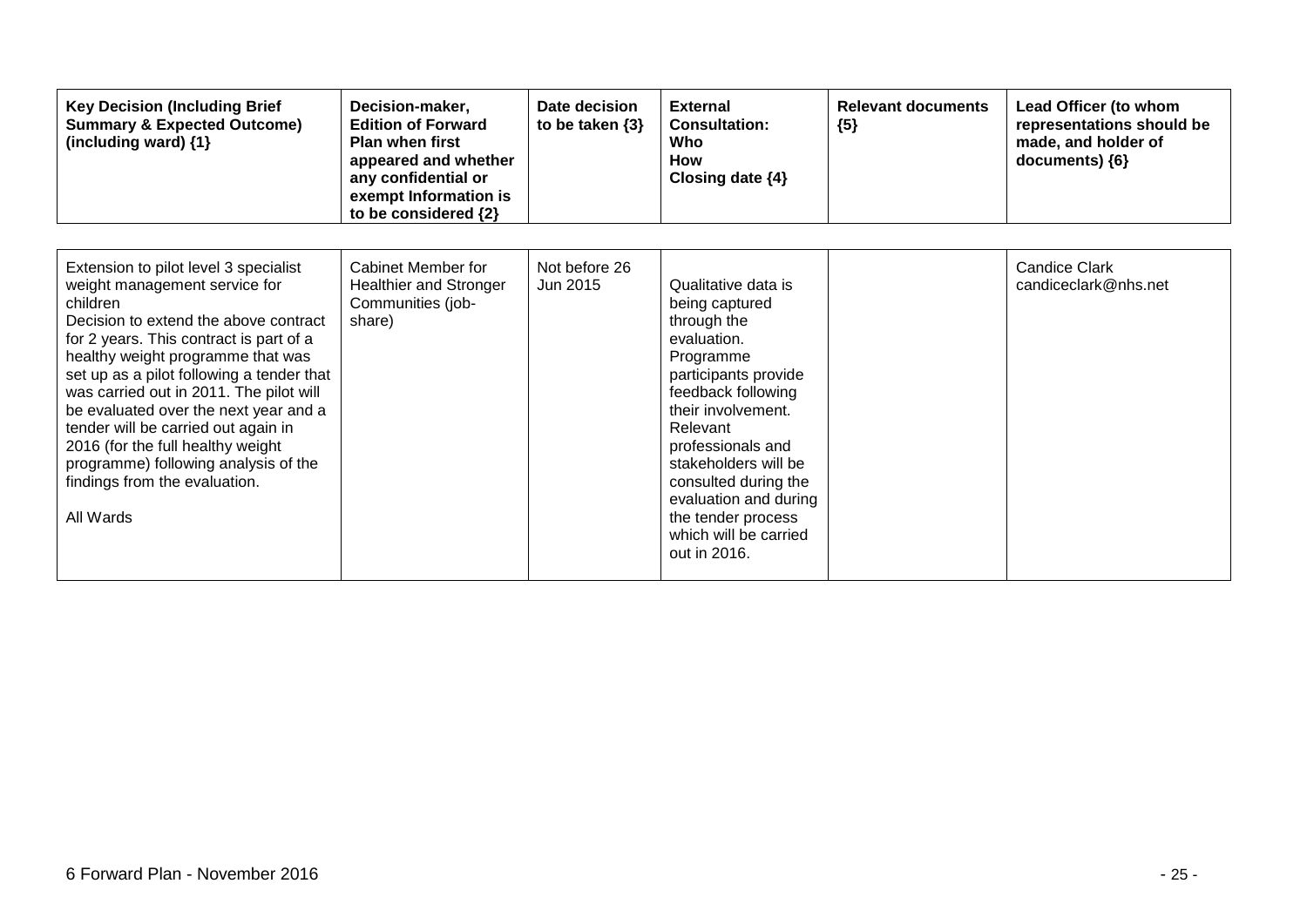| <b>Key Decision (Including Brief</b><br><b>Summary &amp; Expected Outcome)</b><br>(including ward) {1}                                                                                                                                                                                                                                                                                                                                                                                                         | Decision-maker,<br><b>Edition of Forward</b><br><b>Plan when first</b><br>appeared and whether<br>any confidential or<br>exempt Information is<br>to be considered {2} | Date decision<br>to be taken $\{3\}$ | <b>External</b><br><b>Consultation:</b><br>Who<br><b>How</b><br>Closing date $\{4\}$                                                                                                                                                                                                                                          | <b>Relevant documents</b><br>${5}$ | Lead Officer (to whom<br>representations should be<br>made, and holder of<br>documents) {6} |
|----------------------------------------------------------------------------------------------------------------------------------------------------------------------------------------------------------------------------------------------------------------------------------------------------------------------------------------------------------------------------------------------------------------------------------------------------------------------------------------------------------------|------------------------------------------------------------------------------------------------------------------------------------------------------------------------|--------------------------------------|-------------------------------------------------------------------------------------------------------------------------------------------------------------------------------------------------------------------------------------------------------------------------------------------------------------------------------|------------------------------------|---------------------------------------------------------------------------------------------|
| Extension to pilot level 3 specialist<br>weight management service for<br>children<br>Decision to extend the above contract<br>for 2 years. This contract is part of a<br>healthy weight programme that was<br>set up as a pilot following a tender that<br>was carried out in 2011. The pilot will<br>be evaluated over the next year and a<br>tender will be carried out again in<br>2016 (for the full healthy weight<br>programme) following analysis of the<br>findings from the evaluation.<br>All Wards | Cabinet Member for<br><b>Healthier and Stronger</b><br>Communities (job-<br>share)                                                                                     | Not before 26<br>Jun 2015            | Qualitative data is<br>being captured<br>through the<br>evaluation.<br>Programme<br>participants provide<br>feedback following<br>their involvement.<br>Relevant<br>professionals and<br>stakeholders will be<br>consulted during the<br>evaluation and during<br>the tender process<br>which will be carried<br>out in 2016. |                                    | <b>Candice Clark</b><br>candiceclark@nhs.net                                                |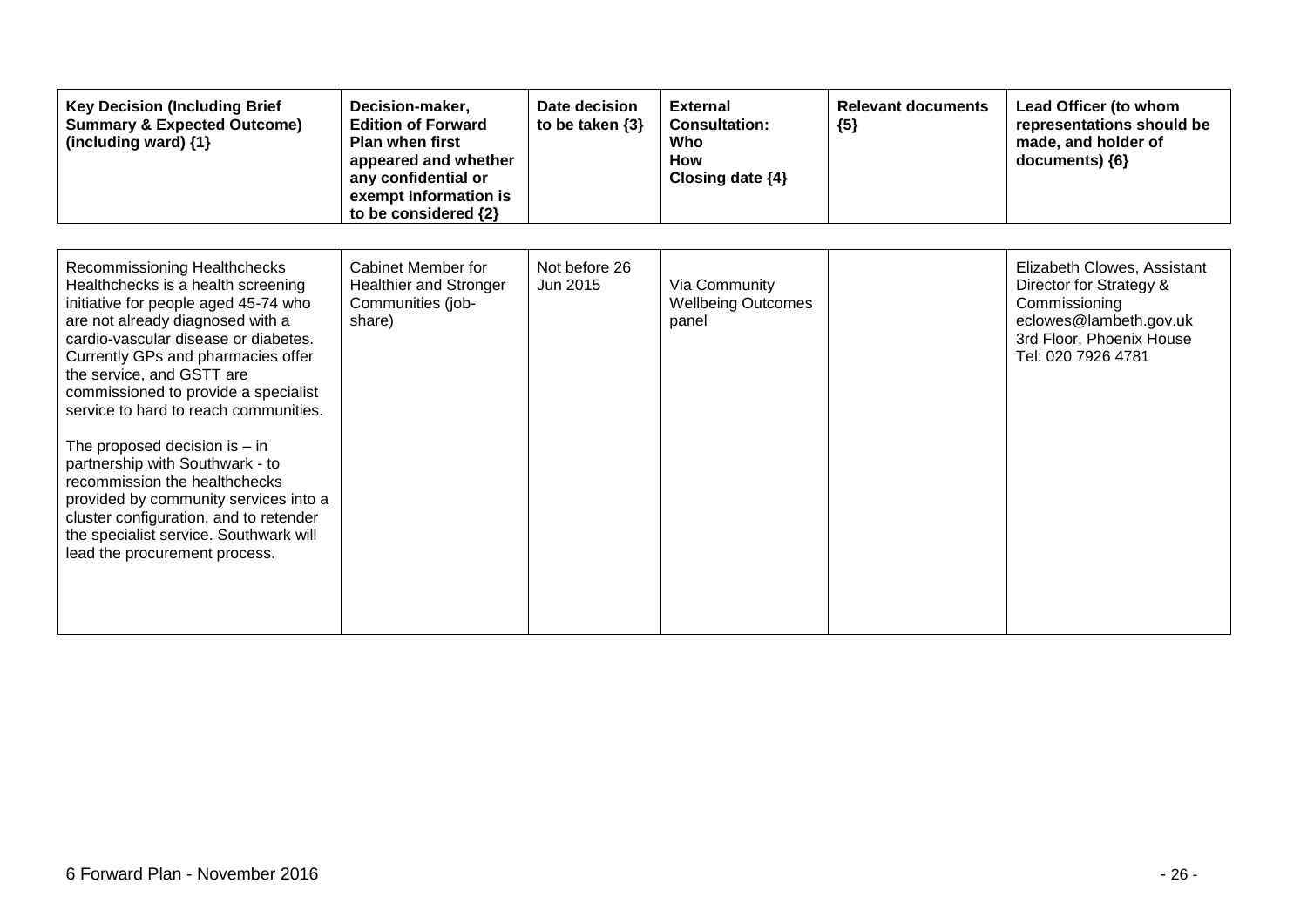| <b>Key Decision (Including Brief</b><br><b>Summary &amp; Expected Outcome)</b><br>(including ward) {1}                                                                                                                                                                                                                                                                                                                                                                                                                                                                                                          | Decision-maker,<br><b>Edition of Forward</b><br><b>Plan when first</b><br>appeared and whether<br>any confidential or<br>exempt Information is<br>to be considered {2} | Date decision<br>to be taken $\{3\}$ | <b>External</b><br><b>Consultation:</b><br>Who<br>How<br>Closing date $\{4\}$ | <b>Relevant documents</b><br>${5}$ | Lead Officer (to whom<br>representations should be<br>made, and holder of<br>documents) {6}                                                         |
|-----------------------------------------------------------------------------------------------------------------------------------------------------------------------------------------------------------------------------------------------------------------------------------------------------------------------------------------------------------------------------------------------------------------------------------------------------------------------------------------------------------------------------------------------------------------------------------------------------------------|------------------------------------------------------------------------------------------------------------------------------------------------------------------------|--------------------------------------|-------------------------------------------------------------------------------|------------------------------------|-----------------------------------------------------------------------------------------------------------------------------------------------------|
| Recommissioning Healthchecks<br>Healthchecks is a health screening<br>initiative for people aged 45-74 who<br>are not already diagnosed with a<br>cardio-vascular disease or diabetes.<br>Currently GPs and pharmacies offer<br>the service, and GSTT are<br>commissioned to provide a specialist<br>service to hard to reach communities.<br>The proposed decision is $-$ in<br>partnership with Southwark - to<br>recommission the healthchecks<br>provided by community services into a<br>cluster configuration, and to retender<br>the specialist service. Southwark will<br>lead the procurement process. | Cabinet Member for<br><b>Healthier and Stronger</b><br>Communities (job-<br>share)                                                                                     | Not before 26<br>Jun 2015            | Via Community<br><b>Wellbeing Outcomes</b><br>panel                           |                                    | Elizabeth Clowes, Assistant<br>Director for Strategy &<br>Commissioning<br>eclowes@lambeth.gov.uk<br>3rd Floor, Phoenix House<br>Tel: 020 7926 4781 |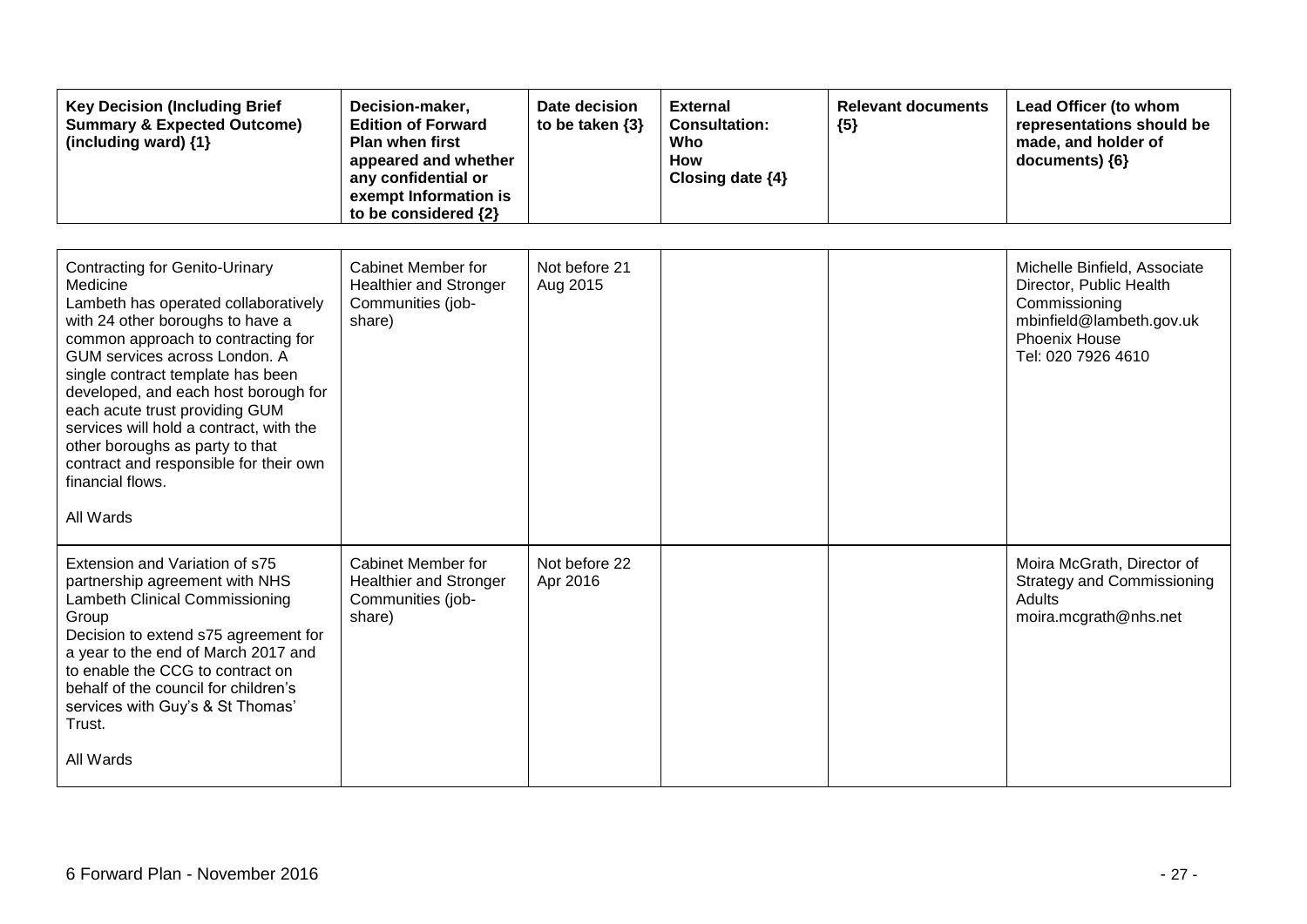| <b>Key Decision (Including Brief</b><br><b>Summary &amp; Expected Outcome)</b><br>(including ward) {1}                                                                                                                                                                                                                                                                                                                                                                       | Decision-maker,<br><b>Edition of Forward</b><br>Plan when first<br>appeared and whether<br>any confidential or<br>exempt Information is<br>to be considered {2} | Date decision<br>to be taken $\{3\}$ | <b>External</b><br><b>Consultation:</b><br>Who<br>How<br>Closing date {4} | <b>Relevant documents</b><br>${5}$ | Lead Officer (to whom<br>representations should be<br>made, and holder of<br>documents) {6}                                                 |
|------------------------------------------------------------------------------------------------------------------------------------------------------------------------------------------------------------------------------------------------------------------------------------------------------------------------------------------------------------------------------------------------------------------------------------------------------------------------------|-----------------------------------------------------------------------------------------------------------------------------------------------------------------|--------------------------------------|---------------------------------------------------------------------------|------------------------------------|---------------------------------------------------------------------------------------------------------------------------------------------|
| <b>Contracting for Genito-Urinary</b><br>Medicine<br>Lambeth has operated collaboratively<br>with 24 other boroughs to have a<br>common approach to contracting for<br>GUM services across London. A<br>single contract template has been<br>developed, and each host borough for<br>each acute trust providing GUM<br>services will hold a contract, with the<br>other boroughs as party to that<br>contract and responsible for their own<br>financial flows.<br>All Wards | <b>Cabinet Member for</b><br><b>Healthier and Stronger</b><br>Communities (job-<br>share)                                                                       | Not before 21<br>Aug 2015            |                                                                           |                                    | Michelle Binfield, Associate<br>Director, Public Health<br>Commissioning<br>mbinfield@lambeth.gov.uk<br>Phoenix House<br>Tel: 020 7926 4610 |
| Extension and Variation of s75<br>partnership agreement with NHS<br>Lambeth Clinical Commissioning<br>Group<br>Decision to extend s75 agreement for<br>a year to the end of March 2017 and<br>to enable the CCG to contract on<br>behalf of the council for children's<br>services with Guy's & St Thomas'<br>Trust.<br>All Wards                                                                                                                                            | <b>Cabinet Member for</b><br><b>Healthier and Stronger</b><br>Communities (job-<br>share)                                                                       | Not before 22<br>Apr 2016            |                                                                           |                                    | Moira McGrath, Director of<br><b>Strategy and Commissioning</b><br>Adults<br>moira.mcgrath@nhs.net                                          |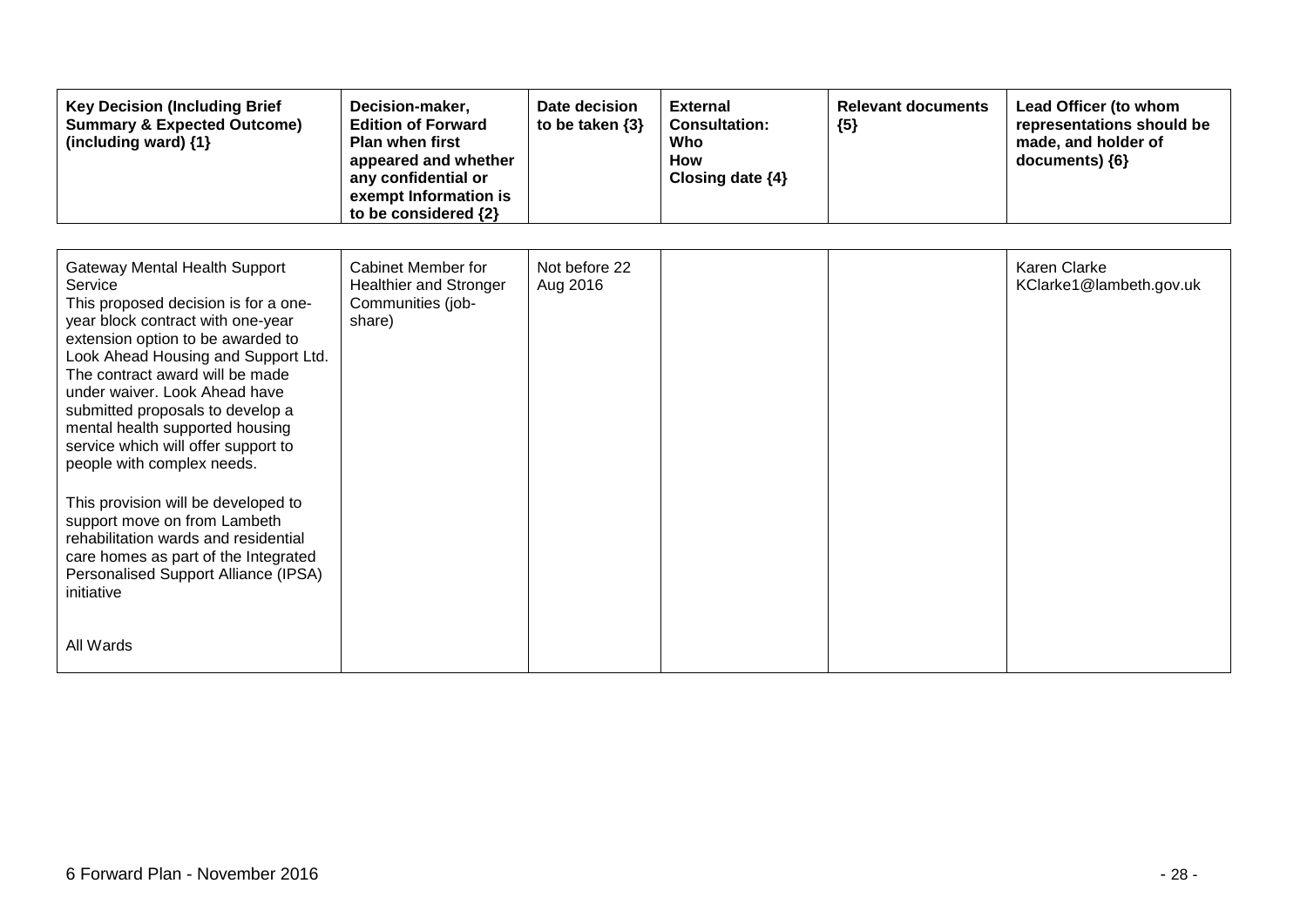| <b>Key Decision (Including Brief</b><br><b>Summary &amp; Expected Outcome)</b><br>(including ward) {1}                                                                                                                                                                                                                                                                                                                                                                                                                                                                                                                                             | Decision-maker,<br><b>Edition of Forward</b><br><b>Plan when first</b><br>appeared and whether<br>any confidential or<br>exempt Information is<br>to be considered {2} | Date decision<br>to be taken $\{3\}$ | <b>External</b><br><b>Consultation:</b><br>Who<br>How<br>Closing date {4} | <b>Relevant documents</b><br>${5}$ | Lead Officer (to whom<br>representations should be<br>made, and holder of<br>documents) {6} |
|----------------------------------------------------------------------------------------------------------------------------------------------------------------------------------------------------------------------------------------------------------------------------------------------------------------------------------------------------------------------------------------------------------------------------------------------------------------------------------------------------------------------------------------------------------------------------------------------------------------------------------------------------|------------------------------------------------------------------------------------------------------------------------------------------------------------------------|--------------------------------------|---------------------------------------------------------------------------|------------------------------------|---------------------------------------------------------------------------------------------|
| <b>Gateway Mental Health Support</b><br>Service<br>This proposed decision is for a one-<br>year block contract with one-year<br>extension option to be awarded to<br>Look Ahead Housing and Support Ltd.<br>The contract award will be made<br>under waiver. Look Ahead have<br>submitted proposals to develop a<br>mental health supported housing<br>service which will offer support to<br>people with complex needs.<br>This provision will be developed to<br>support move on from Lambeth<br>rehabilitation wards and residential<br>care homes as part of the Integrated<br>Personalised Support Alliance (IPSA)<br>initiative<br>All Wards | Cabinet Member for<br><b>Healthier and Stronger</b><br>Communities (job-<br>share)                                                                                     | Not before 22<br>Aug 2016            |                                                                           |                                    | Karen Clarke<br>KClarke1@lambeth.gov.uk                                                     |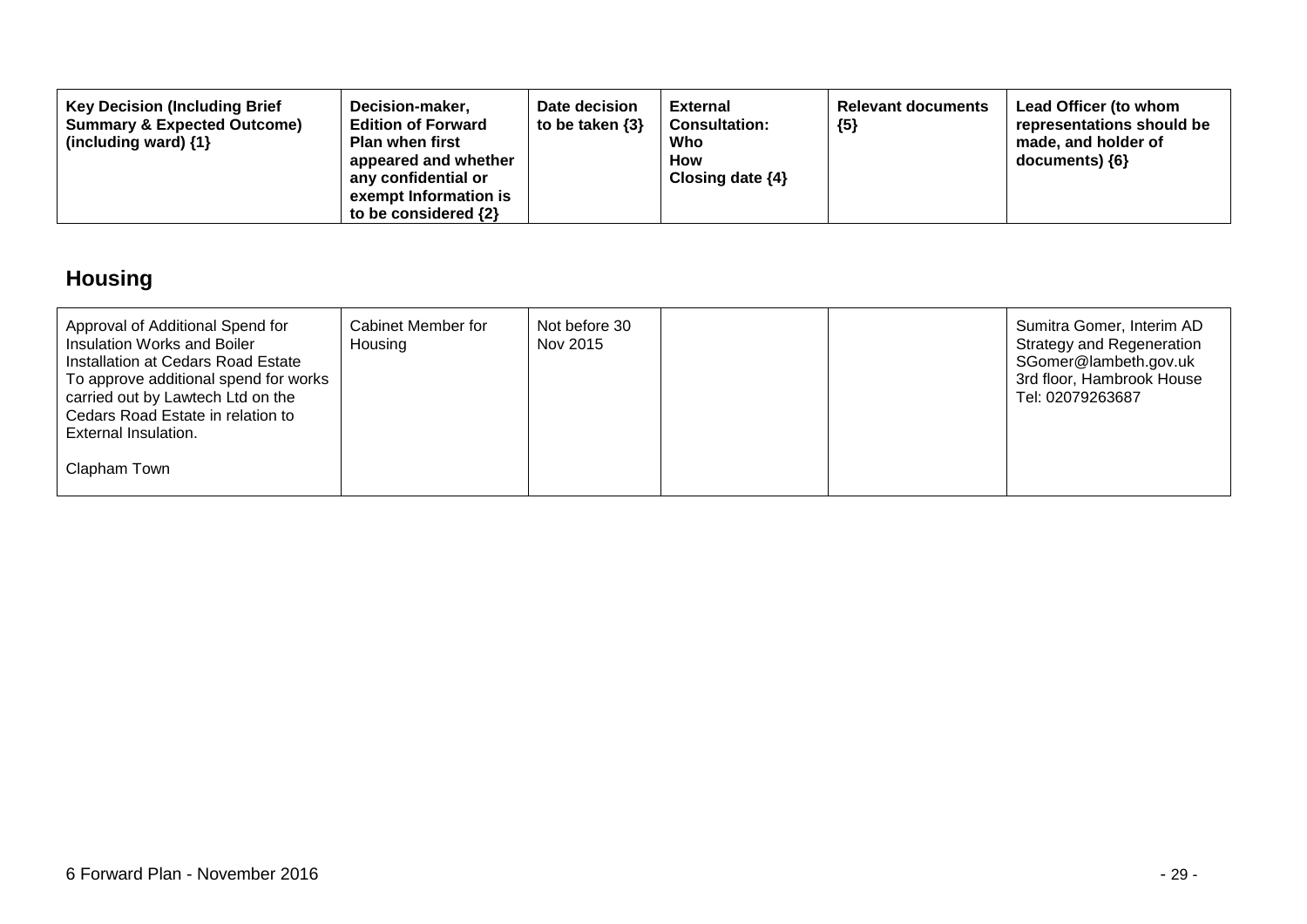| Decision-maker,<br><b>Key Decision (Including Brief</b><br><b>Summary &amp; Expected Outcome)</b><br><b>Edition of Forward</b><br><b>Plan when first</b><br>(including ward) $\{1\}$<br>appeared and whether<br>any confidential or<br>exempt Information is<br>to be considered $\{2\}$ | Date decision<br>to be taken $\{3\}$ | <b>External</b><br><b>Consultation:</b><br>Who<br>How<br>Closing date $\{4\}$ | <b>Relevant documents</b><br>${5}$ | Lead Officer (to whom<br>representations should be<br>made, and holder of<br>documents) ${6}$ |
|------------------------------------------------------------------------------------------------------------------------------------------------------------------------------------------------------------------------------------------------------------------------------------------|--------------------------------------|-------------------------------------------------------------------------------|------------------------------------|-----------------------------------------------------------------------------------------------|
|------------------------------------------------------------------------------------------------------------------------------------------------------------------------------------------------------------------------------------------------------------------------------------------|--------------------------------------|-------------------------------------------------------------------------------|------------------------------------|-----------------------------------------------------------------------------------------------|

## **Housing**

| Approval of Additional Spend for<br>Insulation Works and Boiler<br>Installation at Cedars Road Estate<br>To approve additional spend for works<br>carried out by Lawtech Ltd on the<br>Cedars Road Estate in relation to<br>External Insulation. | Cabinet Member for<br>Housing | Not before 30<br>Nov 2015 |  | Sumitra Gomer, Interim AD<br><b>Strategy and Regeneration</b><br>SGomer@lambeth.gov.uk<br>3rd floor, Hambrook House<br>Tel: 02079263687 |
|--------------------------------------------------------------------------------------------------------------------------------------------------------------------------------------------------------------------------------------------------|-------------------------------|---------------------------|--|-----------------------------------------------------------------------------------------------------------------------------------------|
| Clapham Town                                                                                                                                                                                                                                     |                               |                           |  |                                                                                                                                         |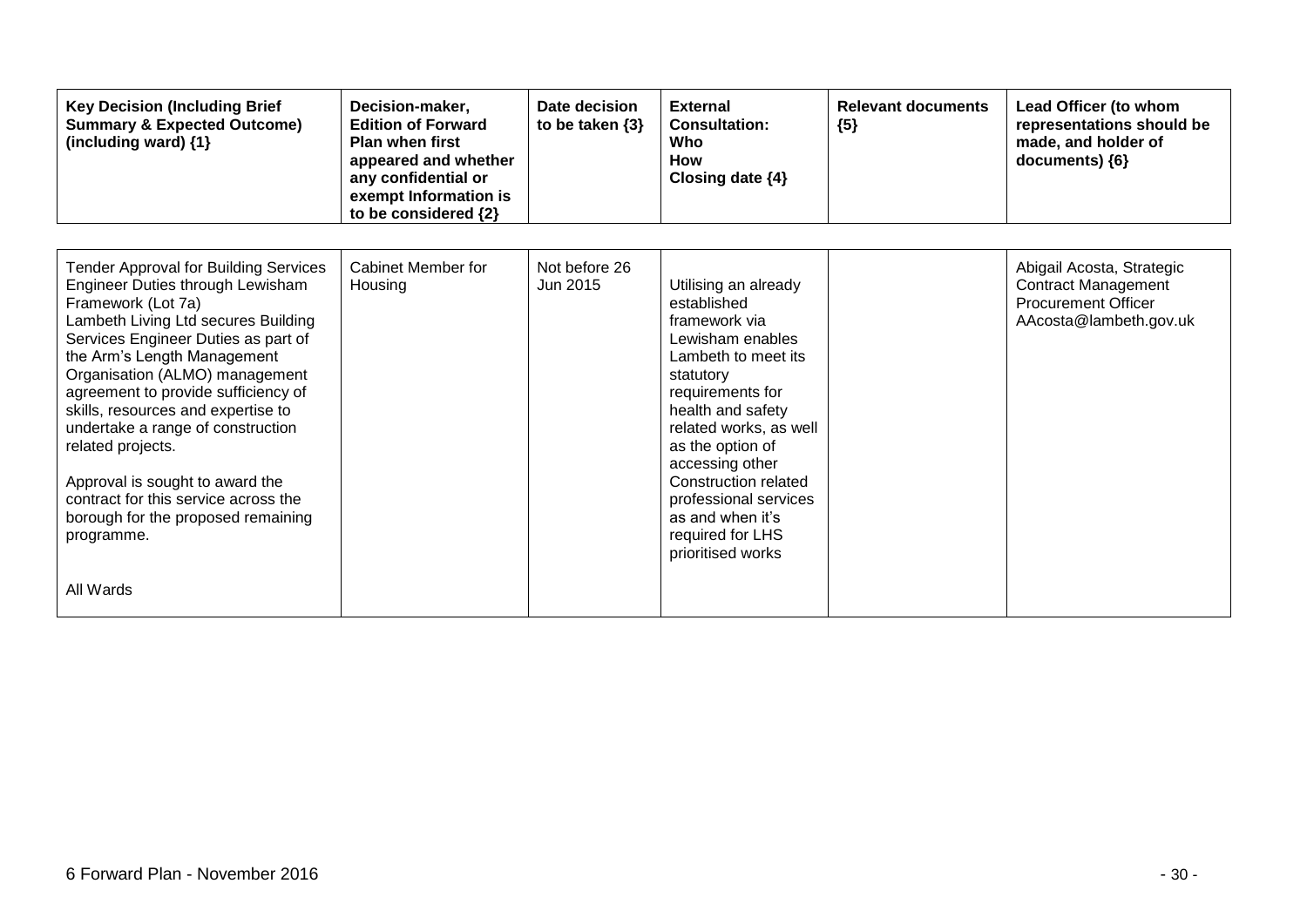| <b>Key Decision (Including Brief</b><br><b>Summary &amp; Expected Outcome)</b><br>(including ward) {1}                                                                                                                                                                                                                                                                                                                                                                                                                      | Decision-maker,<br><b>Edition of Forward</b><br><b>Plan when first</b><br>appeared and whether<br>any confidential or<br>exempt Information is<br>to be considered {2} | Date decision<br>to be taken $\{3\}$ | <b>External</b><br><b>Consultation:</b><br>Who<br><b>How</b><br>Closing date $\{4\}$                                                                                                                                                                                                                                                 | <b>Relevant documents</b><br>${5}$ | Lead Officer (to whom<br>representations should be<br>made, and holder of<br>documents) {6}                     |
|-----------------------------------------------------------------------------------------------------------------------------------------------------------------------------------------------------------------------------------------------------------------------------------------------------------------------------------------------------------------------------------------------------------------------------------------------------------------------------------------------------------------------------|------------------------------------------------------------------------------------------------------------------------------------------------------------------------|--------------------------------------|--------------------------------------------------------------------------------------------------------------------------------------------------------------------------------------------------------------------------------------------------------------------------------------------------------------------------------------|------------------------------------|-----------------------------------------------------------------------------------------------------------------|
| <b>Tender Approval for Building Services</b><br>Engineer Duties through Lewisham<br>Framework (Lot 7a)<br>Lambeth Living Ltd secures Building<br>Services Engineer Duties as part of<br>the Arm's Length Management<br>Organisation (ALMO) management<br>agreement to provide sufficiency of<br>skills, resources and expertise to<br>undertake a range of construction<br>related projects.<br>Approval is sought to award the<br>contract for this service across the<br>borough for the proposed remaining<br>programme. | <b>Cabinet Member for</b><br>Housing                                                                                                                                   | Not before 26<br>Jun 2015            | Utilising an already<br>established<br>framework via<br>Lewisham enables<br>Lambeth to meet its<br>statutory<br>requirements for<br>health and safety<br>related works, as well<br>as the option of<br>accessing other<br>Construction related<br>professional services<br>as and when it's<br>required for LHS<br>prioritised works |                                    | Abigail Acosta, Strategic<br><b>Contract Management</b><br><b>Procurement Officer</b><br>AAcosta@lambeth.gov.uk |
| All Wards                                                                                                                                                                                                                                                                                                                                                                                                                                                                                                                   |                                                                                                                                                                        |                                      |                                                                                                                                                                                                                                                                                                                                      |                                    |                                                                                                                 |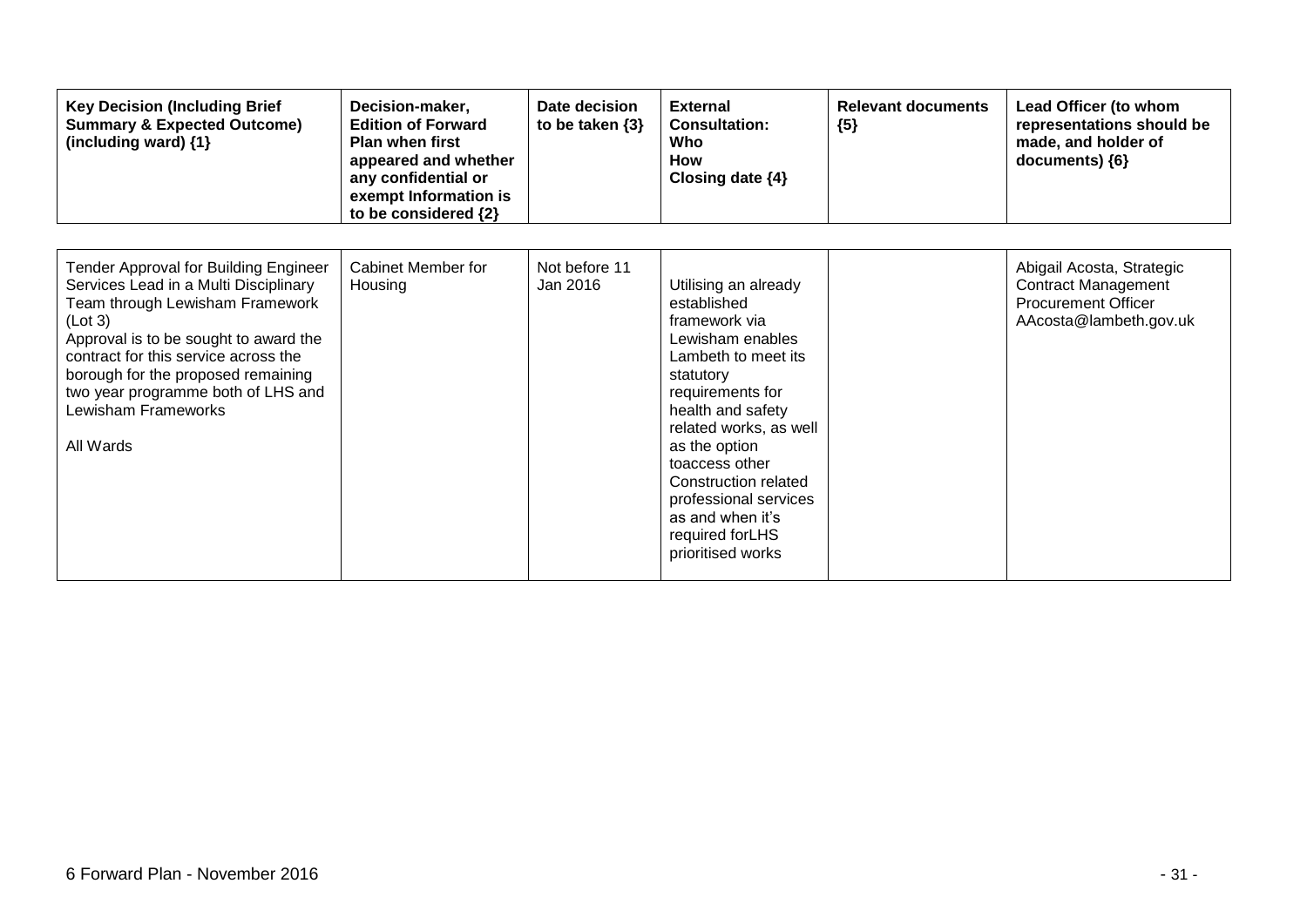| <b>Key Decision (Including Brief</b><br><b>Summary &amp; Expected Outcome)</b><br>(including ward) {1}                                                                                                                                                                                                                        | Decision-maker,<br><b>Edition of Forward</b><br><b>Plan when first</b><br>appeared and whether<br>any confidential or<br>exempt Information is<br>to be considered {2} | Date decision<br>to be taken $\{3\}$ | <b>External</b><br><b>Consultation:</b><br>Who<br><b>How</b><br>Closing date $\{4\}$                                                                                                                                                                                                                                             | <b>Relevant documents</b><br>${5}$ | Lead Officer (to whom<br>representations should be<br>made, and holder of<br>documents) ${6}$                   |
|-------------------------------------------------------------------------------------------------------------------------------------------------------------------------------------------------------------------------------------------------------------------------------------------------------------------------------|------------------------------------------------------------------------------------------------------------------------------------------------------------------------|--------------------------------------|----------------------------------------------------------------------------------------------------------------------------------------------------------------------------------------------------------------------------------------------------------------------------------------------------------------------------------|------------------------------------|-----------------------------------------------------------------------------------------------------------------|
| Tender Approval for Building Engineer<br>Services Lead in a Multi Disciplinary<br>Team through Lewisham Framework<br>(Lot 3)<br>Approval is to be sought to award the<br>contract for this service across the<br>borough for the proposed remaining<br>two year programme both of LHS and<br>Lewisham Frameworks<br>All Wards | <b>Cabinet Member for</b><br>Housing                                                                                                                                   | Not before 11<br>Jan 2016            | Utilising an already<br>established<br>framework via<br>Lewisham enables<br>Lambeth to meet its<br>statutory<br>requirements for<br>health and safety<br>related works, as well<br>as the option<br>toaccess other<br>Construction related<br>professional services<br>as and when it's<br>required for LHS<br>prioritised works |                                    | Abigail Acosta, Strategic<br><b>Contract Management</b><br><b>Procurement Officer</b><br>AAcosta@lambeth.gov.uk |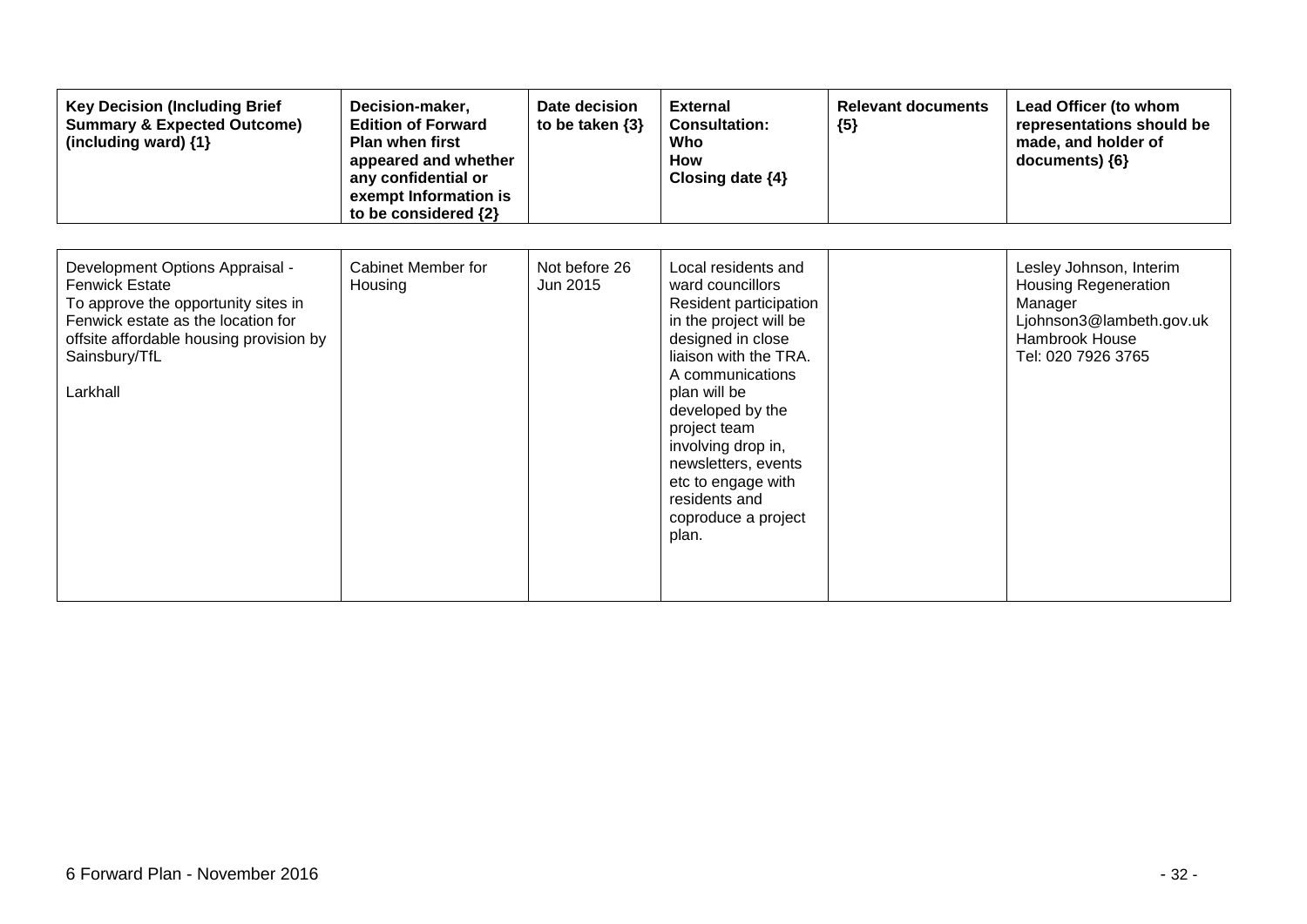| <b>Key Decision (Including Brief</b><br><b>Summary &amp; Expected Outcome)</b><br>(including ward) {1}                                                                                                        | Decision-maker,<br><b>Edition of Forward</b><br><b>Plan when first</b><br>appeared and whether<br>any confidential or<br>exempt Information is<br>to be considered {2} | Date decision<br>to be taken $\{3\}$ | <b>External</b><br><b>Consultation:</b><br>Who<br><b>How</b><br>Closing date $\{4\}$                                                                                                                                                                                                                                                  | <b>Relevant documents</b><br>${5}$ | Lead Officer (to whom<br>representations should be<br>made, and holder of<br>documents) {6}                                           |
|---------------------------------------------------------------------------------------------------------------------------------------------------------------------------------------------------------------|------------------------------------------------------------------------------------------------------------------------------------------------------------------------|--------------------------------------|---------------------------------------------------------------------------------------------------------------------------------------------------------------------------------------------------------------------------------------------------------------------------------------------------------------------------------------|------------------------------------|---------------------------------------------------------------------------------------------------------------------------------------|
| Development Options Appraisal -<br><b>Fenwick Estate</b><br>To approve the opportunity sites in<br>Fenwick estate as the location for<br>offsite affordable housing provision by<br>Sainsbury/TfL<br>Larkhall | Cabinet Member for<br>Housing                                                                                                                                          | Not before 26<br>Jun 2015            | Local residents and<br>ward councillors<br>Resident participation<br>in the project will be<br>designed in close<br>liaison with the TRA.<br>A communications<br>plan will be<br>developed by the<br>project team<br>involving drop in,<br>newsletters, events<br>etc to engage with<br>residents and<br>coproduce a project<br>plan. |                                    | Lesley Johnson, Interim<br><b>Housing Regeneration</b><br>Manager<br>Ljohnson3@lambeth.gov.uk<br>Hambrook House<br>Tel: 020 7926 3765 |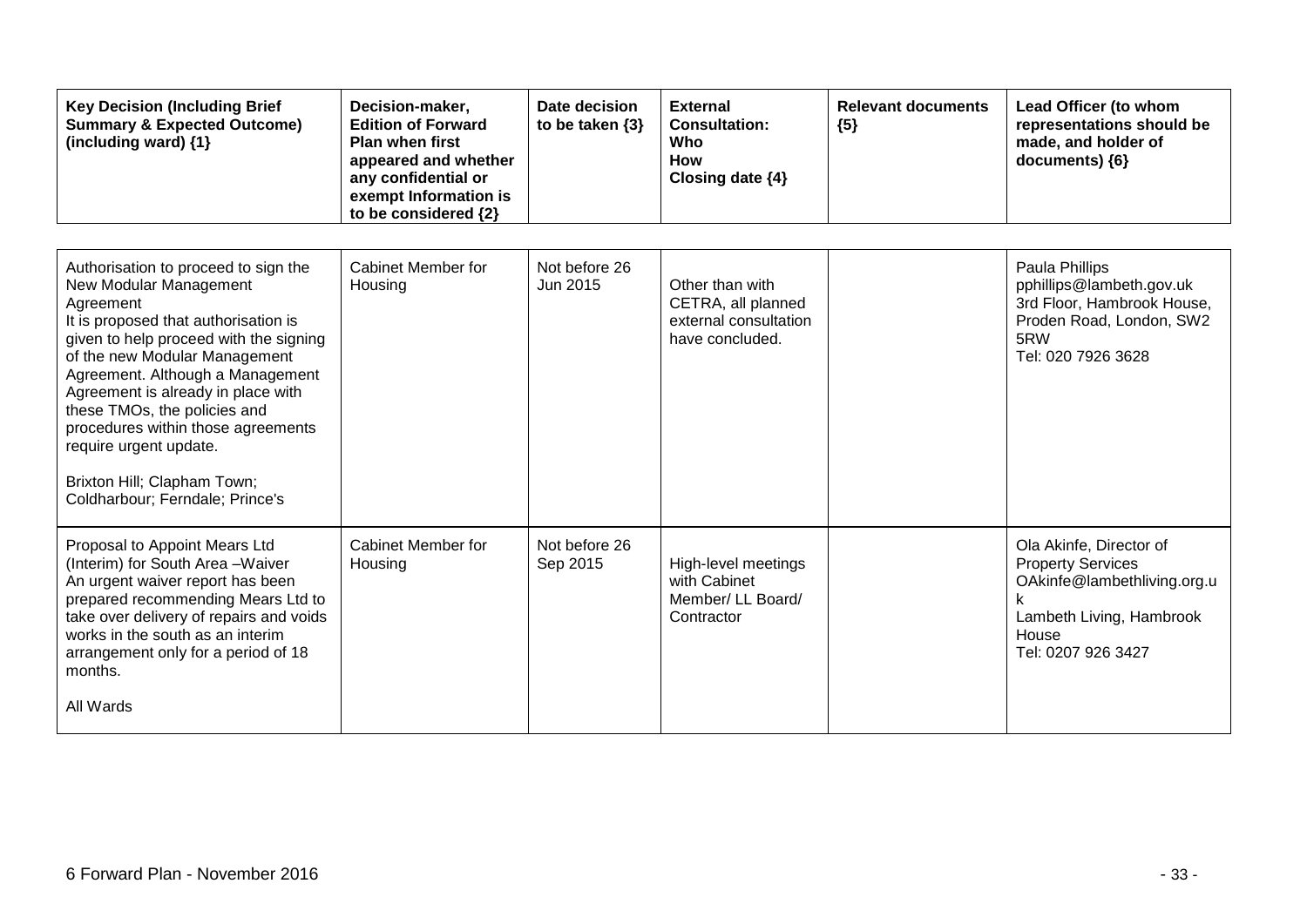| <b>Key Decision (Including Brief</b><br><b>Summary &amp; Expected Outcome)</b><br>(including ward) {1}                                                                                                                                                                                                                                                                                                                                     | Decision-maker,<br><b>Edition of Forward</b><br><b>Plan when first</b><br>appeared and whether<br>any confidential or<br>exempt Information is<br>to be considered {2} | Date decision<br>to be taken $\{3\}$ | <b>External</b><br><b>Consultation:</b><br>Who<br>How<br>Closing date {4}         | <b>Relevant documents</b><br>${5}$ | Lead Officer (to whom<br>representations should be<br>made, and holder of<br>documents) {6}                                                   |
|--------------------------------------------------------------------------------------------------------------------------------------------------------------------------------------------------------------------------------------------------------------------------------------------------------------------------------------------------------------------------------------------------------------------------------------------|------------------------------------------------------------------------------------------------------------------------------------------------------------------------|--------------------------------------|-----------------------------------------------------------------------------------|------------------------------------|-----------------------------------------------------------------------------------------------------------------------------------------------|
| Authorisation to proceed to sign the<br>New Modular Management<br>Agreement<br>It is proposed that authorisation is<br>given to help proceed with the signing<br>of the new Modular Management<br>Agreement. Although a Management<br>Agreement is already in place with<br>these TMOs, the policies and<br>procedures within those agreements<br>require urgent update.<br>Brixton Hill; Clapham Town;<br>Coldharbour; Ferndale; Prince's | Cabinet Member for<br>Housing                                                                                                                                          | Not before 26<br>Jun 2015            | Other than with<br>CETRA, all planned<br>external consultation<br>have concluded. |                                    | Paula Phillips<br>pphillips@lambeth.gov.uk<br>3rd Floor, Hambrook House,<br>Proden Road, London, SW2<br>5RW<br>Tel: 020 7926 3628             |
| Proposal to Appoint Mears Ltd<br>(Interim) for South Area - Waiver<br>An urgent waiver report has been<br>prepared recommending Mears Ltd to<br>take over delivery of repairs and voids<br>works in the south as an interim<br>arrangement only for a period of 18<br>months.<br>All Wards                                                                                                                                                 | Cabinet Member for<br>Housing                                                                                                                                          | Not before 26<br>Sep 2015            | High-level meetings<br>with Cabinet<br>Member/ LL Board/<br>Contractor            |                                    | Ola Akinfe, Director of<br><b>Property Services</b><br>OAkinfe@lambethliving.org.u<br>Lambeth Living, Hambrook<br>House<br>Tel: 0207 926 3427 |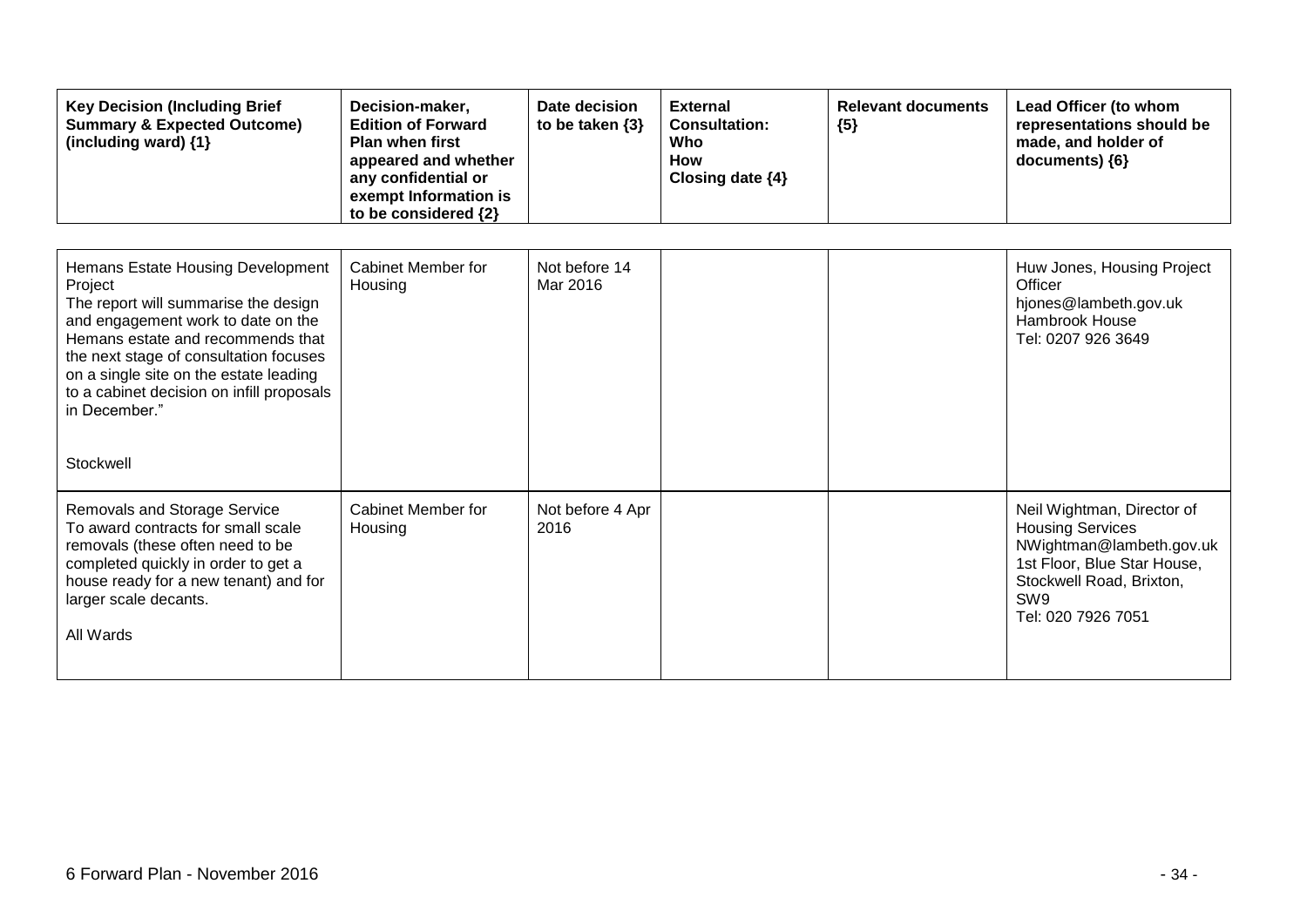| <b>Key Decision (Including Brief</b><br><b>Summary &amp; Expected Outcome)</b><br>(including ward) {1}                                                                                                                                                                                                                         | Decision-maker,<br><b>Edition of Forward</b><br><b>Plan when first</b><br>appeared and whether<br>any confidential or<br>exempt Information is<br>to be considered {2} | Date decision<br>to be taken {3} | <b>External</b><br><b>Consultation:</b><br>Who<br>How<br>Closing date {4} | <b>Relevant documents</b><br>${5}$ | Lead Officer (to whom<br>representations should be<br>made, and holder of<br>documents) {6}                                                                               |
|--------------------------------------------------------------------------------------------------------------------------------------------------------------------------------------------------------------------------------------------------------------------------------------------------------------------------------|------------------------------------------------------------------------------------------------------------------------------------------------------------------------|----------------------------------|---------------------------------------------------------------------------|------------------------------------|---------------------------------------------------------------------------------------------------------------------------------------------------------------------------|
| Hemans Estate Housing Development<br>Project<br>The report will summarise the design<br>and engagement work to date on the<br>Hemans estate and recommends that<br>the next stage of consultation focuses<br>on a single site on the estate leading<br>to a cabinet decision on infill proposals<br>in December."<br>Stockwell | Cabinet Member for<br>Housing                                                                                                                                          | Not before 14<br>Mar 2016        |                                                                           |                                    | Huw Jones, Housing Project<br>Officer<br>hjones@lambeth.gov.uk<br>Hambrook House<br>Tel: 0207 926 3649                                                                    |
| <b>Removals and Storage Service</b><br>To award contracts for small scale<br>removals (these often need to be<br>completed quickly in order to get a<br>house ready for a new tenant) and for<br>larger scale decants.<br>All Wards                                                                                            | Cabinet Member for<br>Housing                                                                                                                                          | Not before 4 Apr<br>2016         |                                                                           |                                    | Neil Wightman, Director of<br><b>Housing Services</b><br>NWightman@lambeth.gov.uk<br>1st Floor, Blue Star House,<br>Stockwell Road, Brixton,<br>SW9<br>Tel: 020 7926 7051 |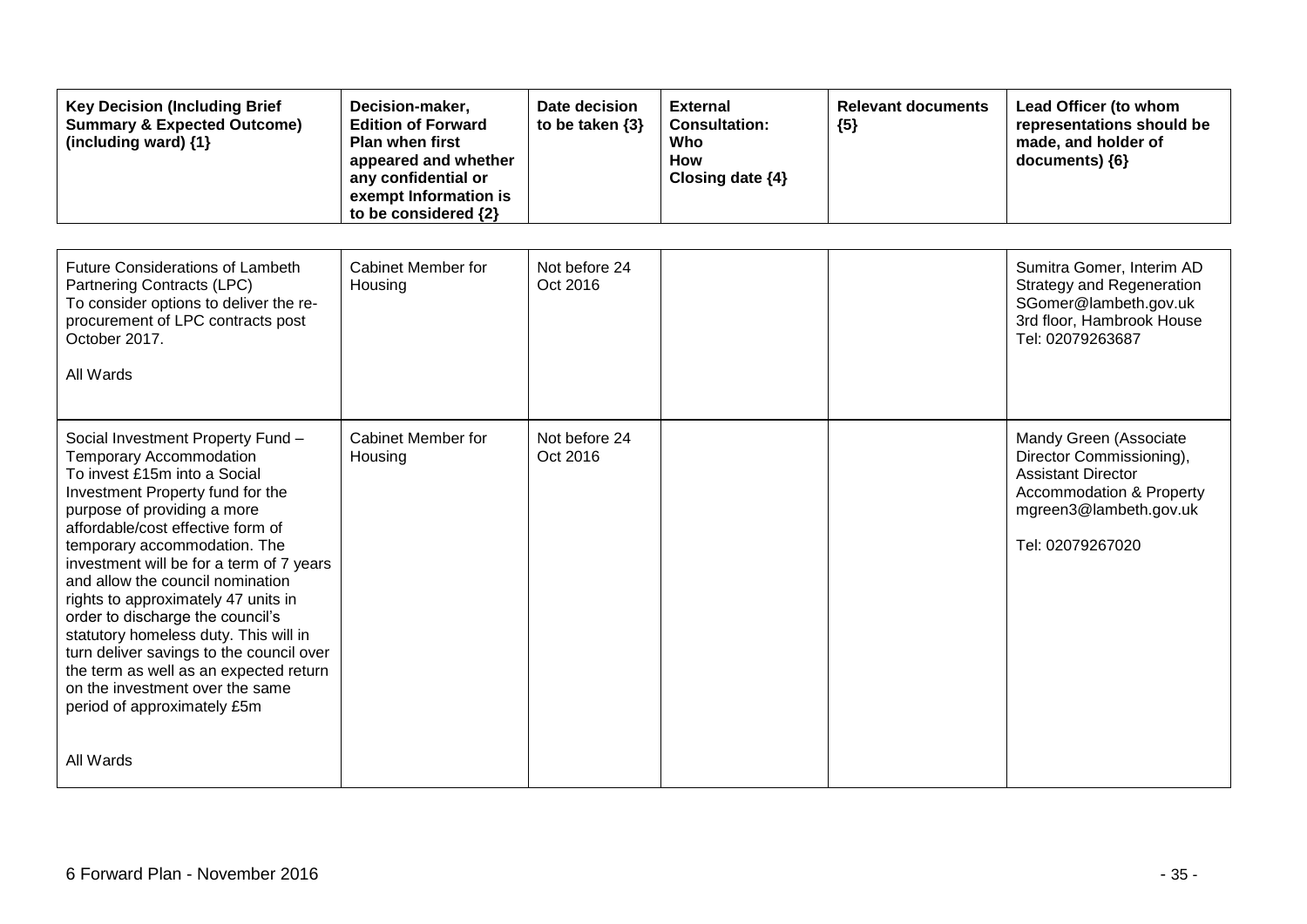| <b>Key Decision (Including Brief</b><br><b>Summary &amp; Expected Outcome)</b><br>(including ward) {1}                                                                                                                                                                                                                                                                                                                                                                                                                                                                                                  | Decision-maker,<br><b>Edition of Forward</b><br><b>Plan when first</b><br>appeared and whether<br>any confidential or<br>exempt Information is<br>to be considered {2} | Date decision<br>to be taken $\{3\}$ | <b>External</b><br><b>Consultation:</b><br>Who<br><b>How</b><br>Closing date {4} | <b>Relevant documents</b><br>${5}$ | Lead Officer (to whom<br>representations should be<br>made, and holder of<br>documents) {6}                                                                          |
|---------------------------------------------------------------------------------------------------------------------------------------------------------------------------------------------------------------------------------------------------------------------------------------------------------------------------------------------------------------------------------------------------------------------------------------------------------------------------------------------------------------------------------------------------------------------------------------------------------|------------------------------------------------------------------------------------------------------------------------------------------------------------------------|--------------------------------------|----------------------------------------------------------------------------------|------------------------------------|----------------------------------------------------------------------------------------------------------------------------------------------------------------------|
| <b>Future Considerations of Lambeth</b><br>Partnering Contracts (LPC)<br>To consider options to deliver the re-<br>procurement of LPC contracts post<br>October 2017.<br>All Wards                                                                                                                                                                                                                                                                                                                                                                                                                      | <b>Cabinet Member for</b><br>Housing                                                                                                                                   | Not before 24<br>Oct 2016            |                                                                                  |                                    | Sumitra Gomer, Interim AD<br><b>Strategy and Regeneration</b><br>SGomer@lambeth.gov.uk<br>3rd floor, Hambrook House<br>Tel: 02079263687                              |
| Social Investment Property Fund -<br><b>Temporary Accommodation</b><br>To invest £15m into a Social<br>Investment Property fund for the<br>purpose of providing a more<br>affordable/cost effective form of<br>temporary accommodation. The<br>investment will be for a term of 7 years<br>and allow the council nomination<br>rights to approximately 47 units in<br>order to discharge the council's<br>statutory homeless duty. This will in<br>turn deliver savings to the council over<br>the term as well as an expected return<br>on the investment over the same<br>period of approximately £5m | Cabinet Member for<br>Housing                                                                                                                                          | Not before 24<br>Oct 2016            |                                                                                  |                                    | Mandy Green (Associate<br>Director Commissioning),<br><b>Assistant Director</b><br><b>Accommodation &amp; Property</b><br>mgreen3@lambeth.gov.uk<br>Tel: 02079267020 |
| All Wards                                                                                                                                                                                                                                                                                                                                                                                                                                                                                                                                                                                               |                                                                                                                                                                        |                                      |                                                                                  |                                    |                                                                                                                                                                      |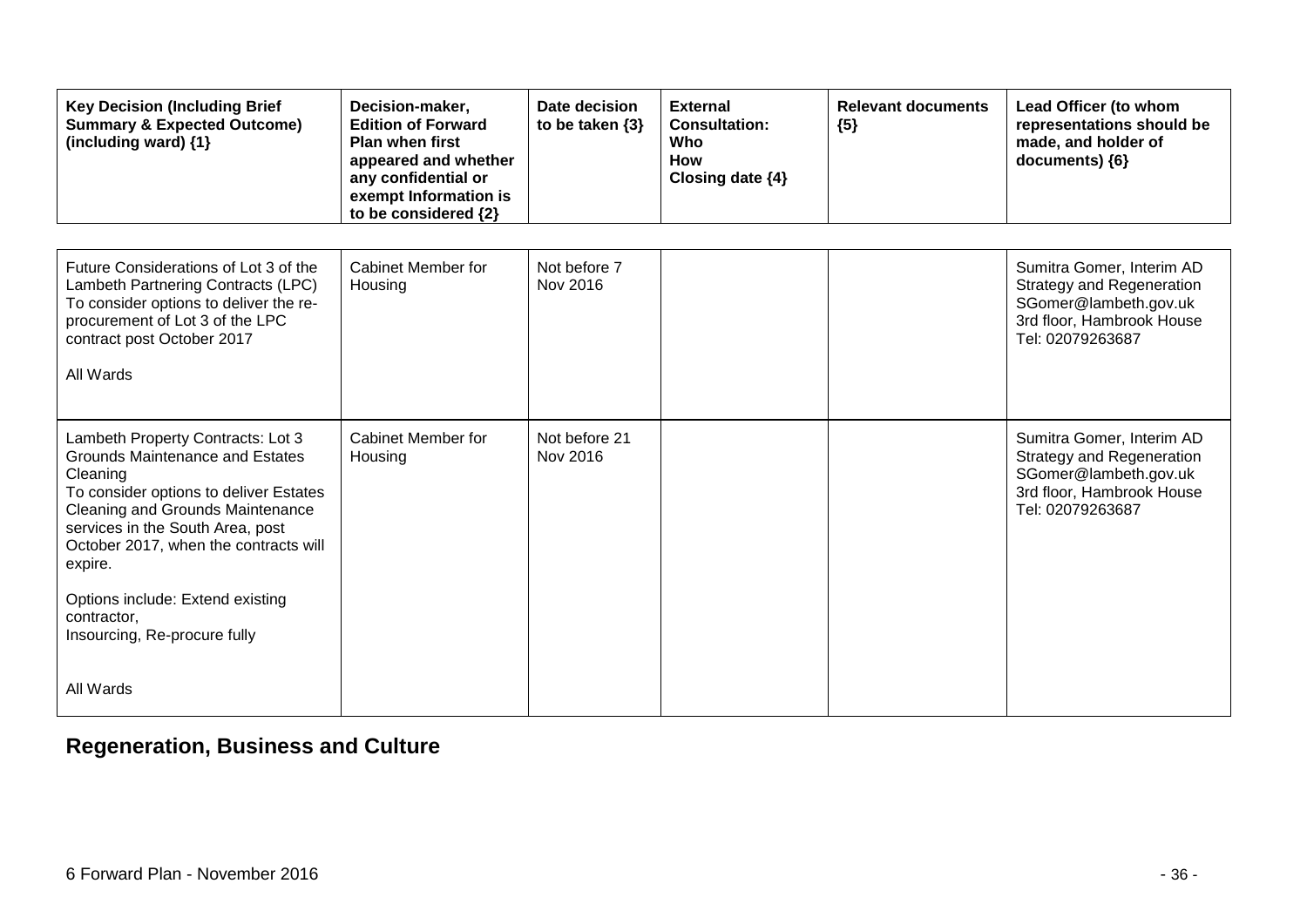| <b>Key Decision (Including Brief</b><br><b>Summary &amp; Expected Outcome)</b><br>(including ward) {1}                                                                                                                                                                                                           | Decision-maker,<br><b>Edition of Forward</b><br><b>Plan when first</b><br>appeared and whether<br>any confidential or<br>exempt Information is<br>to be considered {2} | Date decision<br>to be taken $\{3\}$ | <b>External</b><br><b>Consultation:</b><br>Who<br><b>How</b><br>Closing date {4} | <b>Relevant documents</b><br>${5}$ | Lead Officer (to whom<br>representations should be<br>made, and holder of<br>documents) {6}                                             |
|------------------------------------------------------------------------------------------------------------------------------------------------------------------------------------------------------------------------------------------------------------------------------------------------------------------|------------------------------------------------------------------------------------------------------------------------------------------------------------------------|--------------------------------------|----------------------------------------------------------------------------------|------------------------------------|-----------------------------------------------------------------------------------------------------------------------------------------|
| Future Considerations of Lot 3 of the<br>Lambeth Partnering Contracts (LPC)<br>To consider options to deliver the re-<br>procurement of Lot 3 of the LPC<br>contract post October 2017<br>All Wards                                                                                                              | Cabinet Member for<br>Housing                                                                                                                                          | Not before 7<br>Nov 2016             |                                                                                  |                                    | Sumitra Gomer, Interim AD<br><b>Strategy and Regeneration</b><br>SGomer@lambeth.gov.uk<br>3rd floor, Hambrook House<br>Tel: 02079263687 |
| Lambeth Property Contracts: Lot 3<br>Grounds Maintenance and Estates<br>Cleaning<br>To consider options to deliver Estates<br><b>Cleaning and Grounds Maintenance</b><br>services in the South Area, post<br>October 2017, when the contracts will<br>expire.<br>Options include: Extend existing<br>contractor. | Cabinet Member for<br>Housing                                                                                                                                          | Not before 21<br>Nov 2016            |                                                                                  |                                    | Sumitra Gomer, Interim AD<br><b>Strategy and Regeneration</b><br>SGomer@lambeth.gov.uk<br>3rd floor, Hambrook House<br>Tel: 02079263687 |
| Insourcing, Re-procure fully<br>All Wards                                                                                                                                                                                                                                                                        |                                                                                                                                                                        |                                      |                                                                                  |                                    |                                                                                                                                         |

# **Regeneration, Business and Culture**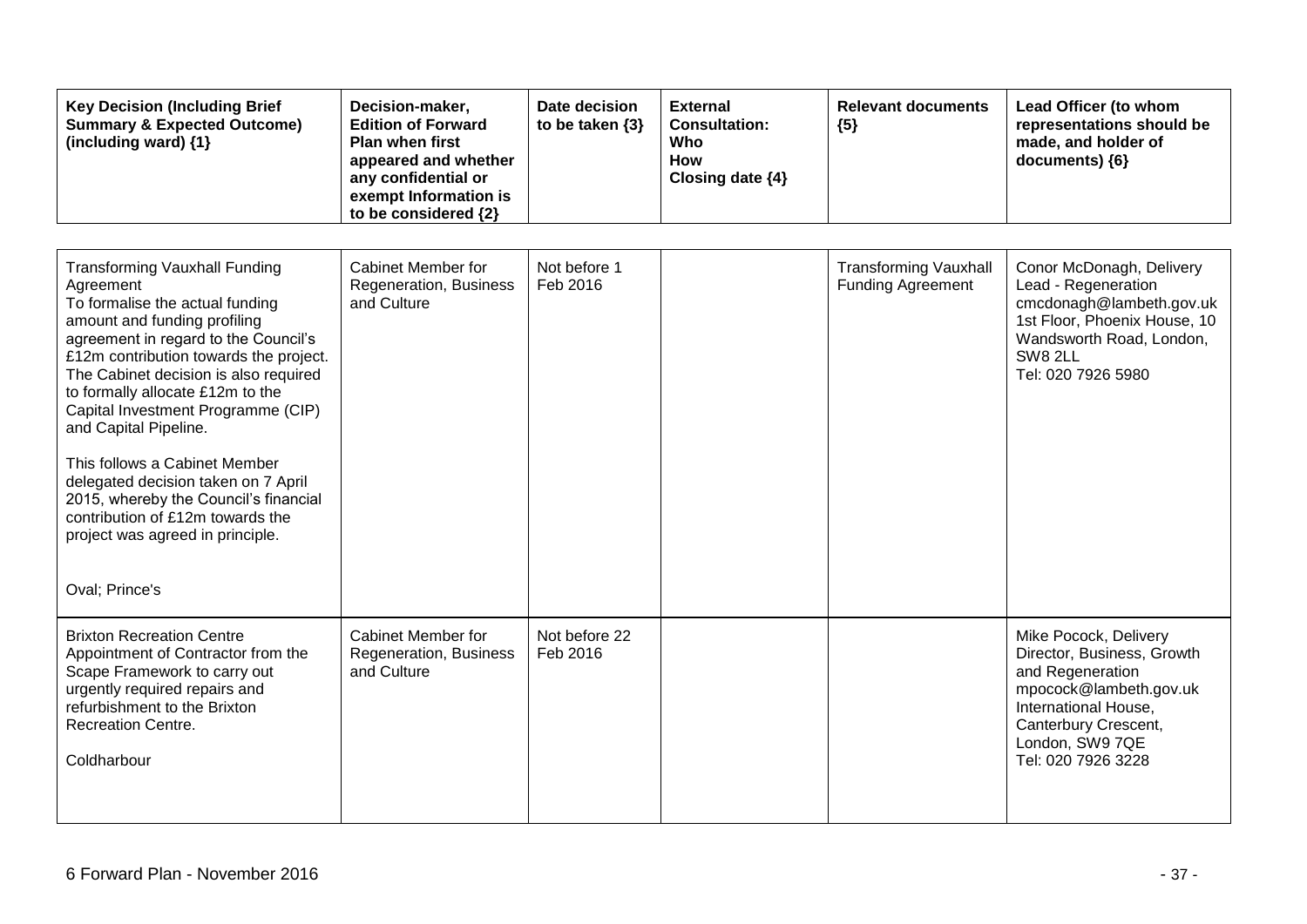| <b>Key Decision (Including Brief</b><br><b>Summary &amp; Expected Outcome)</b><br>(including ward) $\{1\}$                                                                                                                                                                                                                                                                                                                                                                                                                                                    | Decision-maker,<br><b>Edition of Forward</b><br><b>Plan when first</b><br>appeared and whether<br>any confidential or<br>exempt Information is<br>to be considered {2} | Date decision<br>to be taken $\{3\}$ | <b>External</b><br><b>Consultation:</b><br>Who<br><b>How</b><br>Closing date {4} | <b>Relevant documents</b><br>${5}$                       | Lead Officer (to whom<br>representations should be<br>made, and holder of<br>documents) {6}                                                                                                |
|---------------------------------------------------------------------------------------------------------------------------------------------------------------------------------------------------------------------------------------------------------------------------------------------------------------------------------------------------------------------------------------------------------------------------------------------------------------------------------------------------------------------------------------------------------------|------------------------------------------------------------------------------------------------------------------------------------------------------------------------|--------------------------------------|----------------------------------------------------------------------------------|----------------------------------------------------------|--------------------------------------------------------------------------------------------------------------------------------------------------------------------------------------------|
| <b>Transforming Vauxhall Funding</b><br>Agreement<br>To formalise the actual funding<br>amount and funding profiling<br>agreement in regard to the Council's<br>£12m contribution towards the project.<br>The Cabinet decision is also required<br>to formally allocate £12m to the<br>Capital Investment Programme (CIP)<br>and Capital Pipeline.<br>This follows a Cabinet Member<br>delegated decision taken on 7 April<br>2015, whereby the Council's financial<br>contribution of £12m towards the<br>project was agreed in principle.<br>Oval; Prince's | <b>Cabinet Member for</b><br>Regeneration, Business<br>and Culture                                                                                                     | Not before 1<br>Feb 2016             |                                                                                  | <b>Transforming Vauxhall</b><br><b>Funding Agreement</b> | Conor McDonagh, Delivery<br>Lead - Regeneration<br>cmcdonagh@lambeth.gov.uk<br>1st Floor, Phoenix House, 10<br>Wandsworth Road, London,<br><b>SW8 2LL</b><br>Tel: 020 7926 5980            |
| <b>Brixton Recreation Centre</b><br>Appointment of Contractor from the<br>Scape Framework to carry out<br>urgently required repairs and<br>refurbishment to the Brixton<br><b>Recreation Centre.</b><br>Coldharbour                                                                                                                                                                                                                                                                                                                                           | <b>Cabinet Member for</b><br>Regeneration, Business<br>and Culture                                                                                                     | Not before 22<br>Feb 2016            |                                                                                  |                                                          | Mike Pocock, Delivery<br>Director, Business, Growth<br>and Regeneration<br>mpocock@lambeth.gov.uk<br>International House,<br>Canterbury Crescent,<br>London, SW9 7QE<br>Tel: 020 7926 3228 |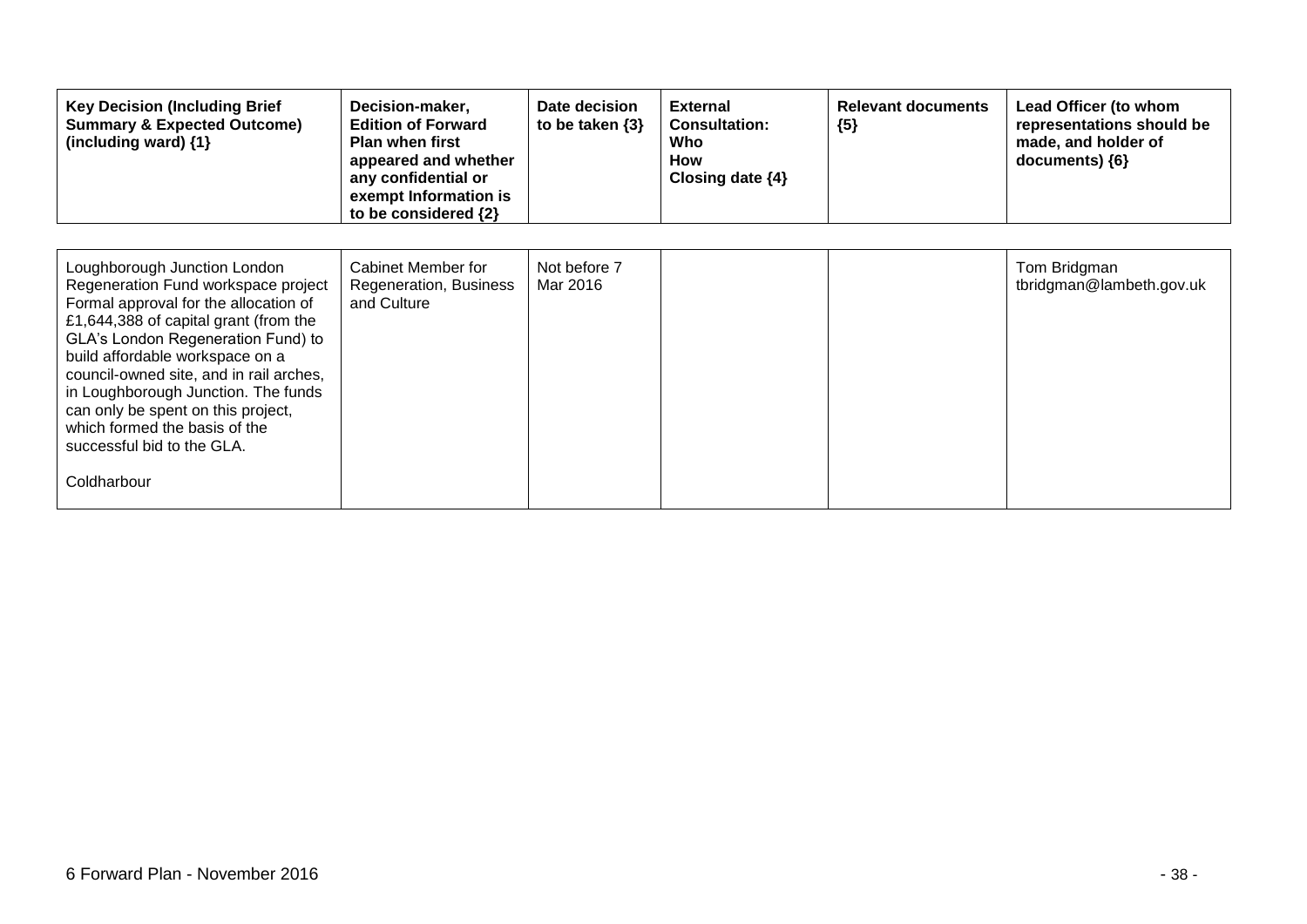| <b>Key Decision (Including Brief</b><br><b>Summary &amp; Expected Outcome)</b><br>(including ward) $\{1\}$                                                                                                                                                                                                                                                                                                                           | Decision-maker,<br><b>Edition of Forward</b><br><b>Plan when first</b><br>appeared and whether<br>any confidential or<br>exempt Information is<br>to be considered {2} | Date decision<br>to be taken $\{3\}$ | <b>External</b><br><b>Consultation:</b><br>Who<br><b>How</b><br>Closing date $\{4\}$ | <b>Relevant documents</b><br>${5}$ | Lead Officer (to whom<br>representations should be<br>made, and holder of<br>documents) ${6}$ |
|--------------------------------------------------------------------------------------------------------------------------------------------------------------------------------------------------------------------------------------------------------------------------------------------------------------------------------------------------------------------------------------------------------------------------------------|------------------------------------------------------------------------------------------------------------------------------------------------------------------------|--------------------------------------|--------------------------------------------------------------------------------------|------------------------------------|-----------------------------------------------------------------------------------------------|
| Loughborough Junction London<br>Regeneration Fund workspace project<br>Formal approval for the allocation of<br>£1,644,388 of capital grant (from the<br>GLA's London Regeneration Fund) to<br>build affordable workspace on a<br>council-owned site, and in rail arches,<br>in Loughborough Junction. The funds<br>can only be spent on this project,<br>which formed the basis of the<br>successful bid to the GLA.<br>Coldharbour | Cabinet Member for<br>Regeneration, Business<br>and Culture                                                                                                            | Not before 7<br>Mar 2016             |                                                                                      |                                    | Tom Bridgman<br>tbridgman@lambeth.gov.uk                                                      |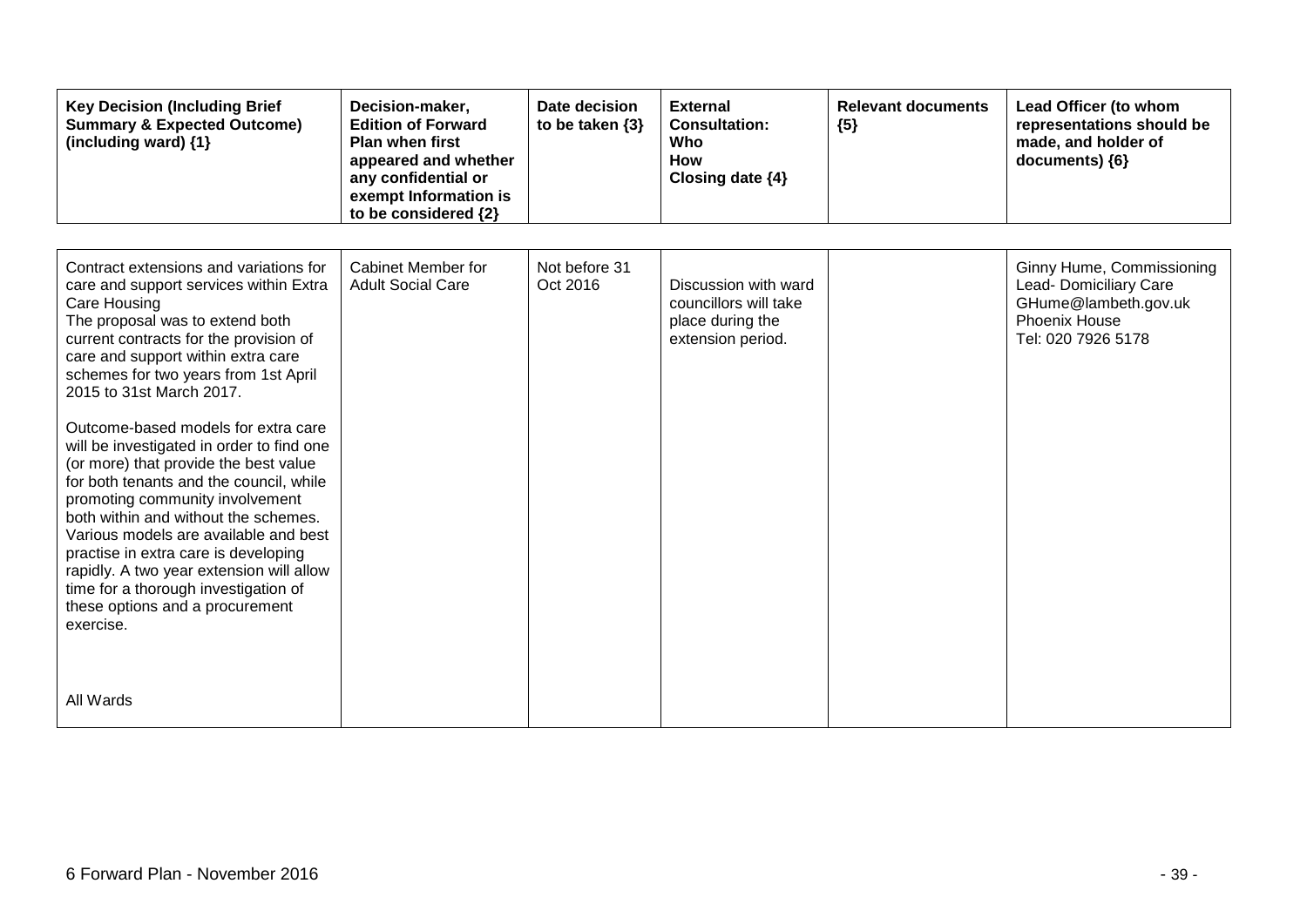| <b>Key Decision (Including Brief</b><br><b>Summary &amp; Expected Outcome)</b><br>(including ward) {1}                                                                                                                                                                                                                                                                                                                                                                                                                                                                                                                                                                                                                                                          | Decision-maker,<br><b>Edition of Forward</b><br><b>Plan when first</b><br>appeared and whether<br>any confidential or<br>exempt Information is<br>to be considered {2} | Date decision<br>to be taken {3} | <b>External</b><br><b>Consultation:</b><br>Who<br><b>How</b><br>Closing date {4}       | <b>Relevant documents</b><br>${5}$ | Lead Officer (to whom<br>representations should be<br>made, and holder of<br>documents) {6}                               |
|-----------------------------------------------------------------------------------------------------------------------------------------------------------------------------------------------------------------------------------------------------------------------------------------------------------------------------------------------------------------------------------------------------------------------------------------------------------------------------------------------------------------------------------------------------------------------------------------------------------------------------------------------------------------------------------------------------------------------------------------------------------------|------------------------------------------------------------------------------------------------------------------------------------------------------------------------|----------------------------------|----------------------------------------------------------------------------------------|------------------------------------|---------------------------------------------------------------------------------------------------------------------------|
| Contract extensions and variations for<br>care and support services within Extra<br>Care Housing<br>The proposal was to extend both<br>current contracts for the provision of<br>care and support within extra care<br>schemes for two years from 1st April<br>2015 to 31st March 2017.<br>Outcome-based models for extra care<br>will be investigated in order to find one<br>(or more) that provide the best value<br>for both tenants and the council, while<br>promoting community involvement<br>both within and without the schemes.<br>Various models are available and best<br>practise in extra care is developing<br>rapidly. A two year extension will allow<br>time for a thorough investigation of<br>these options and a procurement<br>exercise. | Cabinet Member for<br><b>Adult Social Care</b>                                                                                                                         | Not before 31<br>Oct 2016        | Discussion with ward<br>councillors will take<br>place during the<br>extension period. |                                    | Ginny Hume, Commissioning<br>Lead- Domiciliary Care<br>GHume@lambeth.gov.uk<br><b>Phoenix House</b><br>Tel: 020 7926 5178 |
| All Wards                                                                                                                                                                                                                                                                                                                                                                                                                                                                                                                                                                                                                                                                                                                                                       |                                                                                                                                                                        |                                  |                                                                                        |                                    |                                                                                                                           |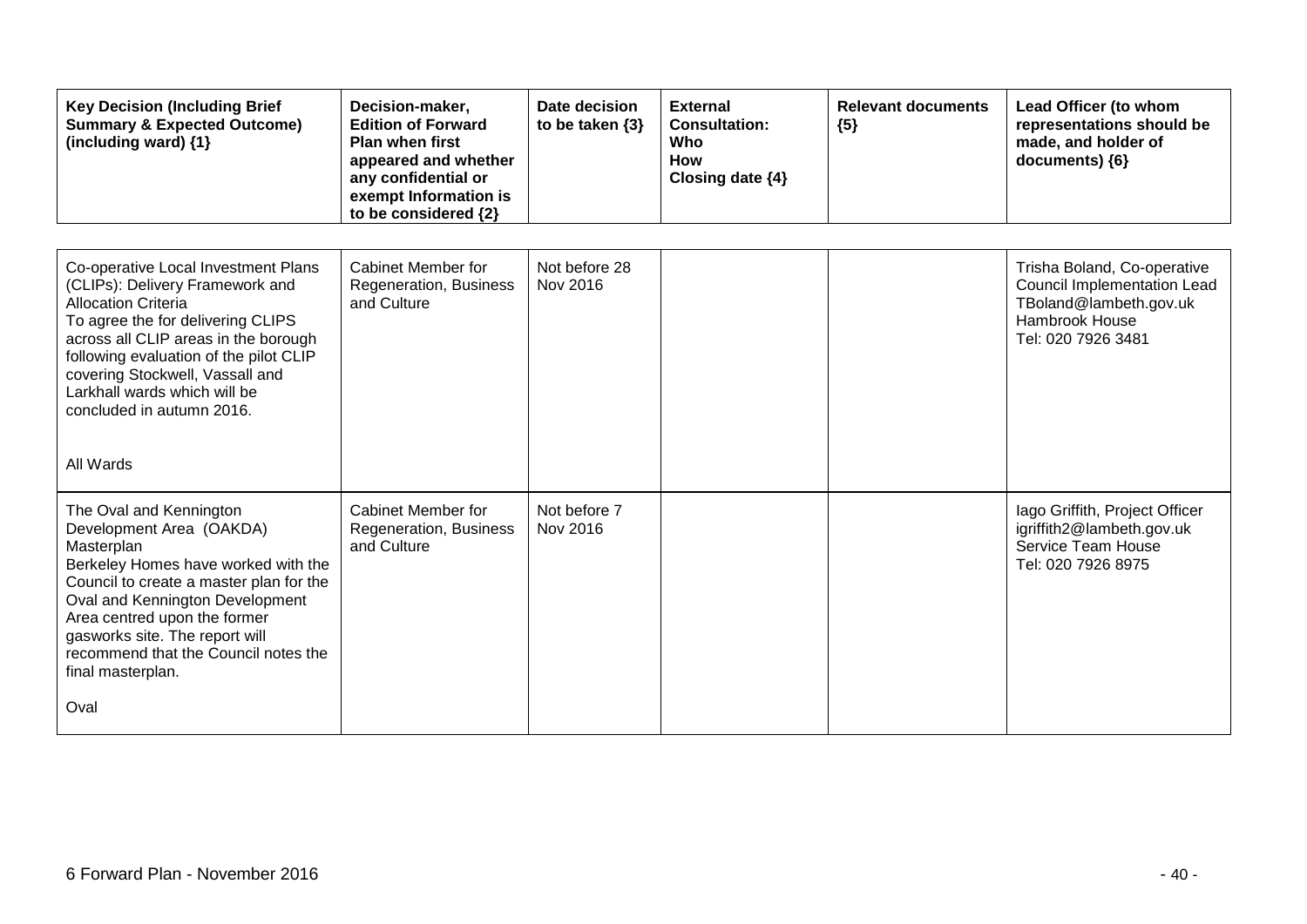| <b>Key Decision (Including Brief</b><br><b>Summary &amp; Expected Outcome)</b><br>(including ward) {1}                                                                                                                                                                                                                                   | Decision-maker,<br><b>Edition of Forward</b><br><b>Plan when first</b><br>appeared and whether<br>any confidential or<br>exempt Information is<br>to be considered {2} | Date decision<br>to be taken $\{3\}$ | <b>External</b><br><b>Consultation:</b><br>Who<br><b>How</b><br>Closing date {4} | <b>Relevant documents</b><br>${5}$ | Lead Officer (to whom<br>representations should be<br>made, and holder of<br>documents) {6}                                  |
|------------------------------------------------------------------------------------------------------------------------------------------------------------------------------------------------------------------------------------------------------------------------------------------------------------------------------------------|------------------------------------------------------------------------------------------------------------------------------------------------------------------------|--------------------------------------|----------------------------------------------------------------------------------|------------------------------------|------------------------------------------------------------------------------------------------------------------------------|
| Co-operative Local Investment Plans<br>(CLIPs): Delivery Framework and<br><b>Allocation Criteria</b><br>To agree the for delivering CLIPS<br>across all CLIP areas in the borough<br>following evaluation of the pilot CLIP<br>covering Stockwell, Vassall and<br>Larkhall wards which will be<br>concluded in autumn 2016.<br>All Wards | Cabinet Member for<br>Regeneration, Business<br>and Culture                                                                                                            | Not before 28<br>Nov 2016            |                                                                                  |                                    | Trisha Boland, Co-operative<br>Council Implementation Lead<br>TBoland@lambeth.gov.uk<br>Hambrook House<br>Tel: 020 7926 3481 |
| The Oval and Kennington<br>Development Area (OAKDA)<br>Masterplan<br>Berkeley Homes have worked with the<br>Council to create a master plan for the<br>Oval and Kennington Development<br>Area centred upon the former<br>gasworks site. The report will<br>recommend that the Council notes the<br>final masterplan.<br>Oval            | Cabinet Member for<br>Regeneration, Business<br>and Culture                                                                                                            | Not before 7<br>Nov 2016             |                                                                                  |                                    | lago Griffith, Project Officer<br>igriffith2@lambeth.gov.uk<br>Service Team House<br>Tel: 020 7926 8975                      |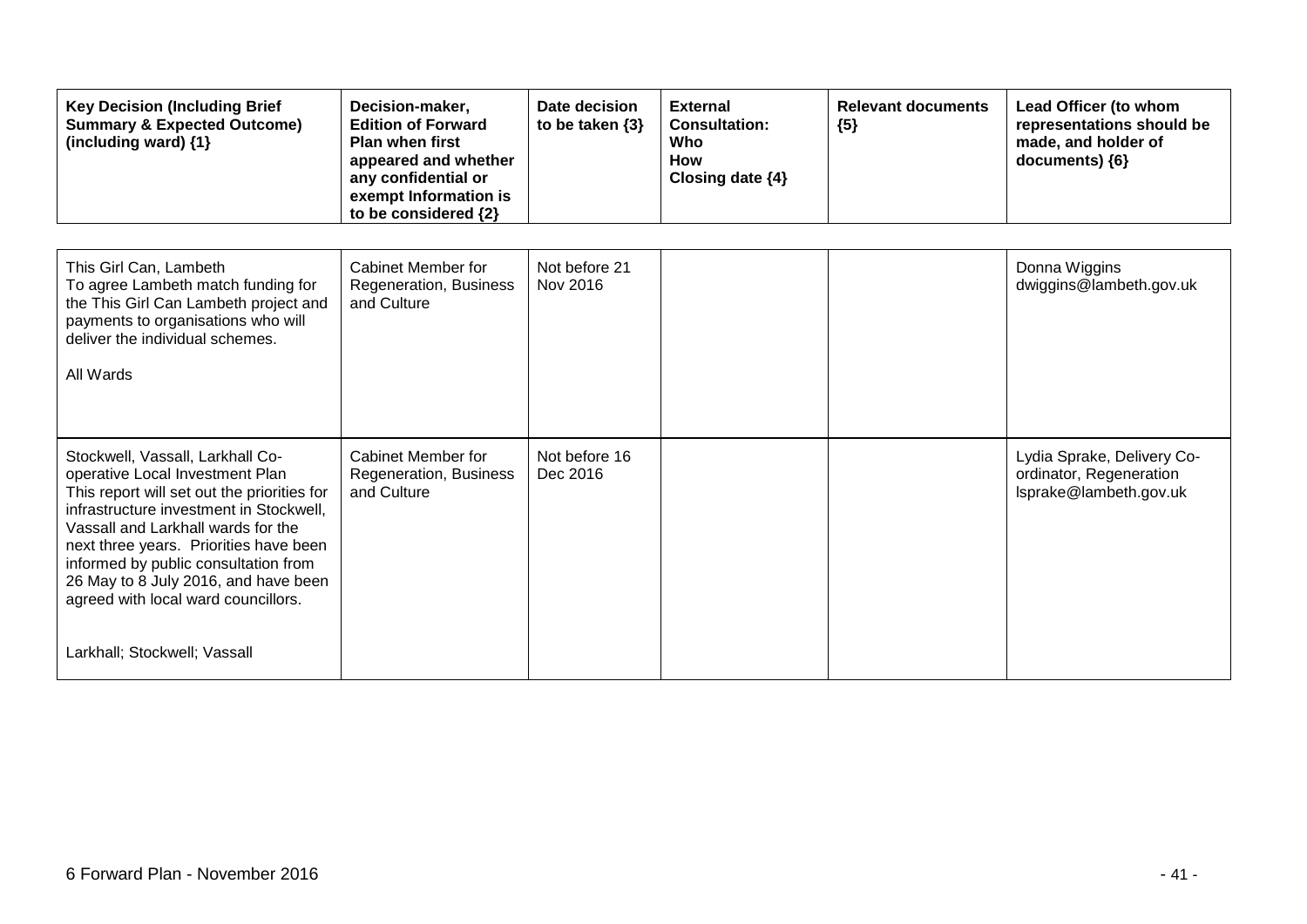| <b>Key Decision (Including Brief</b><br><b>Summary &amp; Expected Outcome)</b><br>(including ward) {1}                                                                                                                                                                                                                                                                                               | Decision-maker,<br><b>Edition of Forward</b><br><b>Plan when first</b><br>appeared and whether<br>any confidential or<br>exempt Information is<br>to be considered {2} | Date decision<br>to be taken $\{3\}$ | <b>External</b><br><b>Consultation:</b><br>Who<br>How<br>Closing date {4} | <b>Relevant documents</b><br>${5}$ | Lead Officer (to whom<br>representations should be<br>made, and holder of<br>documents) {6} |
|------------------------------------------------------------------------------------------------------------------------------------------------------------------------------------------------------------------------------------------------------------------------------------------------------------------------------------------------------------------------------------------------------|------------------------------------------------------------------------------------------------------------------------------------------------------------------------|--------------------------------------|---------------------------------------------------------------------------|------------------------------------|---------------------------------------------------------------------------------------------|
| This Girl Can, Lambeth<br>To agree Lambeth match funding for<br>the This Girl Can Lambeth project and<br>payments to organisations who will<br>deliver the individual schemes.<br>All Wards                                                                                                                                                                                                          | Cabinet Member for<br>Regeneration, Business<br>and Culture                                                                                                            | Not before 21<br>Nov 2016            |                                                                           |                                    | Donna Wiggins<br>dwiggins@lambeth.gov.uk                                                    |
| Stockwell, Vassall, Larkhall Co-<br>operative Local Investment Plan<br>This report will set out the priorities for<br>infrastructure investment in Stockwell,<br>Vassall and Larkhall wards for the<br>next three years. Priorities have been<br>informed by public consultation from<br>26 May to 8 July 2016, and have been<br>agreed with local ward councillors.<br>Larkhall; Stockwell; Vassall | Cabinet Member for<br>Regeneration, Business<br>and Culture                                                                                                            | Not before 16<br>Dec 2016            |                                                                           |                                    | Lydia Sprake, Delivery Co-<br>ordinator, Regeneration<br>Isprake@lambeth.gov.uk             |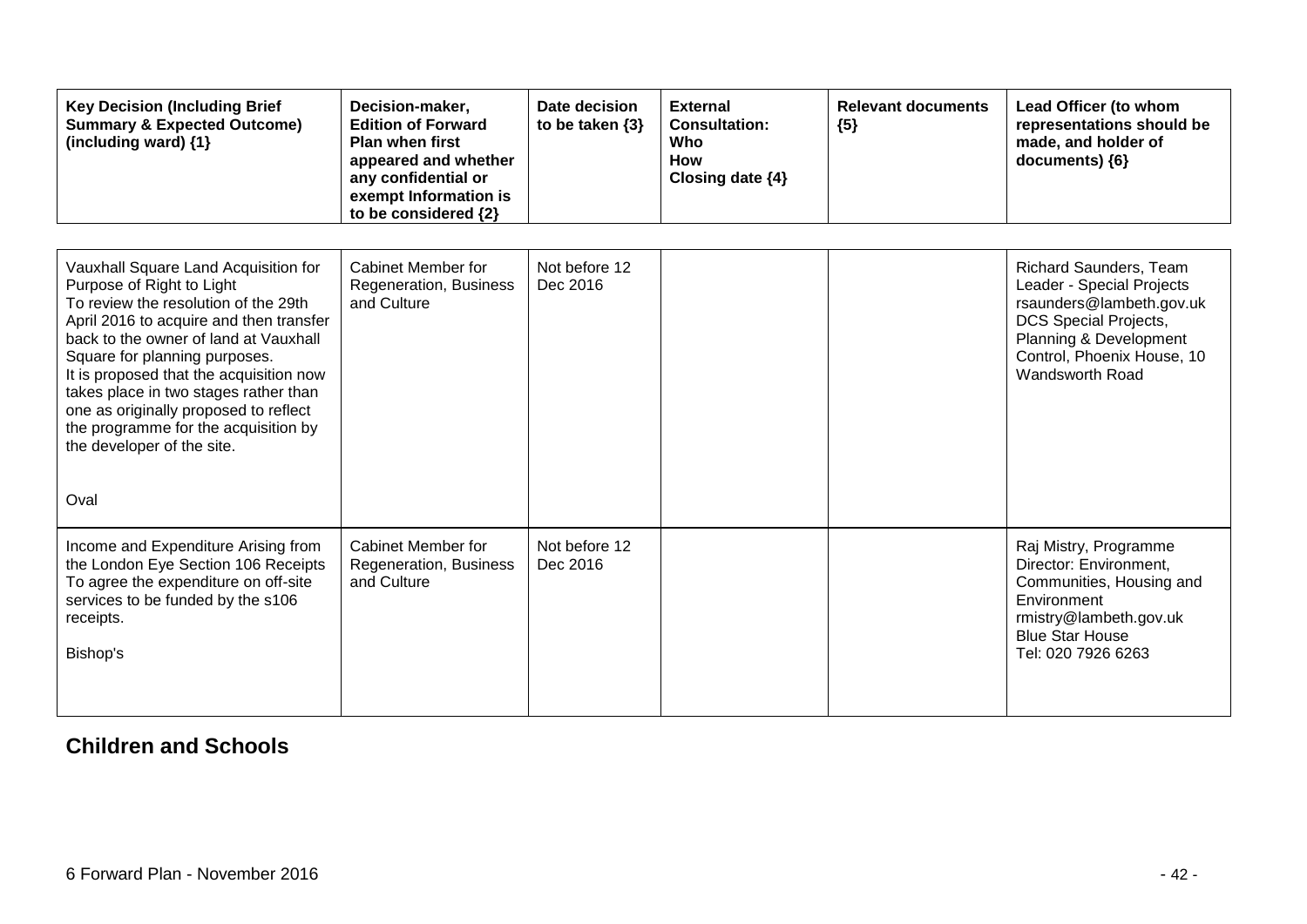| <b>Key Decision (Including Brief</b><br><b>Summary &amp; Expected Outcome)</b><br>(including ward) {1}                                                                                                                                                                                                                                                                                                                                    | Decision-maker,<br><b>Edition of Forward</b><br><b>Plan when first</b><br>appeared and whether<br>any confidential or<br>exempt Information is<br>to be considered {2} | Date decision<br>to be taken $\{3\}$ | <b>External</b><br><b>Consultation:</b><br>Who<br><b>How</b><br>Closing date $\{4\}$ | <b>Relevant documents</b><br>${5}$ | Lead Officer (to whom<br>representations should be<br>made, and holder of<br>documents) {6}                                                                                                |
|-------------------------------------------------------------------------------------------------------------------------------------------------------------------------------------------------------------------------------------------------------------------------------------------------------------------------------------------------------------------------------------------------------------------------------------------|------------------------------------------------------------------------------------------------------------------------------------------------------------------------|--------------------------------------|--------------------------------------------------------------------------------------|------------------------------------|--------------------------------------------------------------------------------------------------------------------------------------------------------------------------------------------|
| Vauxhall Square Land Acquisition for<br>Purpose of Right to Light<br>To review the resolution of the 29th<br>April 2016 to acquire and then transfer<br>back to the owner of land at Vauxhall<br>Square for planning purposes.<br>It is proposed that the acquisition now<br>takes place in two stages rather than<br>one as originally proposed to reflect<br>the programme for the acquisition by<br>the developer of the site.<br>Oval | <b>Cabinet Member for</b><br>Regeneration, Business<br>and Culture                                                                                                     | Not before 12<br>Dec 2016            |                                                                                      |                                    | Richard Saunders, Team<br>Leader - Special Projects<br>rsaunders@lambeth.gov.uk<br><b>DCS Special Projects,</b><br>Planning & Development<br>Control, Phoenix House, 10<br>Wandsworth Road |
| Income and Expenditure Arising from<br>the London Eye Section 106 Receipts<br>To agree the expenditure on off-site<br>services to be funded by the s106<br>receipts.<br>Bishop's                                                                                                                                                                                                                                                          | Cabinet Member for<br>Regeneration, Business<br>and Culture                                                                                                            | Not before 12<br>Dec 2016            |                                                                                      |                                    | Raj Mistry, Programme<br>Director: Environment,<br>Communities, Housing and<br>Environment<br>rmistry@lambeth.gov.uk<br><b>Blue Star House</b><br>Tel: 020 7926 6263                       |

### **Children and Schools**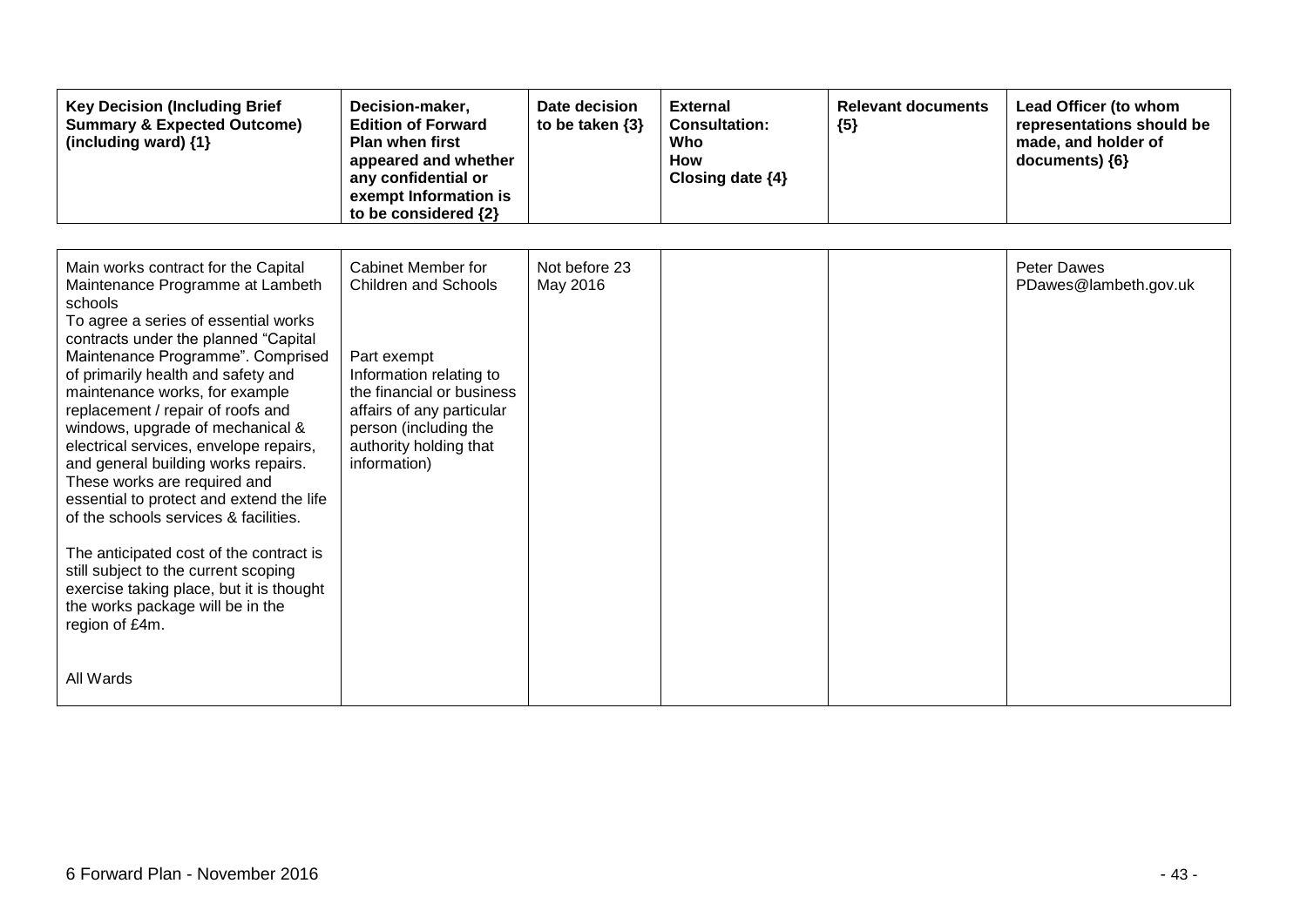| <b>Key Decision (Including Brief</b><br><b>Summary &amp; Expected Outcome)</b><br>(including ward) {1}                                                                                                                                                                                                                                                                                                                                                                                                                                                                                                                                                                                                                                                           | Decision-maker,<br><b>Edition of Forward</b><br><b>Plan when first</b><br>appeared and whether<br>any confidential or<br>exempt Information is<br>to be considered {2}                                                   | Date decision<br>to be taken $\{3\}$ | <b>External</b><br><b>Consultation:</b><br>Who<br>How<br>Closing date {4} | <b>Relevant documents</b><br>${5}$ | Lead Officer (to whom<br>representations should be<br>made, and holder of<br>documents) {6} |
|------------------------------------------------------------------------------------------------------------------------------------------------------------------------------------------------------------------------------------------------------------------------------------------------------------------------------------------------------------------------------------------------------------------------------------------------------------------------------------------------------------------------------------------------------------------------------------------------------------------------------------------------------------------------------------------------------------------------------------------------------------------|--------------------------------------------------------------------------------------------------------------------------------------------------------------------------------------------------------------------------|--------------------------------------|---------------------------------------------------------------------------|------------------------------------|---------------------------------------------------------------------------------------------|
| Main works contract for the Capital<br>Maintenance Programme at Lambeth<br>schools<br>To agree a series of essential works<br>contracts under the planned "Capital<br>Maintenance Programme". Comprised<br>of primarily health and safety and<br>maintenance works, for example<br>replacement / repair of roofs and<br>windows, upgrade of mechanical &<br>electrical services, envelope repairs,<br>and general building works repairs.<br>These works are required and<br>essential to protect and extend the life<br>of the schools services & facilities.<br>The anticipated cost of the contract is<br>still subject to the current scoping<br>exercise taking place, but it is thought<br>the works package will be in the<br>region of £4m.<br>All Wards | Cabinet Member for<br><b>Children and Schools</b><br>Part exempt<br>Information relating to<br>the financial or business<br>affairs of any particular<br>person (including the<br>authority holding that<br>information) | Not before 23<br>May 2016            |                                                                           |                                    | <b>Peter Dawes</b><br>PDawes@lambeth.gov.uk                                                 |